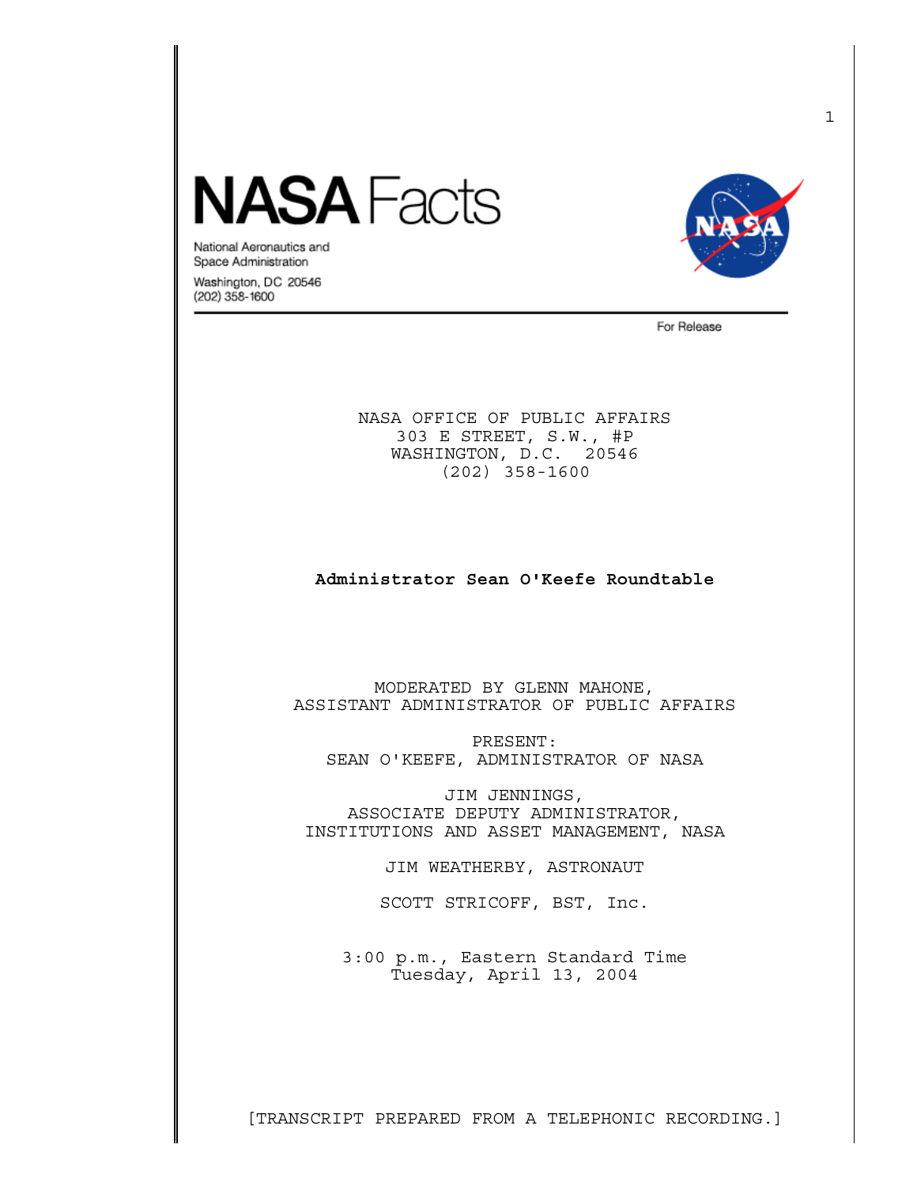## **IASA** Facts



National Aeronautics and Space Administration

Washington, DC 20546 (202) 358-1600

For Release

NASA OFFICE OF PUBLIC AFFAIRS 303 E STREET, S.W., #P WASHINGTON, D.C. 20546 (202) 358-1600

## **Administrator Sean O'Keefe Roundtable**

MODERATED BY GLENN MAHONE, ASSISTANT ADMINISTRATOR OF PUBLIC AFFAIRS

 PRESENT: SEAN O'KEEFE, ADMINISTRATOR OF NASA

 JIM JENNINGS, ASSOCIATE DEPUTY ADMINISTRATOR, INSTITUTIONS AND ASSET MANAGEMENT, NASA

JIM WEATHERBY, ASTRONAUT

SCOTT STRICOFF, BST, Inc.

3:00 p.m., Eastern Standard Time Tuesday, April 13, 2004

[TRANSCRIPT PREPARED FROM A TELEPHONIC RECORDING.]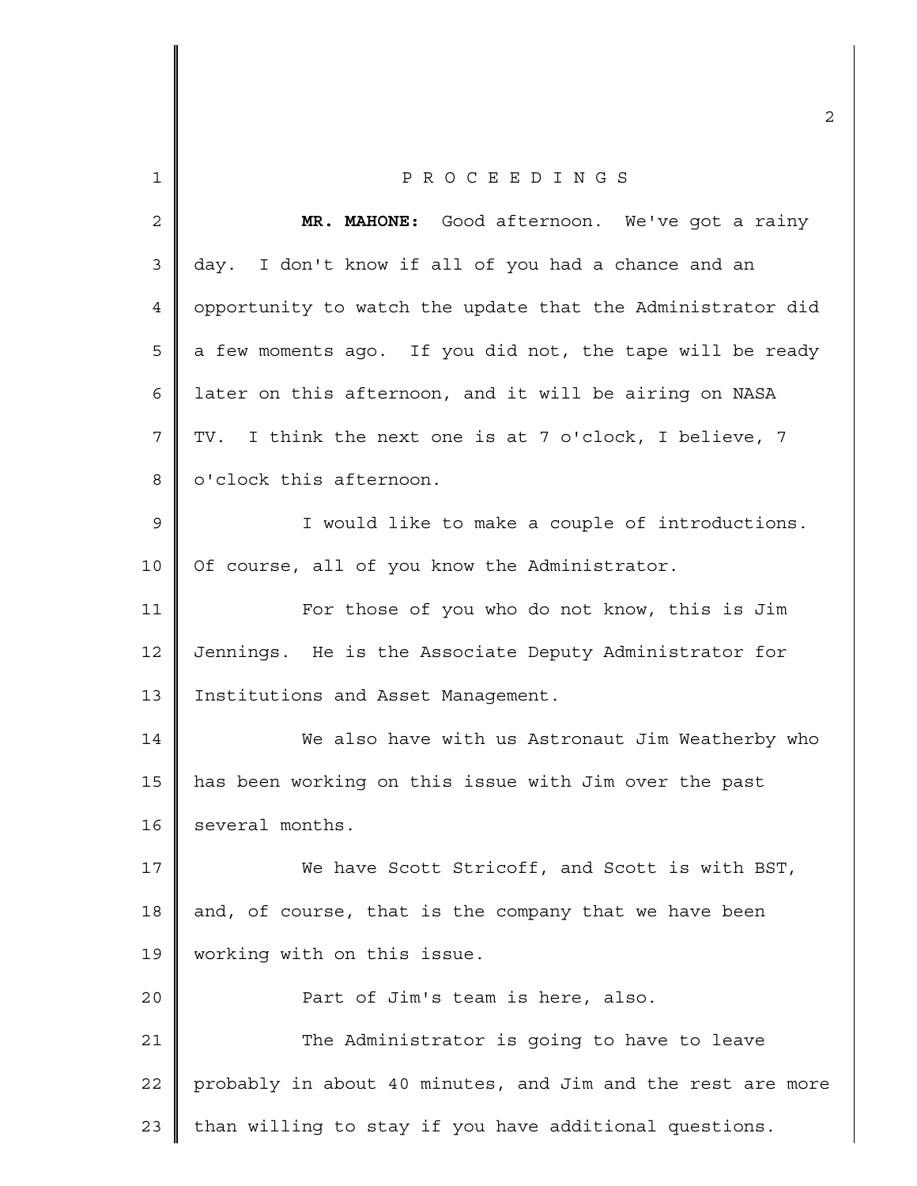| $\mathbf{1}$   | PROCEEDINGS                                                 |
|----------------|-------------------------------------------------------------|
| $\mathbf{2}$   | MR. MAHONE: Good afternoon. We've got a rainy               |
| $\mathfrak{Z}$ | day. I don't know if all of you had a chance and an         |
| 4              | opportunity to watch the update that the Administrator did  |
| 5              | a few moments ago. If you did not, the tape will be ready   |
| 6              | later on this afternoon, and it will be airing on NASA      |
| 7              | TV. I think the next one is at 7 o'clock, I believe, 7      |
| 8              | o'clock this afternoon.                                     |
| $\mathsf 9$    | I would like to make a couple of introductions.             |
| 10             | Of course, all of you know the Administrator.               |
| 11             | For those of you who do not know, this is Jim               |
| 12             | Jennings. He is the Associate Deputy Administrator for      |
| 13             | Institutions and Asset Management.                          |
| 14             | We also have with us Astronaut Jim Weatherby who            |
| 15             | has been working on this issue with Jim over the past       |
| 16             | several months.                                             |
| 17             | We have Scott Stricoff, and Scott is with BST,              |
| 18             | and, of course, that is the company that we have been       |
| 19             | working with on this issue.                                 |
| 20             | Part of Jim's team is here, also.                           |
| 21             | The Administrator is going to have to leave                 |
| 22             | probably in about 40 minutes, and Jim and the rest are more |
| 23             | than willing to stay if you have additional questions.      |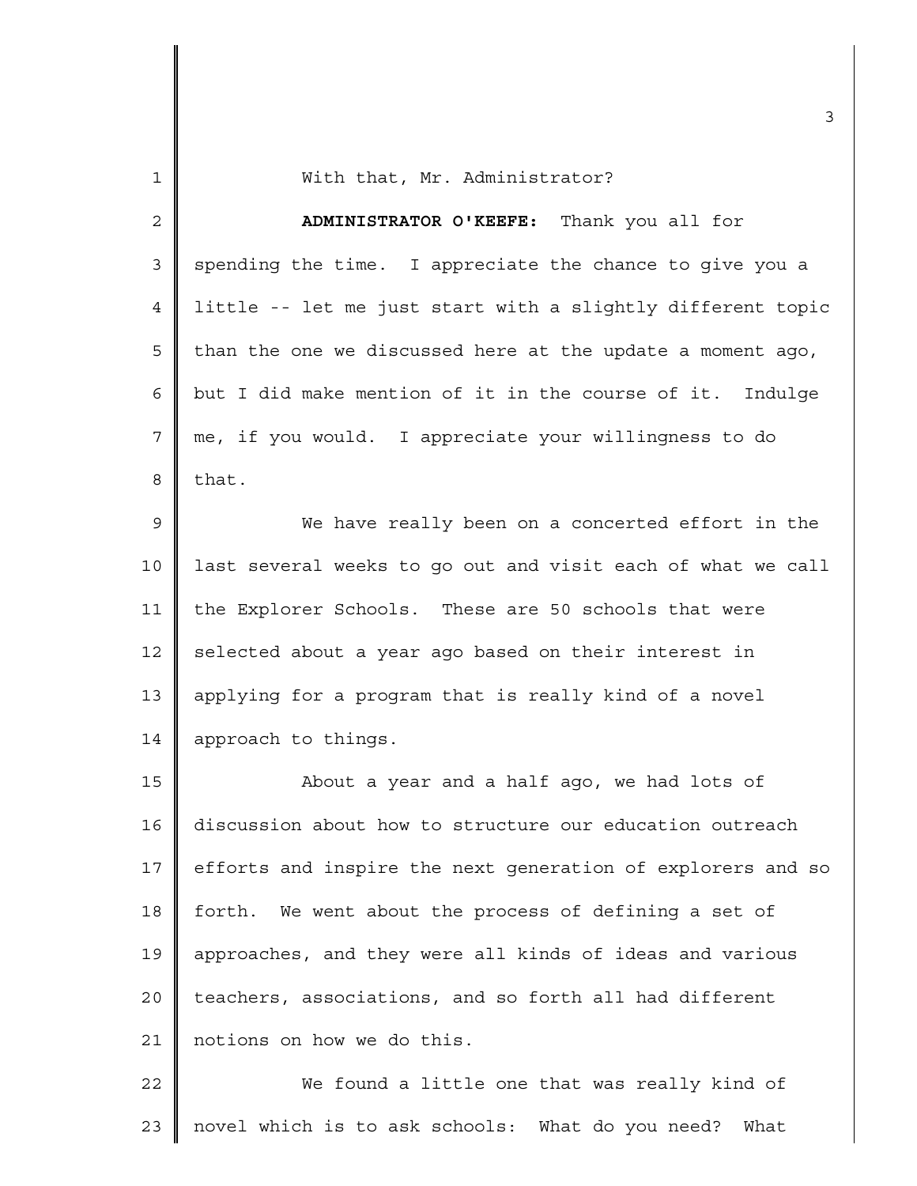| $\mathbf{1}$   | With that, Mr. Administrator?                               |
|----------------|-------------------------------------------------------------|
| $\overline{a}$ | ADMINISTRATOR O'KEEFE: Thank you all for                    |
| 3              | spending the time. I appreciate the chance to give you a    |
| 4              | little -- let me just start with a slightly different topic |
| 5              | than the one we discussed here at the update a moment ago,  |
| 6              | but I did make mention of it in the course of it. Indulge   |
| 7              | me, if you would. I appreciate your willingness to do       |
| 8              | that.                                                       |
| $\mathsf 9$    | We have really been on a concerted effort in the            |
| 10             | last several weeks to go out and visit each of what we call |
| 11             | the Explorer Schools. These are 50 schools that were        |
| 12             | selected about a year ago based on their interest in        |
| 13             | applying for a program that is really kind of a novel       |
| 14             | approach to things.                                         |
| 15             | About a year and a half ago, we had lots of                 |
| 16             | discussion about how to structure our education outreach    |
| 17             | efforts and inspire the next generation of explorers and so |
| 18             | forth. We went about the process of defining a set of       |
| 19             | approaches, and they were all kinds of ideas and various    |
| 20             | teachers, associations, and so forth all had different      |
| 21             | notions on how we do this.                                  |
| 22             | We found a little one that was really kind of               |
| 23             | novel which is to ask schools: What do you need?<br>What    |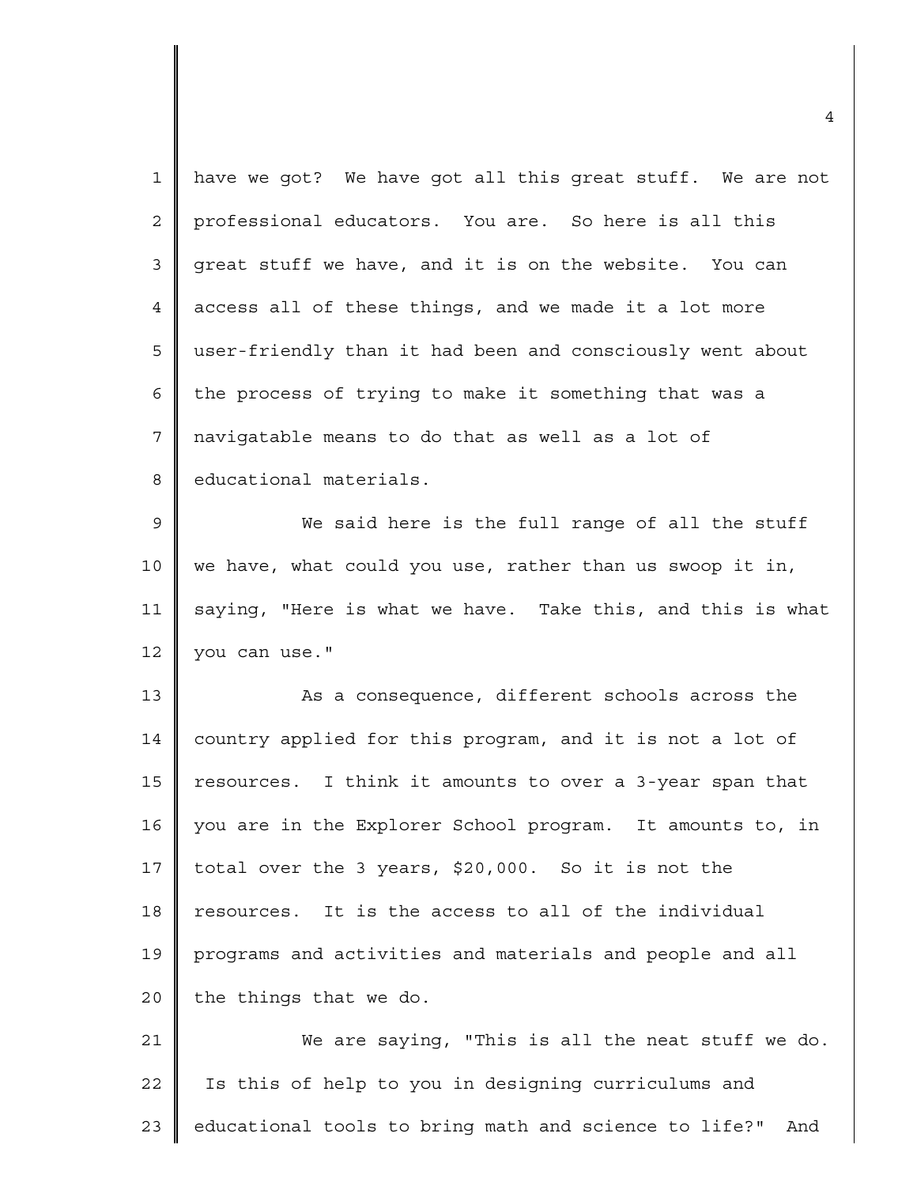| $\mathbf 1$    | have we got? We have got all this great stuff. We are not    |
|----------------|--------------------------------------------------------------|
| $\overline{2}$ | professional educators. You are. So here is all this         |
| $\mathfrak{Z}$ | great stuff we have, and it is on the website. You can       |
| 4              | access all of these things, and we made it a lot more        |
| 5              | user-friendly than it had been and consciously went about    |
| 6              | the process of trying to make it something that was a        |
| 7              | navigatable means to do that as well as a lot of             |
| 8              | educational materials.                                       |
| $\mathsf 9$    | We said here is the full range of all the stuff              |
| 10             | we have, what could you use, rather than us swoop it in,     |
| 11             | saying, "Here is what we have. Take this, and this is what   |
| 12             | you can use."                                                |
| 13             | As a consequence, different schools across the               |
| 14             | country applied for this program, and it is not a lot of     |
| 15             | resources. I think it amounts to over a 3-year span that     |
| 16             | you are in the Explorer School program. It amounts to, in    |
| 17             | total over the 3 years, \$20,000. So it is not the           |
| 18             | resources. It is the access to all of the individual         |
| 19             | programs and activities and materials and people and all     |
| 20             | the things that we do.                                       |
| 21             | We are saying, "This is all the neat stuff we do.            |
| 22             | Is this of help to you in designing curriculums and          |
| 23             | educational tools to bring math and science to life?"<br>And |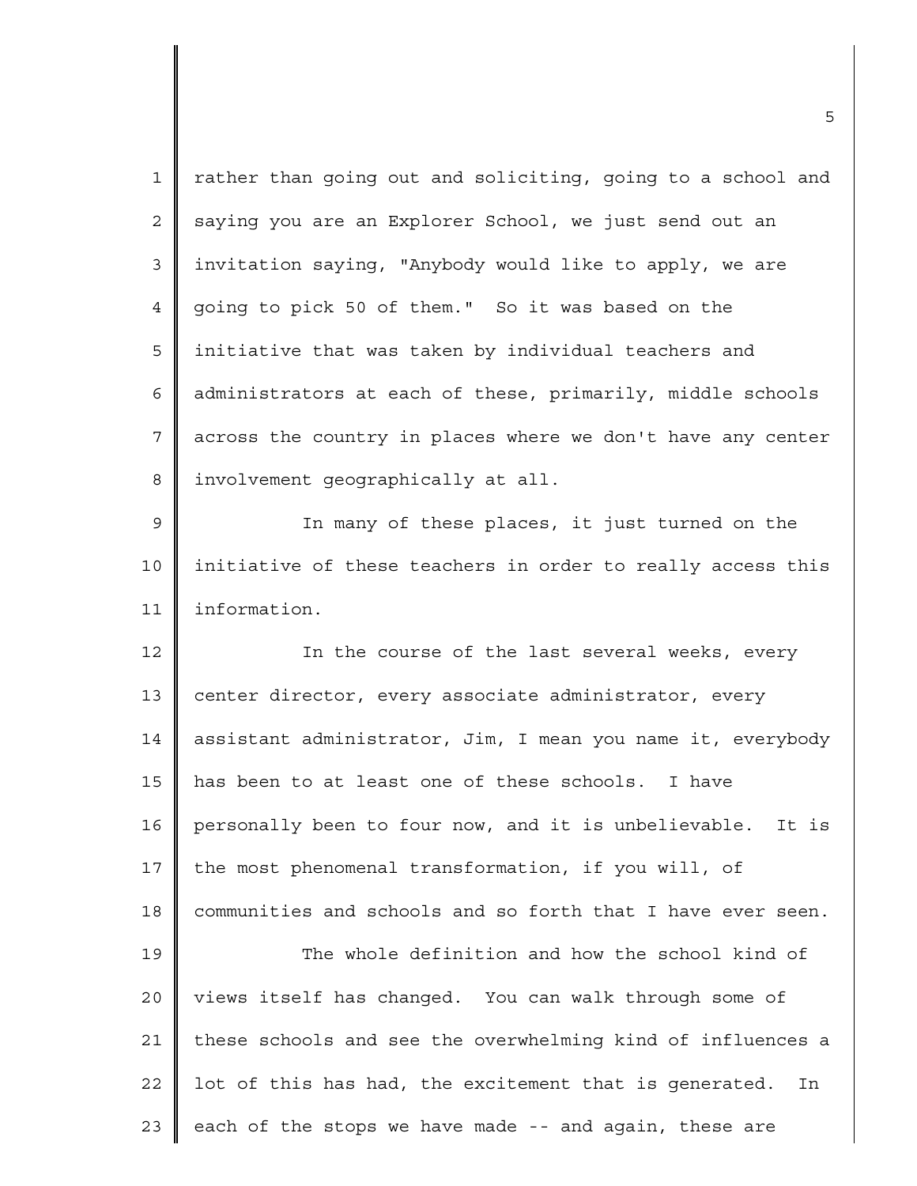| $\mathbf{1}$   | rather than going out and soliciting, going to a school and  |
|----------------|--------------------------------------------------------------|
| $\overline{2}$ | saying you are an Explorer School, we just send out an       |
| 3              | invitation saying, "Anybody would like to apply, we are      |
| 4              | going to pick 50 of them." So it was based on the            |
| 5              | initiative that was taken by individual teachers and         |
| 6              | administrators at each of these, primarily, middle schools   |
| $\overline{7}$ | across the country in places where we don't have any center  |
| 8              | involvement geographically at all.                           |
| $\mathsf 9$    | In many of these places, it just turned on the               |
| 10             | initiative of these teachers in order to really access this  |
| 11             | information.                                                 |
| 12             | In the course of the last several weeks, every               |
| 13             | center director, every associate administrator, every        |
|                |                                                              |
| 14             | assistant administrator, Jim, I mean you name it, everybody  |
|                | has been to at least one of these schools. I have            |
|                | personally been to four now, and it is unbelievable. It is   |
| 15<br>16<br>17 | the most phenomenal transformation, if you will, of          |
|                | communities and schools and so forth that I have ever seen.  |
| 18<br>19       | The whole definition and how the school kind of              |
| 20             | views itself has changed. You can walk through some of       |
| 21             | these schools and see the overwhelming kind of influences a  |
| 22             | lot of this has had, the excitement that is generated.<br>In |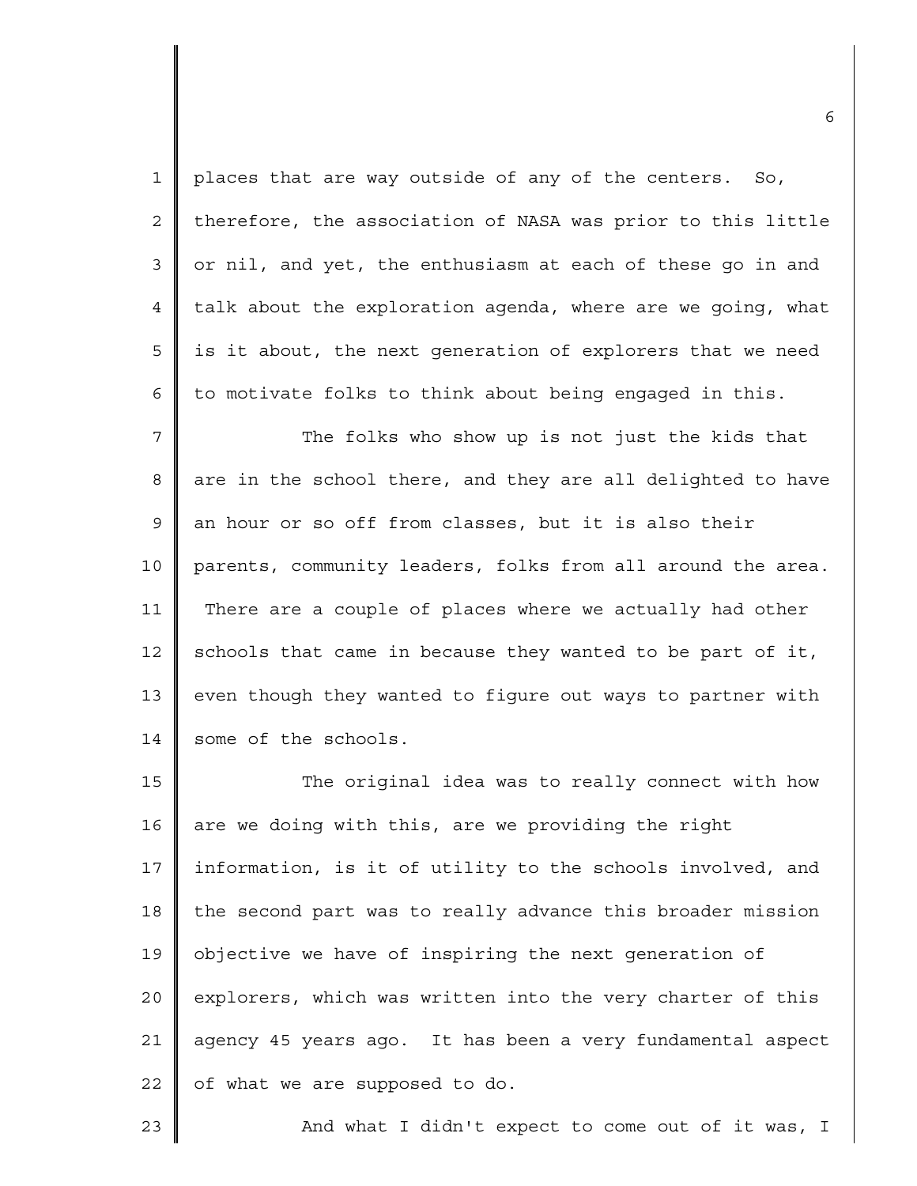1 2 3 4 5 6 7 8 9 10 11 12 13 14 15 16 17 18 19 places that are way outside of any of the centers. So, therefore, the association of NASA was prior to this little or nil, and yet, the enthusiasm at each of these go in and talk about the exploration agenda, where are we going, what is it about, the next generation of explorers that we need to motivate folks to think about being engaged in this. The folks who show up is not just the kids that are in the school there, and they are all delighted to have an hour or so off from classes, but it is also their parents, community leaders, folks from all around the area. There are a couple of places where we actually had other schools that came in because they wanted to be part of it, even though they wanted to figure out ways to partner with some of the schools. The original idea was to really connect with how are we doing with this, are we providing the right information, is it of utility to the schools involved, and the second part was to really advance this broader mission objective we have of inspiring the next generation of

20 21 22 explorers, which was written into the very charter of this agency 45 years ago. It has been a very fundamental aspect of what we are supposed to do.

23

And what I didn't expect to come out of it was, I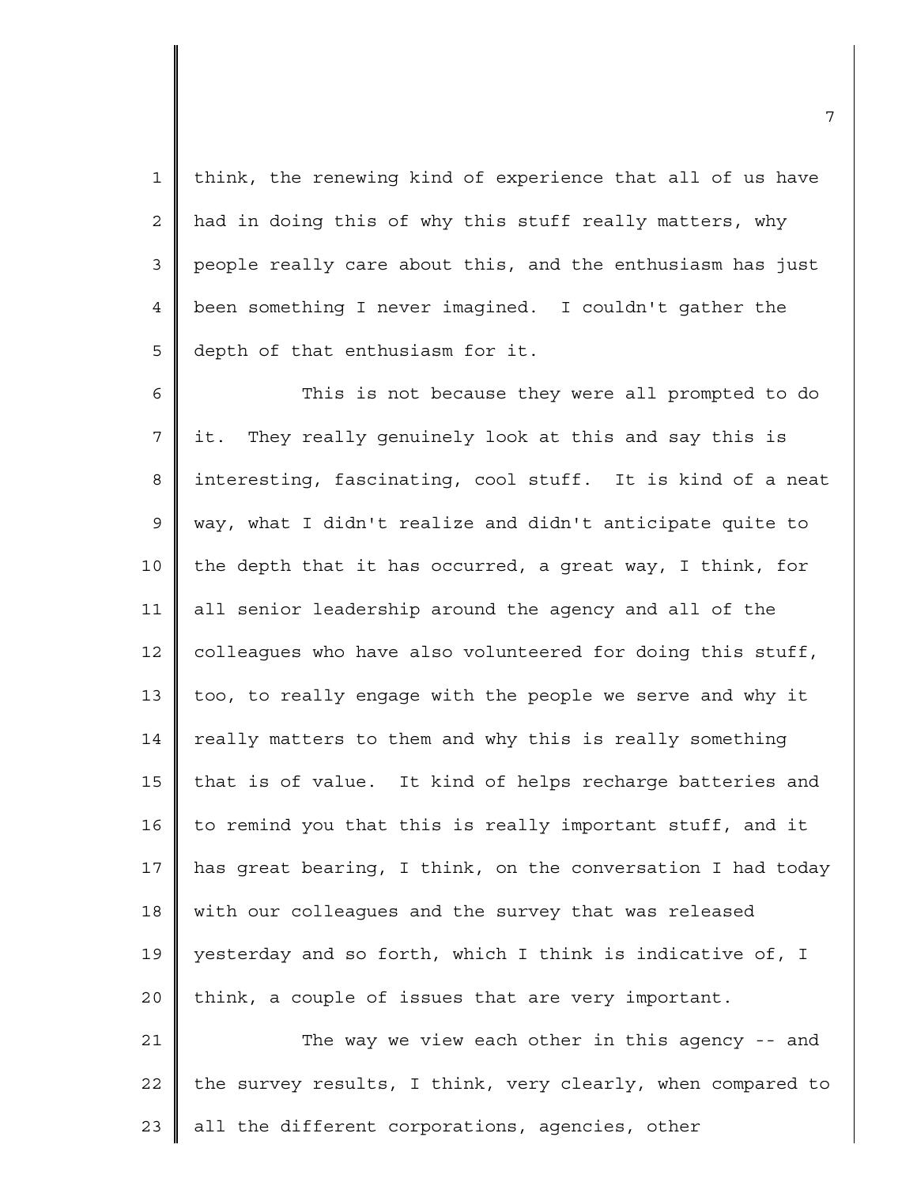1 2 3 4 5 think, the renewing kind of experience that all of us have had in doing this of why this stuff really matters, why people really care about this, and the enthusiasm has just been something I never imagined. I couldn't gather the depth of that enthusiasm for it.

6 7 8 9 10 11 12 13 14 15 16 17 18 19 20 This is not because they were all prompted to do it. They really genuinely look at this and say this is interesting, fascinating, cool stuff. It is kind of a neat way, what I didn't realize and didn't anticipate quite to the depth that it has occurred, a great way, I think, for all senior leadership around the agency and all of the colleagues who have also volunteered for doing this stuff, too, to really engage with the people we serve and why it really matters to them and why this is really something that is of value. It kind of helps recharge batteries and to remind you that this is really important stuff, and it has great bearing, I think, on the conversation I had today with our colleagues and the survey that was released yesterday and so forth, which I think is indicative of, I think, a couple of issues that are very important.

21 22 23 The way we view each other in this agency -- and the survey results, I think, very clearly, when compared to all the different corporations, agencies, other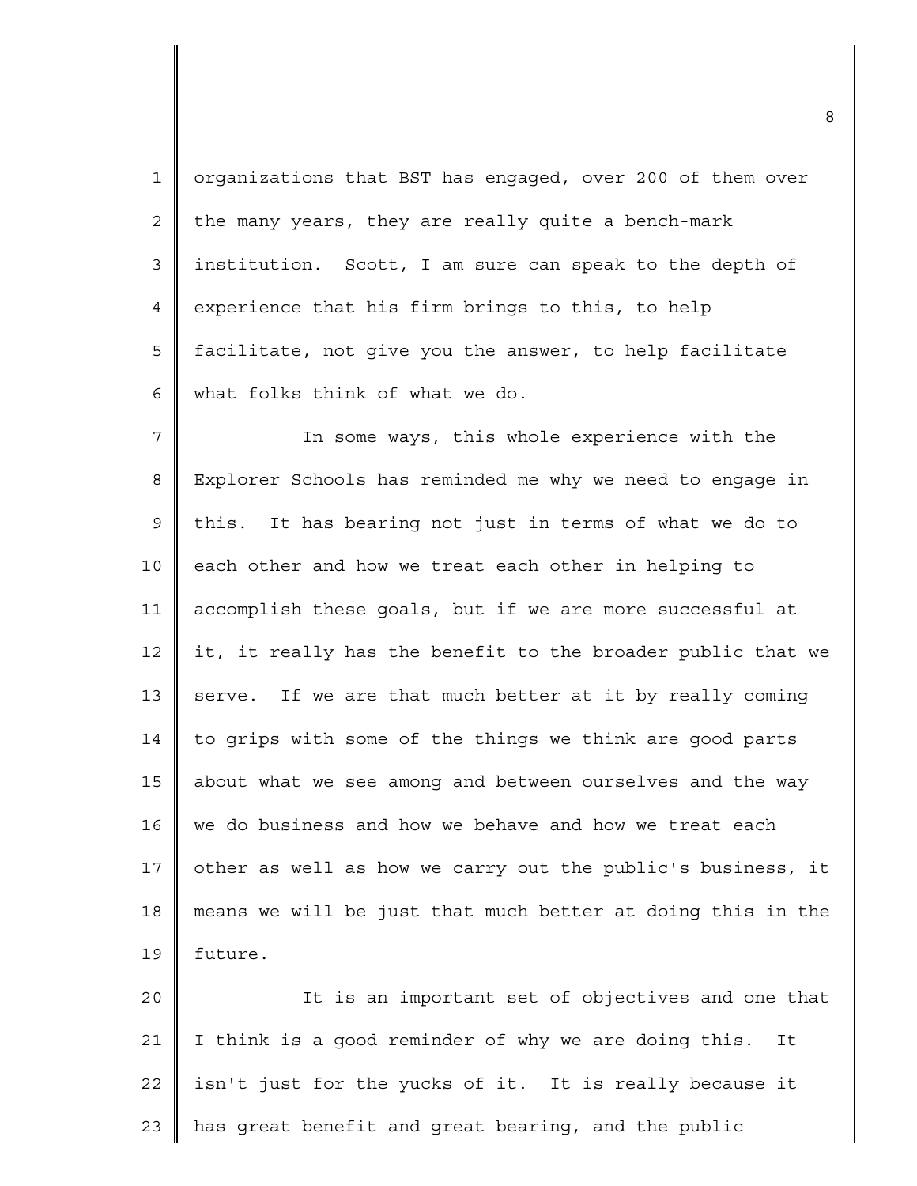1 2 3 4 5 6 organizations that BST has engaged, over 200 of them over the many years, they are really quite a bench-mark institution. Scott, I am sure can speak to the depth of experience that his firm brings to this, to help facilitate, not give you the answer, to help facilitate what folks think of what we do.

7 8 9 10 11 12 13 14 15 16 17 18 19 In some ways, this whole experience with the Explorer Schools has reminded me why we need to engage in this. It has bearing not just in terms of what we do to each other and how we treat each other in helping to accomplish these goals, but if we are more successful at it, it really has the benefit to the broader public that we serve. If we are that much better at it by really coming to grips with some of the things we think are good parts about what we see among and between ourselves and the way we do business and how we behave and how we treat each other as well as how we carry out the public's business, it means we will be just that much better at doing this in the future.

 $2.0$ 21 22 23 It is an important set of objectives and one that I think is a good reminder of why we are doing this. It isn't just for the yucks of it. It is really because it has great benefit and great bearing, and the public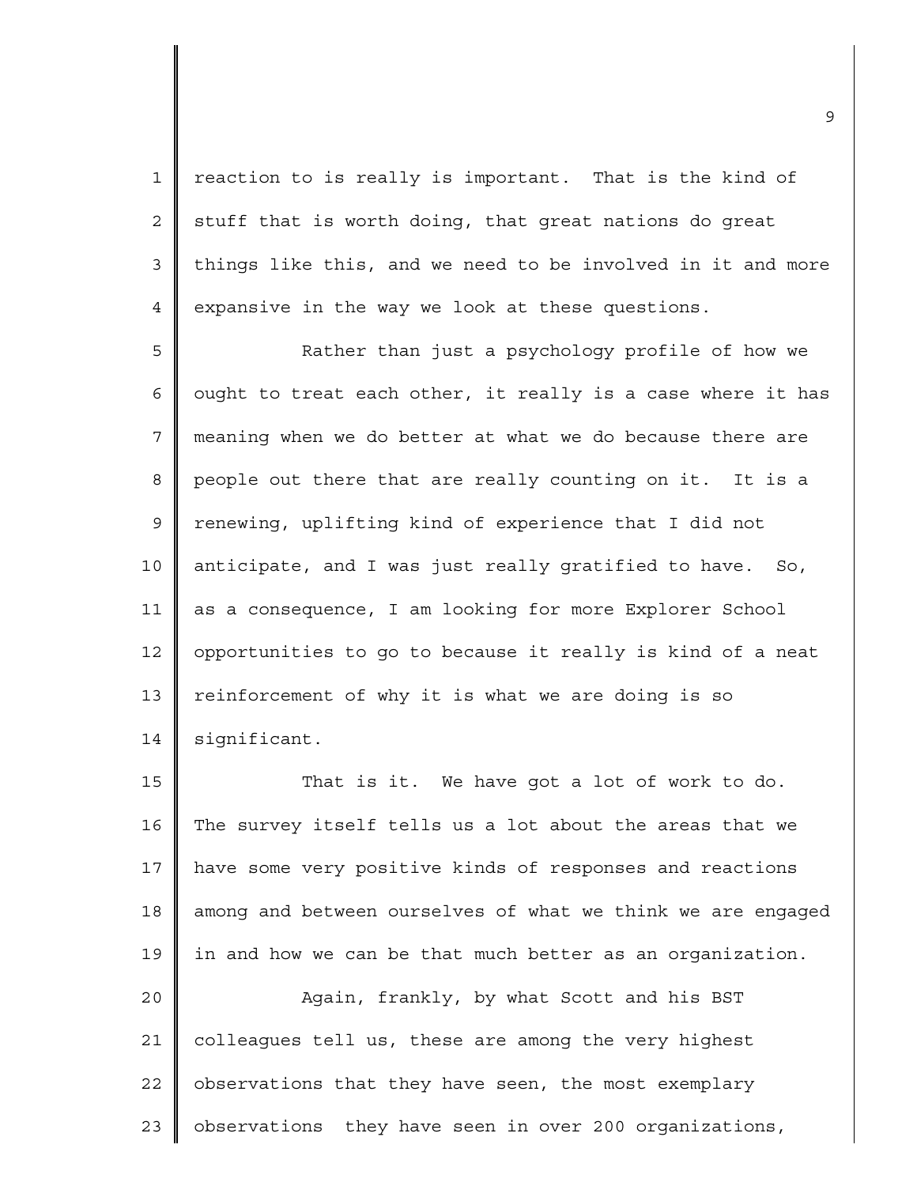1 2 3 4 reaction to is really is important. That is the kind of stuff that is worth doing, that great nations do great things like this, and we need to be involved in it and more expansive in the way we look at these questions.

5 6 7 8 9 10 11 12 13 14 Rather than just a psychology profile of how we ought to treat each other, it really is a case where it has meaning when we do better at what we do because there are people out there that are really counting on it. It is a renewing, uplifting kind of experience that I did not anticipate, and I was just really gratified to have. So, as a consequence, I am looking for more Explorer School opportunities to go to because it really is kind of a neat reinforcement of why it is what we are doing is so significant.

15 16 17 18 19  $2.0$ 21 22 23 That is it. We have got a lot of work to do. The survey itself tells us a lot about the areas that we have some very positive kinds of responses and reactions among and between ourselves of what we think we are engaged in and how we can be that much better as an organization. Again, frankly, by what Scott and his BST colleagues tell us, these are among the very highest observations that they have seen, the most exemplary observations they have seen in over 200 organizations,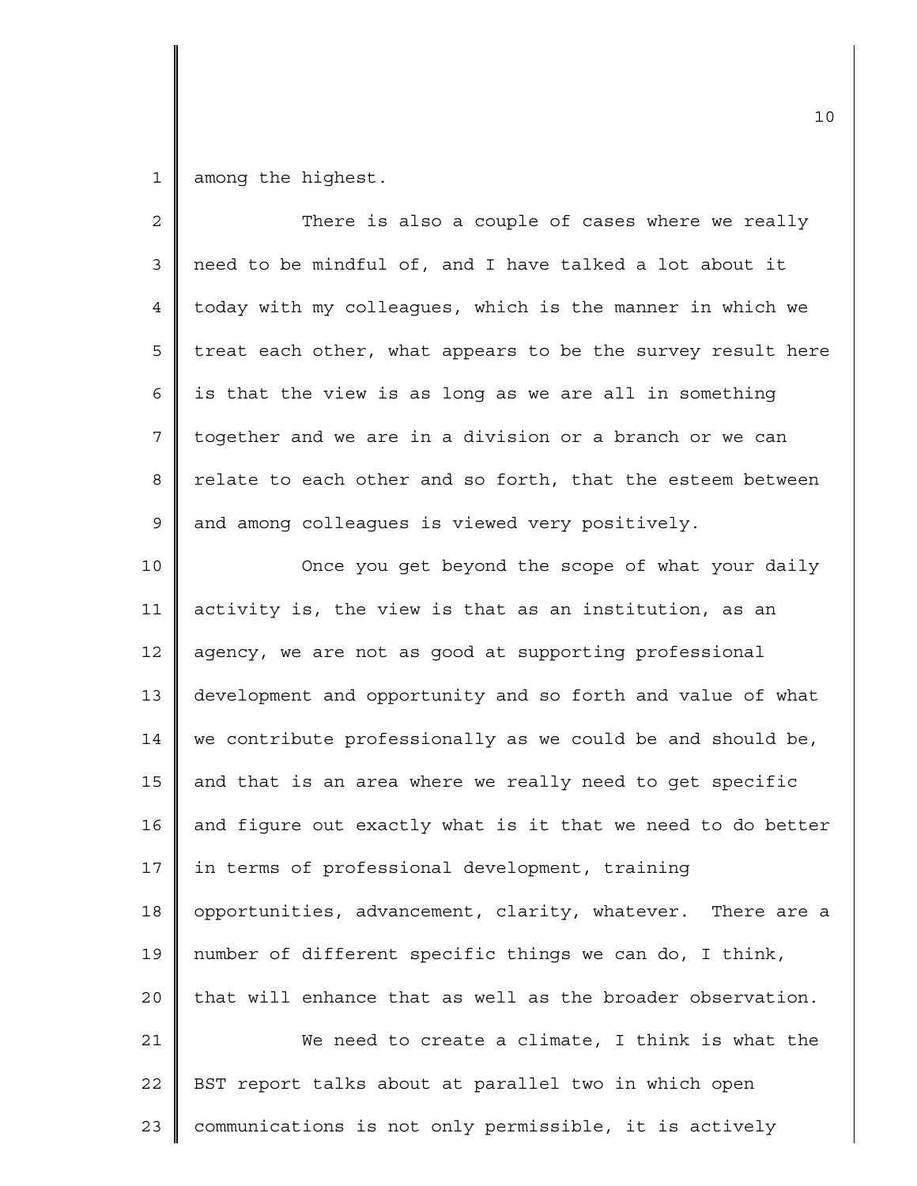1 among the highest.

| $\overline{2}$ | There is also a couple of cases where we really             |
|----------------|-------------------------------------------------------------|
| 3              | need to be mindful of, and I have talked a lot about it     |
| $\overline{4}$ | today with my colleagues, which is the manner in which we   |
| 5              | treat each other, what appears to be the survey result here |
| 6              | is that the view is as long as we are all in something      |
| 7              | together and we are in a division or a branch or we can     |
| 8              | relate to each other and so forth, that the esteem between  |
| $\mathsf 9$    | and among colleagues is viewed very positively.             |
| 10             | Once you get beyond the scope of what your daily            |
| 11             | activity is, the view is that as an institution, as an      |
| 12             | agency, we are not as good at supporting professional       |
| 13             | development and opportunity and so forth and value of what  |
| 14             | we contribute professionally as we could be and should be,  |
| 15             | and that is an area where we really need to get specific    |
| 16             | and figure out exactly what is it that we need to do better |
| 17             | in terms of professional development, training              |
| 18             | opportunities, advancement, clarity, whatever. There are a  |
| 19             | number of different specific things we can do, I think,     |
| 20             | that will enhance that as well as the broader observation.  |
| 21             | We need to create a climate, I think is what the            |
| 22             | BST report talks about at parallel two in which open        |
| 23             | communications is not only permissible, it is actively      |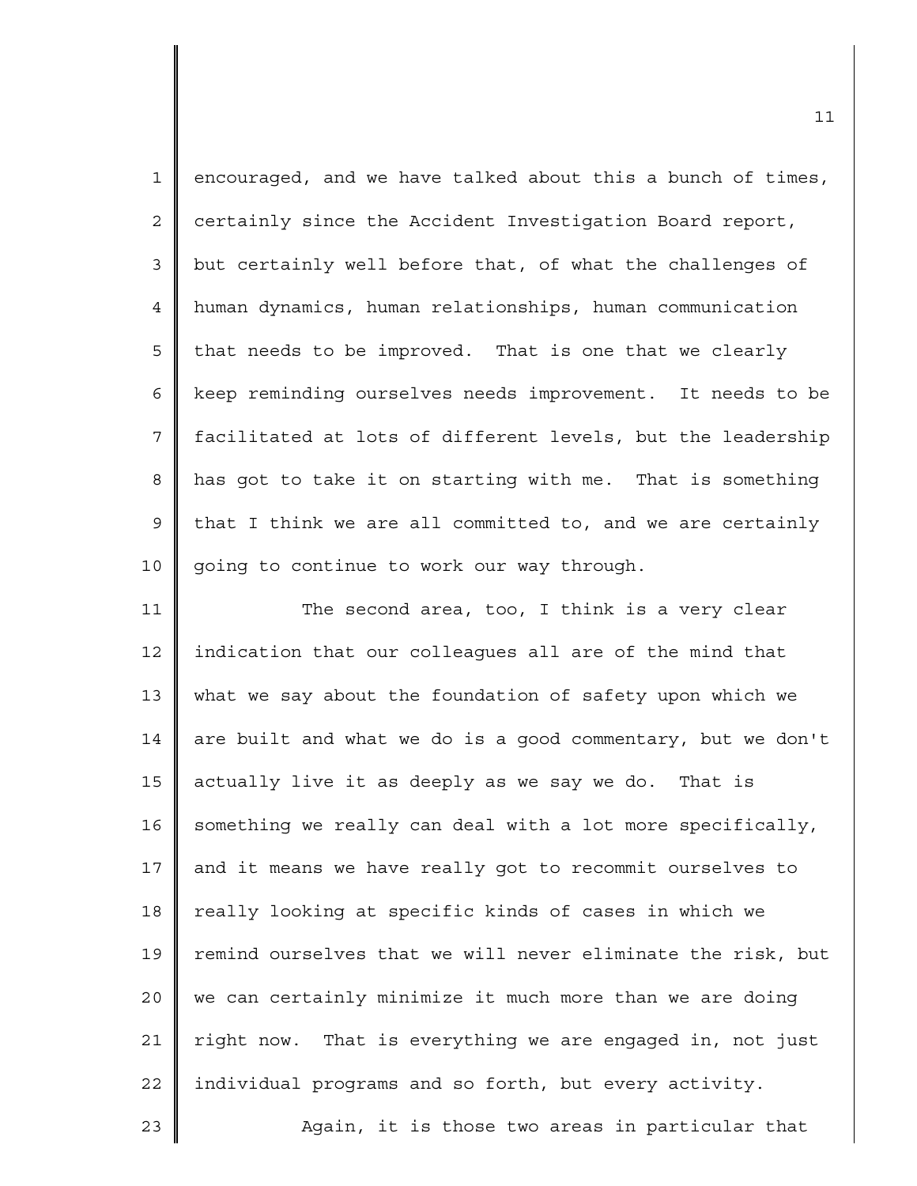| $\mathbf 1$    | encouraged, and we have talked about this a bunch of times, |
|----------------|-------------------------------------------------------------|
| $\overline{c}$ | certainly since the Accident Investigation Board report,    |
| $\mathfrak{Z}$ | but certainly well before that, of what the challenges of   |
| $\overline{4}$ | human dynamics, human relationships, human communication    |
| 5              | that needs to be improved. That is one that we clearly      |
| 6              | keep reminding ourselves needs improvement. It needs to be  |
| 7              | facilitated at lots of different levels, but the leadership |
| 8              | has got to take it on starting with me. That is something   |
| 9              | that I think we are all committed to, and we are certainly  |
| 10             | going to continue to work our way through.                  |
| 11             | The second area, too, I think is a very clear               |
| 12             | indication that our colleagues all are of the mind that     |
| 13             | what we say about the foundation of safety upon which we    |
| 14             | are built and what we do is a good commentary, but we don't |
| 15             | actually live it as deeply as we say we do. That is         |
| 16             | something we really can deal with a lot more specifically,  |
| 17             | and it means we have really got to recommit ourselves to    |
| 18             | really looking at specific kinds of cases in which we       |
| 19             | remind ourselves that we will never eliminate the risk, but |
| 20             | we can certainly minimize it much more than we are doing    |
| 21             | right now. That is everything we are engaged in, not just   |
| 22             | individual programs and so forth, but every activity.       |
| 23             | Again, it is those two areas in particular that             |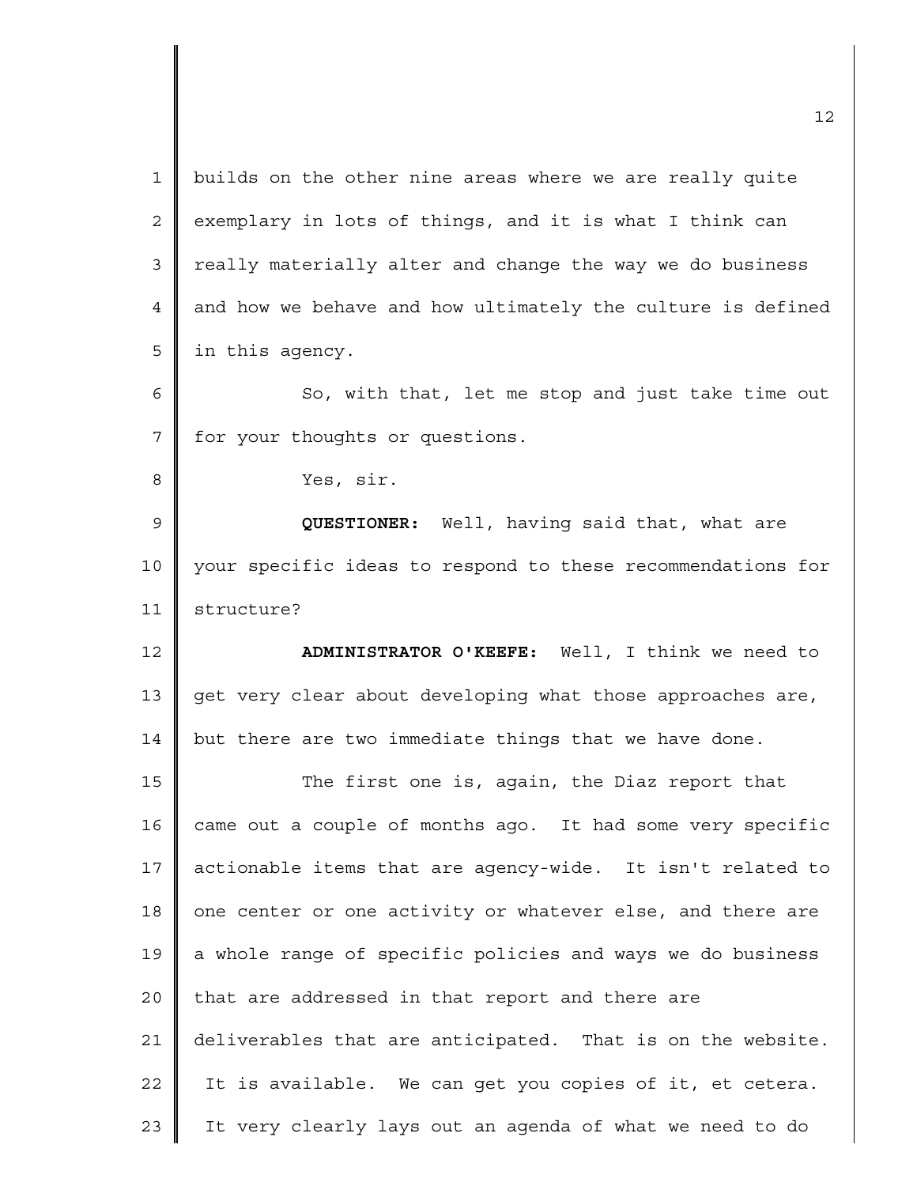1 2 3 4 5 6 7 8 9 10 11 12 13 14 15 16 17 18 19 20 21 22 23 builds on the other nine areas where we are really quite exemplary in lots of things, and it is what I think can really materially alter and change the way we do business and how we behave and how ultimately the culture is defined in this agency. So, with that, let me stop and just take time out for your thoughts or questions. Yes, sir. **QUESTIONER:** Well, having said that, what are your specific ideas to respond to these recommendations for structure? **ADMINISTRATOR O'KEEFE:** Well, I think we need to get very clear about developing what those approaches are, but there are two immediate things that we have done. The first one is, again, the Diaz report that came out a couple of months ago. It had some very specific actionable items that are agency-wide. It isn't related to one center or one activity or whatever else, and there are a whole range of specific policies and ways we do business that are addressed in that report and there are deliverables that are anticipated. That is on the website. It is available. We can get you copies of it, et cetera. It very clearly lays out an agenda of what we need to do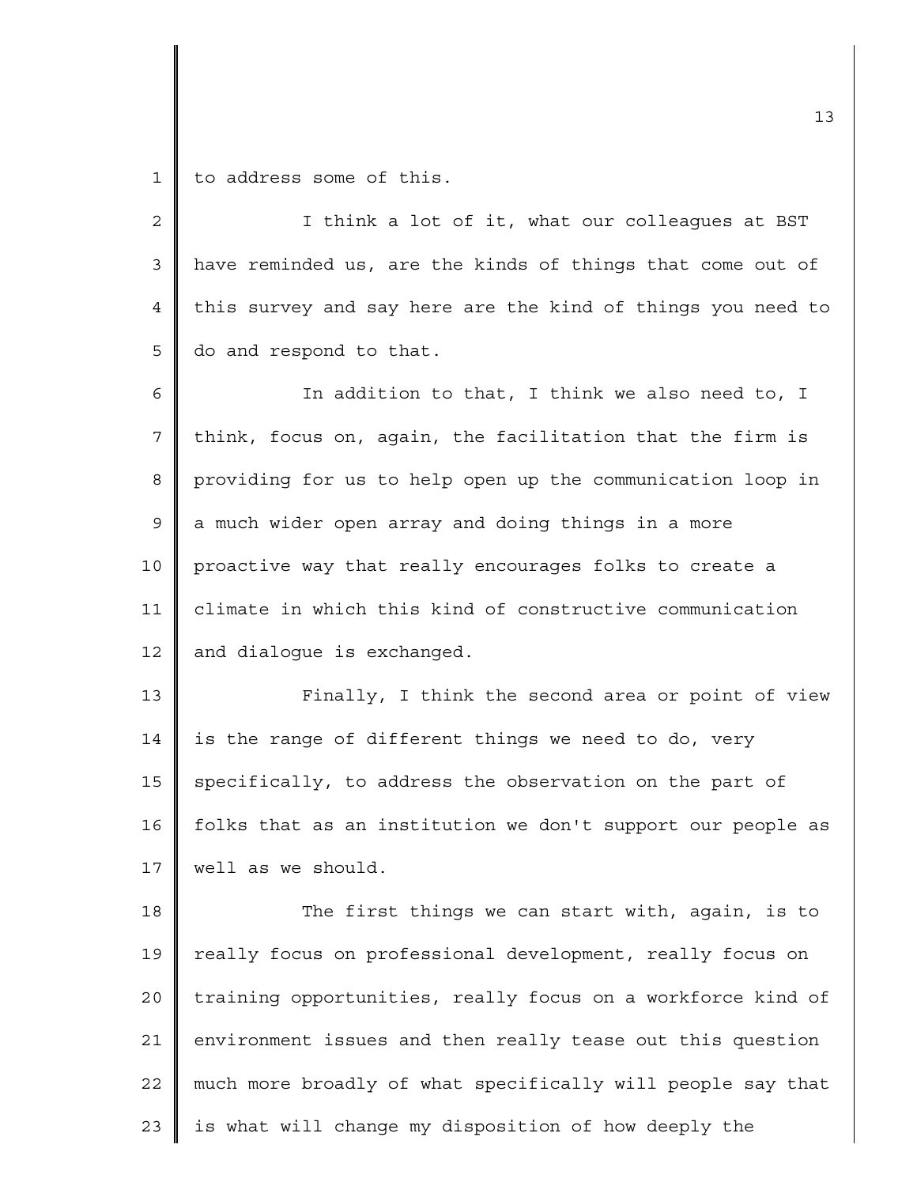1 to address some of this.

| $\overline{2}$ | I think a lot of it, what our colleagues at BST             |
|----------------|-------------------------------------------------------------|
| 3              | have reminded us, are the kinds of things that come out of  |
| 4              | this survey and say here are the kind of things you need to |
| 5              | do and respond to that.                                     |
| 6              | In addition to that, I think we also need to, I             |
| $\overline{7}$ | think, focus on, again, the facilitation that the firm is   |
| 8              | providing for us to help open up the communication loop in  |
| 9              | a much wider open array and doing things in a more          |
| 10             | proactive way that really encourages folks to create a      |
| 11             | climate in which this kind of constructive communication    |
| 12             | and dialogue is exchanged.                                  |
| 13             | Finally, I think the second area or point of view           |
| 14             | is the range of different things we need to do, very        |
| 15             | specifically, to address the observation on the part of     |
| 16             | folks that as an institution we don't support our people as |
| 17             | well as we should.                                          |
| 18             | The first things we can start with, again, is to            |
| 19             | really focus on professional development, really focus on   |
| 20             | training opportunities, really focus on a workforce kind of |
| 21             | environment issues and then really tease out this question  |
| 22             | much more broadly of what specifically will people say that |
| 23             | is what will change my disposition of how deeply the        |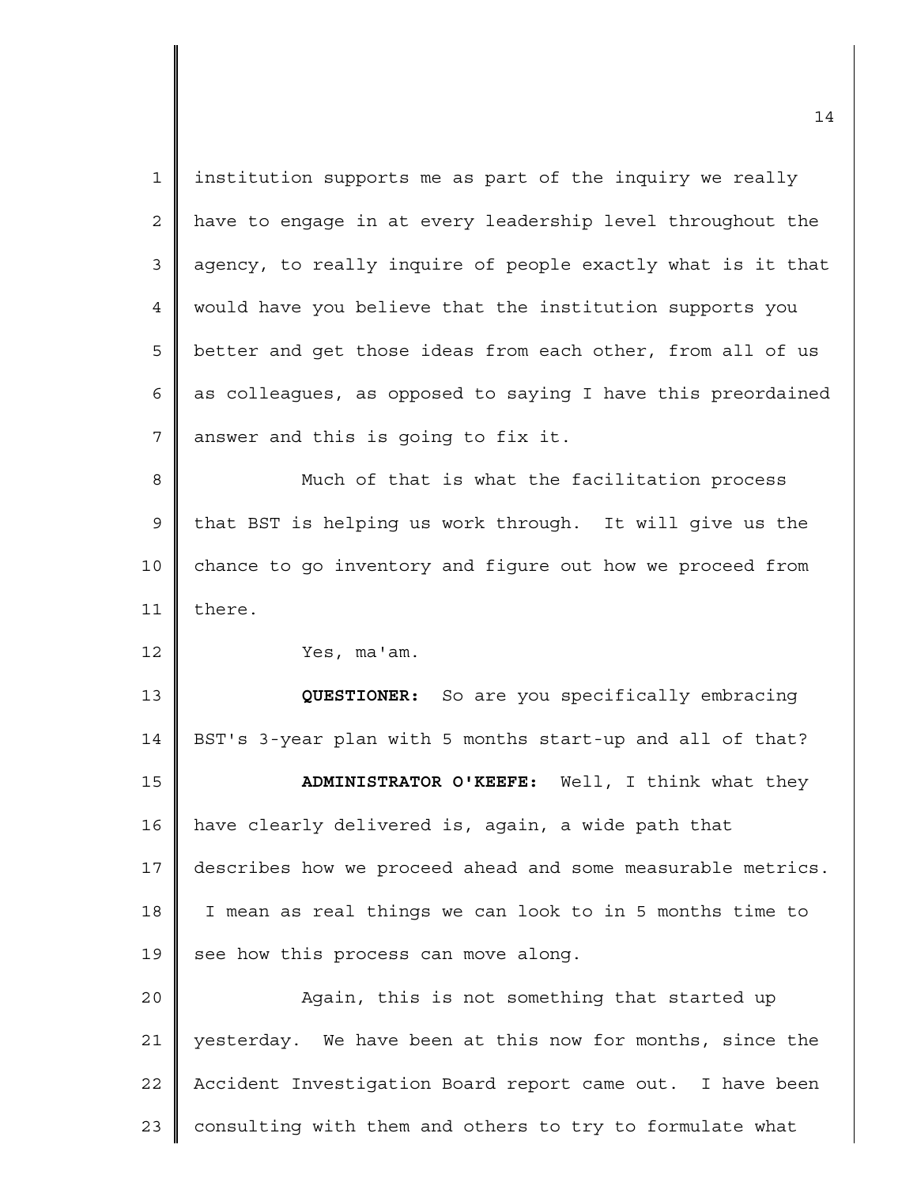| $\mathbf{1}$ | institution supports me as part of the inquiry we really    |
|--------------|-------------------------------------------------------------|
| 2            | have to engage in at every leadership level throughout the  |
| 3            | agency, to really inquire of people exactly what is it that |
| 4            | would have you believe that the institution supports you    |
| 5            | better and get those ideas from each other, from all of us  |
| 6            | as colleagues, as opposed to saying I have this preordained |
| 7            | answer and this is going to fix it.                         |
| 8            | Much of that is what the facilitation process               |
| $\mathsf 9$  | that BST is helping us work through. It will give us the    |
| 10           | chance to go inventory and figure out how we proceed from   |
| 11           | there.                                                      |
| 12           | Yes, ma'am.                                                 |
| 13           | QUESTIONER: So are you specifically embracing               |
| 14           | BST's 3-year plan with 5 months start-up and all of that?   |
| 15           | ADMINISTRATOR O'KEEFE: Well, I think what they              |
| 16           | have clearly delivered is, again, a wide path that          |
| 17           | describes how we proceed ahead and some measurable metrics. |
| 18           | I mean as real things we can look to in 5 months time to    |
| 19           | see how this process can move along.                        |
| 20           | Again, this is not something that started up                |
| 21           |                                                             |
|              | yesterday. We have been at this now for months, since the   |
| 22           | Accident Investigation Board report came out. I have been   |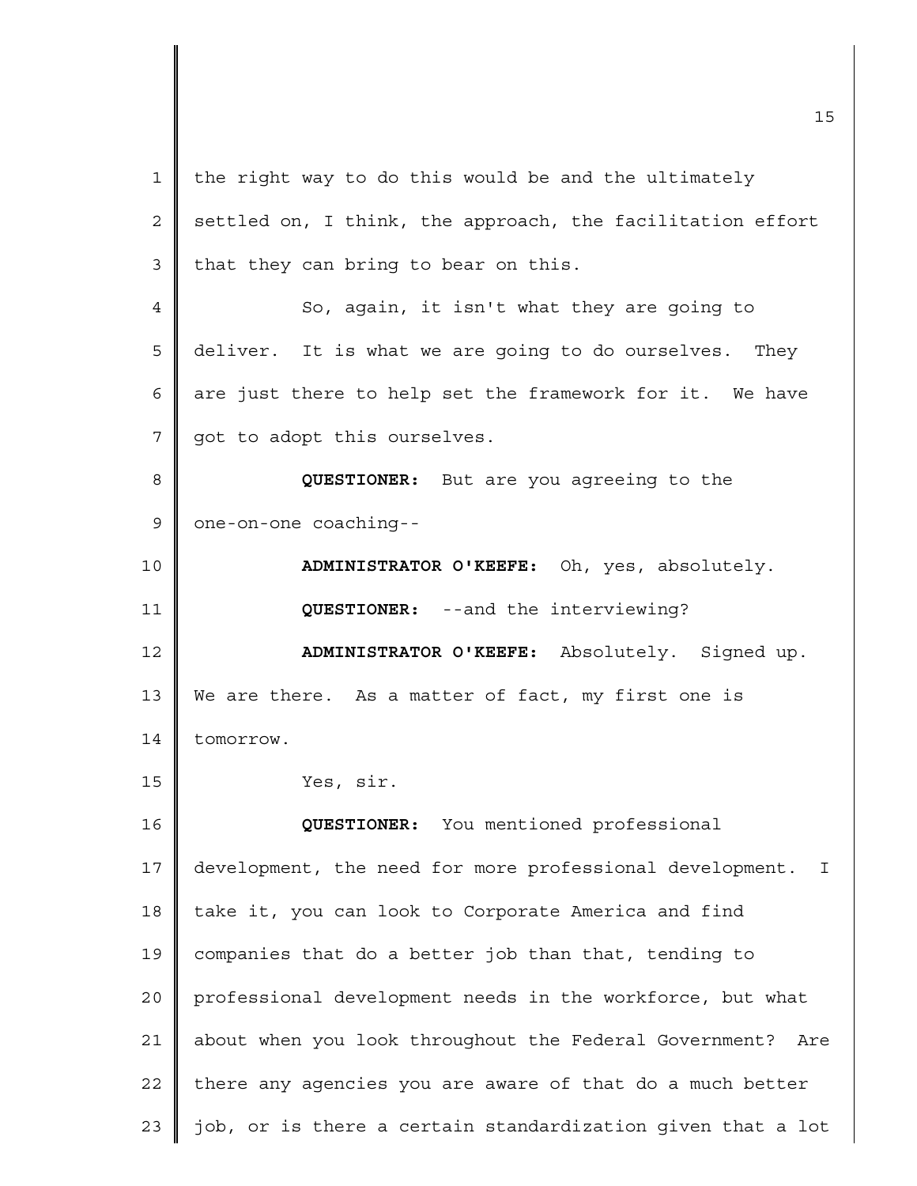1 2 3 4 5 6 7 8 9 10 11 12 13 14 15 16 17 18 19 20 21 22 23 the right way to do this would be and the ultimately settled on, I think, the approach, the facilitation effort that they can bring to bear on this. So, again, it isn't what they are going to deliver. It is what we are going to do ourselves. They are just there to help set the framework for it. We have got to adopt this ourselves. **QUESTIONER:** But are you agreeing to the one-on-one coaching-- **ADMINISTRATOR O'KEEFE:** Oh, yes, absolutely. **QUESTIONER:** --and the interviewing? **ADMINISTRATOR O'KEEFE:** Absolutely. Signed up. We are there. As a matter of fact, my first one is tomorrow. Yes, sir. **QUESTIONER:** You mentioned professional development, the need for more professional development. I take it, you can look to Corporate America and find companies that do a better job than that, tending to professional development needs in the workforce, but what about when you look throughout the Federal Government? Are there any agencies you are aware of that do a much better job, or is there a certain standardization given that a lot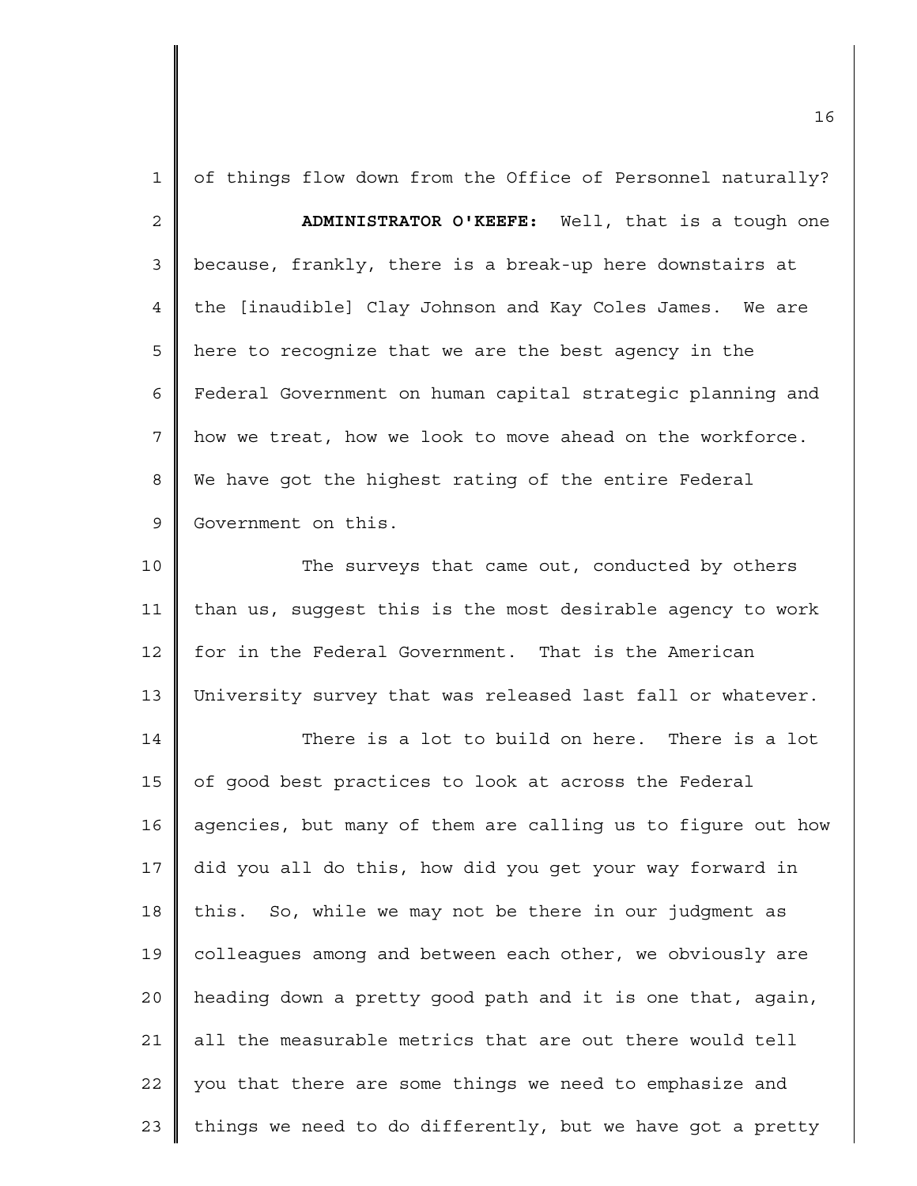| $\mathbf{1}$   | of things flow down from the Office of Personnel naturally? |
|----------------|-------------------------------------------------------------|
| $\overline{2}$ | ADMINISTRATOR O'KEEFE: Well, that is a tough one            |
| 3              | because, frankly, there is a break-up here downstairs at    |
| 4              | the [inaudible] Clay Johnson and Kay Coles James. We are    |
| 5              | here to recognize that we are the best agency in the        |
| 6              | Federal Government on human capital strategic planning and  |
| 7              | how we treat, how we look to move ahead on the workforce.   |
| 8              | We have got the highest rating of the entire Federal        |
| 9              | Government on this.                                         |
| 10             | The surveys that came out, conducted by others              |
| 11             | than us, suggest this is the most desirable agency to work  |
| 12             | for in the Federal Government. That is the American         |
| 13             | University survey that was released last fall or whatever.  |
| 14             | There is a lot to build on here. There is a lot             |
| 15             | of good best practices to look at across the Federal        |
| 16             | agencies, but many of them are calling us to figure out how |
| 17             | did you all do this, how did you get your way forward in    |
| 18             | this. So, while we may not be there in our judgment as      |
| 19             | colleagues among and between each other, we obviously are   |
| 20             | heading down a pretty good path and it is one that, again,  |
| 21             | all the measurable metrics that are out there would tell    |
| 22             | you that there are some things we need to emphasize and     |
| 23             | things we need to do differently, but we have got a pretty  |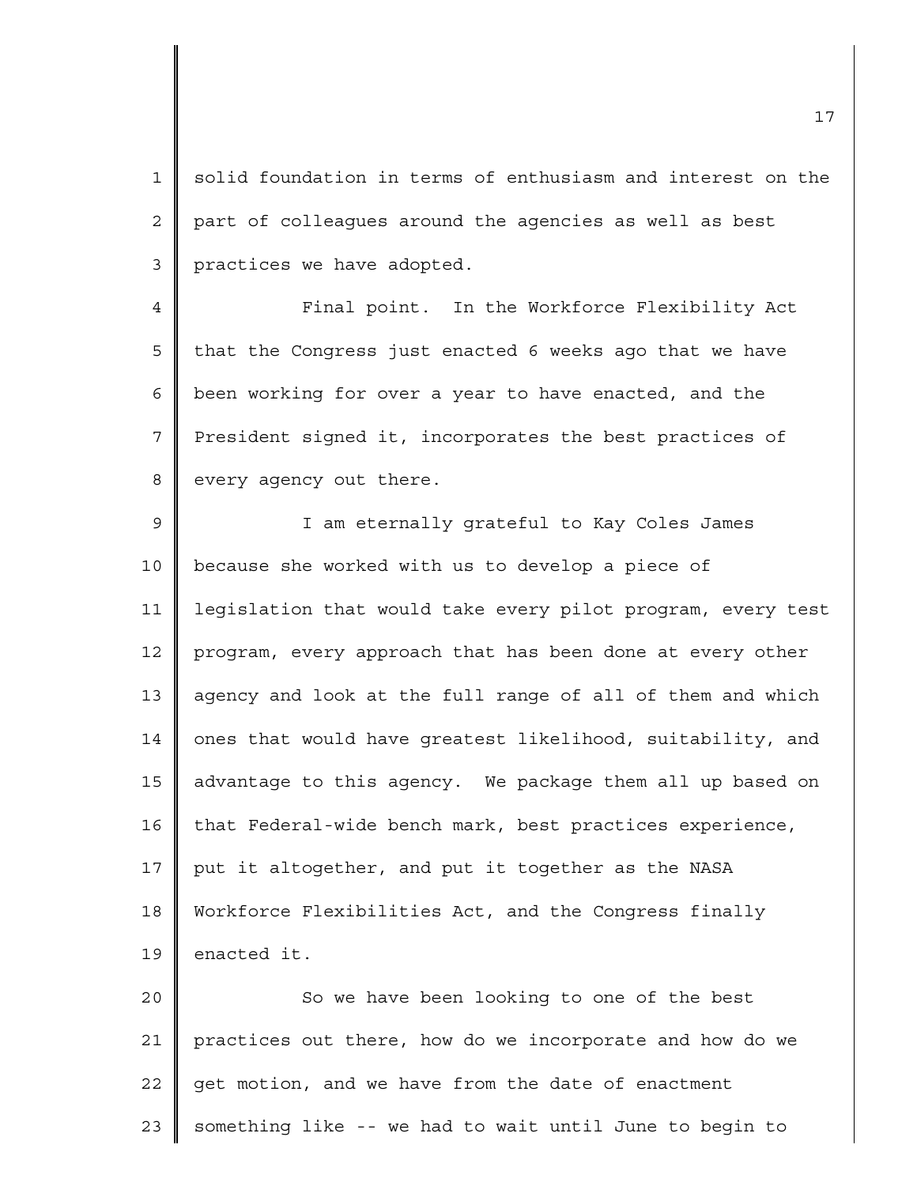1 2 3 solid foundation in terms of enthusiasm and interest on the part of colleagues around the agencies as well as best practices we have adopted.

4 5 6 7 8 Final point. In the Workforce Flexibility Act that the Congress just enacted 6 weeks ago that we have been working for over a year to have enacted, and the President signed it, incorporates the best practices of every agency out there.

9 10 11 12 13 14 15 16 17 18 19 I am eternally grateful to Kay Coles James because she worked with us to develop a piece of legislation that would take every pilot program, every test program, every approach that has been done at every other agency and look at the full range of all of them and which ones that would have greatest likelihood, suitability, and advantage to this agency. We package them all up based on that Federal-wide bench mark, best practices experience, put it altogether, and put it together as the NASA Workforce Flexibilities Act, and the Congress finally enacted it.

 $2.0$ 21 22 23 So we have been looking to one of the best practices out there, how do we incorporate and how do we get motion, and we have from the date of enactment something like -- we had to wait until June to begin to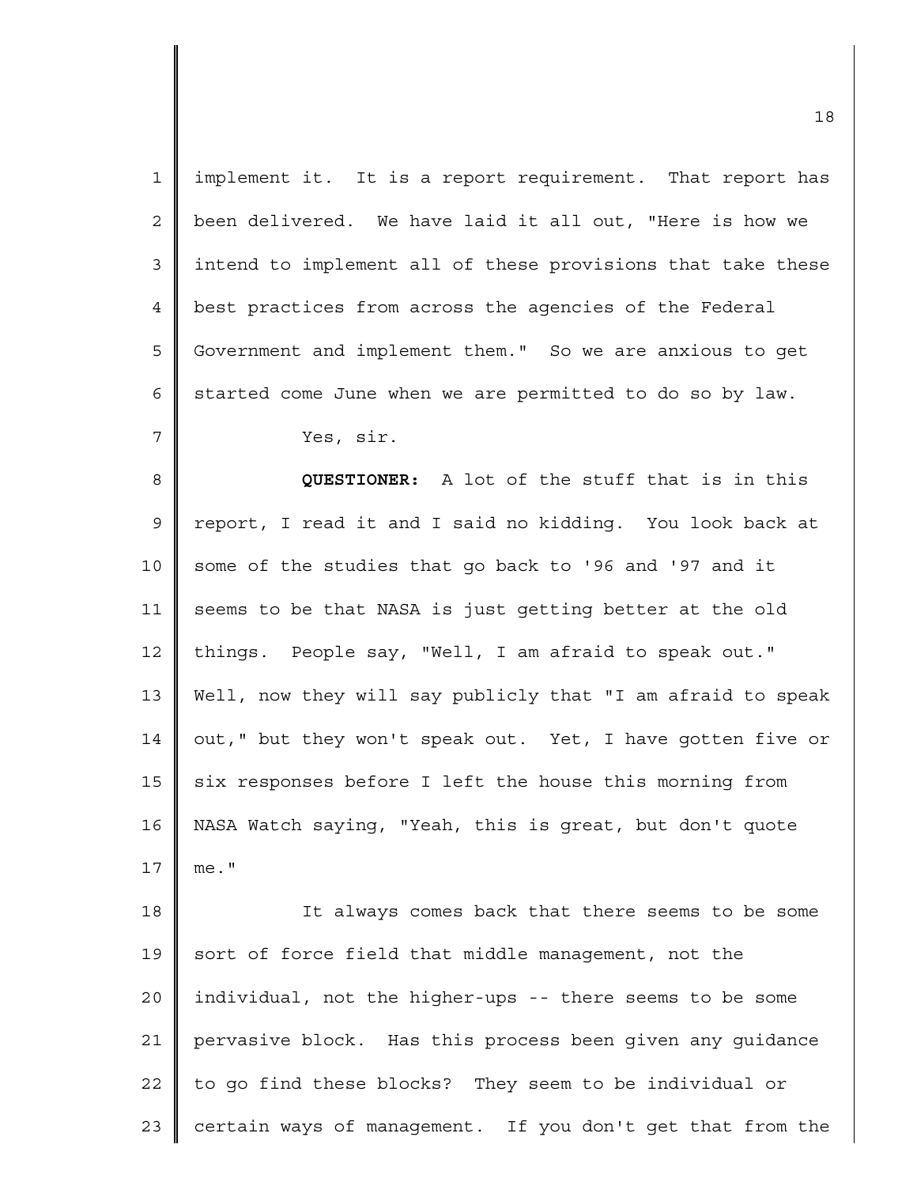| $\mathbf 1$ | implement it. It is a report requirement. That report has   |
|-------------|-------------------------------------------------------------|
| $\mathbf 2$ | been delivered. We have laid it all out, "Here is how we    |
| 3           | intend to implement all of these provisions that take these |
| 4           | best practices from across the agencies of the Federal      |
| 5           | Government and implement them." So we are anxious to get    |
| 6           | started come June when we are permitted to do so by law.    |
| 7           | Yes, sir.                                                   |
| 8           | QUESTIONER: A lot of the stuff that is in this              |
| 9           | report, I read it and I said no kidding. You look back at   |
| 10          | some of the studies that go back to '96 and '97 and it      |
| 11          | seems to be that NASA is just getting better at the old     |
| 12          | things. People say, "Well, I am afraid to speak out."       |
| 13          | Well, now they will say publicly that "I am afraid to speak |
| 14          | out," but they won't speak out. Yet, I have gotten five or  |
| 15          | six responses before I left the house this morning from     |
| 16          | NASA Watch saying, "Yeah, this is great, but don't quote    |
| 17          | $me.$ "                                                     |
| 18          | It always comes back that there seems to be some            |
| 19          | sort of force field that middle management, not the         |
| 20          | individual, not the higher-ups -- there seems to be some    |
| 21          | pervasive block. Has this process been given any guidance   |
| 22          | to go find these blocks? They seem to be individual or      |
| 23          | certain ways of management. If you don't get that from the  |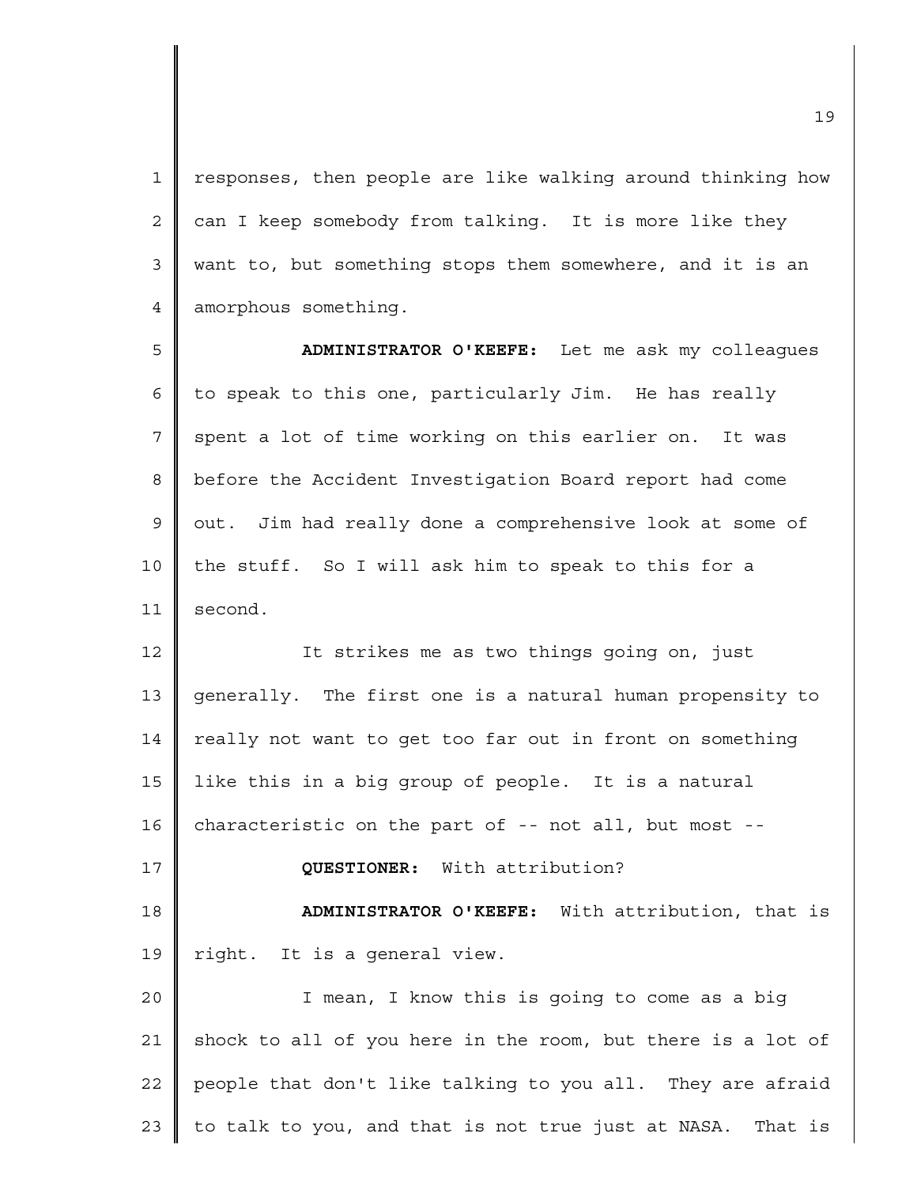1 2 3 4 responses, then people are like walking around thinking how can I keep somebody from talking. It is more like they want to, but something stops them somewhere, and it is an amorphous something.

5 6 7 8 9 10 11 **ADMINISTRATOR O'KEEFE:** Let me ask my colleagues to speak to this one, particularly Jim. He has really spent a lot of time working on this earlier on. It was before the Accident Investigation Board report had come out. Jim had really done a comprehensive look at some of the stuff. So I will ask him to speak to this for a second.

12 13 14 15 16 17 18 19 20 21 22 It strikes me as two things going on, just generally. The first one is a natural human propensity to really not want to get too far out in front on something like this in a big group of people. It is a natural characteristic on the part of -- not all, but most -- **QUESTIONER:** With attribution? **ADMINISTRATOR O'KEEFE:** With attribution, that is right. It is a general view. I mean, I know this is going to come as a big shock to all of you here in the room, but there is a lot of people that don't like talking to you all. They are afraid

to talk to you, and that is not true just at NASA. That is

23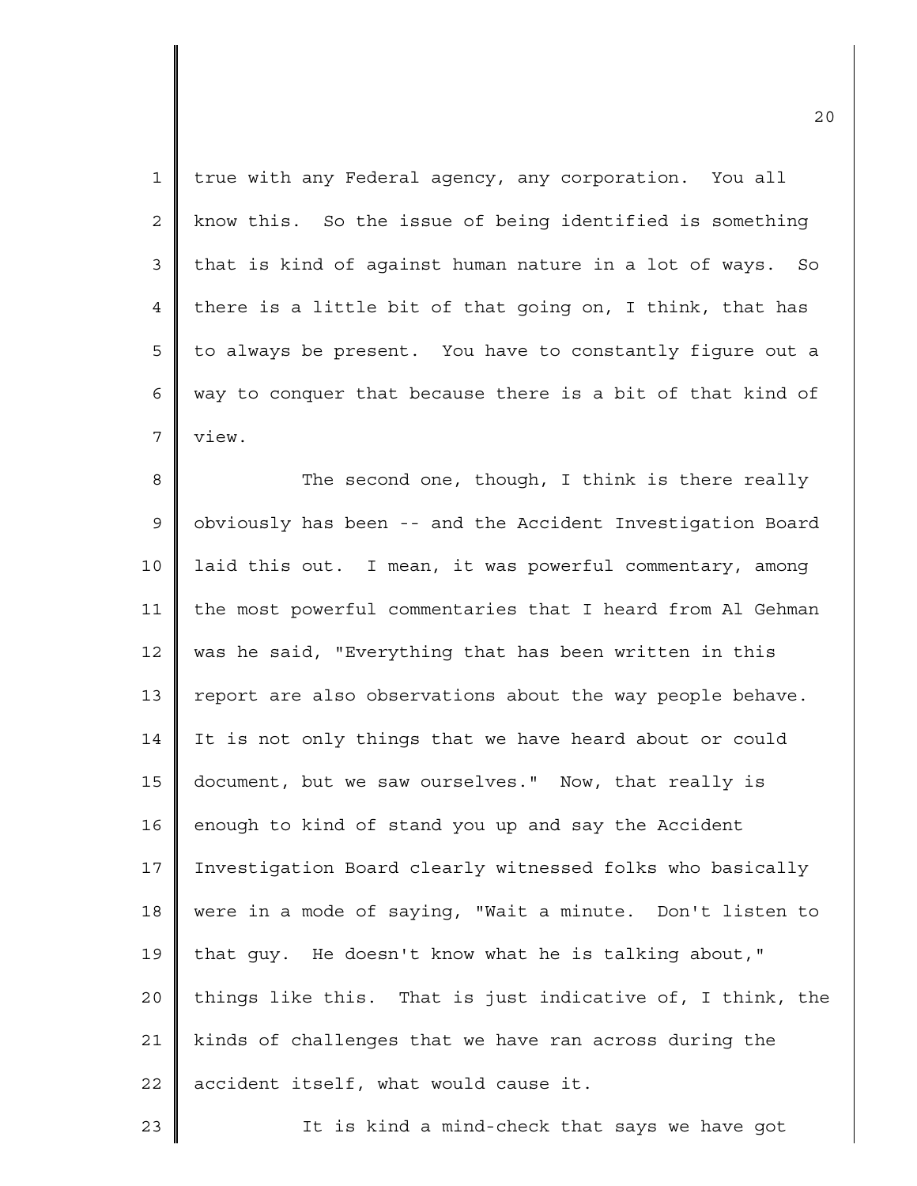| $\mathbf{1}$   | true with any Federal agency, any corporation. You all     |
|----------------|------------------------------------------------------------|
| $\overline{2}$ | know this. So the issue of being identified is something   |
| 3              | that is kind of against human nature in a lot of ways. So  |
| $\overline{4}$ | there is a little bit of that going on, I think, that has  |
| 5              | to always be present. You have to constantly figure out a  |
| 6              | way to conquer that because there is a bit of that kind of |
| 7              | view.                                                      |
| 8              | The second one, though, I think is there really            |
| $\mathsf 9$    | obviously has been -- and the Accident Investigation Board |
| 10             | laid this out. I mean, it was powerful commentary, among   |
| 11             | the most powerful commentaries that I heard from Al Gehman |
| 12             | was he said, "Everything that has been written in this     |
| 13             | report are also observations about the way people behave.  |
| 14             | It is not only things that we have heard about or could    |
| 15             | document, but we saw ourselves." Now, that really is       |
| 16             | enough to kind of stand you up and say the Accident        |
| 17             | Investigation Board clearly witnessed folks who basically  |
| 18             | were in a mode of saying, "Wait a minute. Don't listen to  |
| 19             | that quy. He doesn't know what he is talking about,"       |
| 20             | things like this. That is just indicative of, I think, the |
| 21             | kinds of challenges that we have ran across during the     |
| 22             | accident itself, what would cause it.                      |
| 23             | It is kind a mind-check that says we have got              |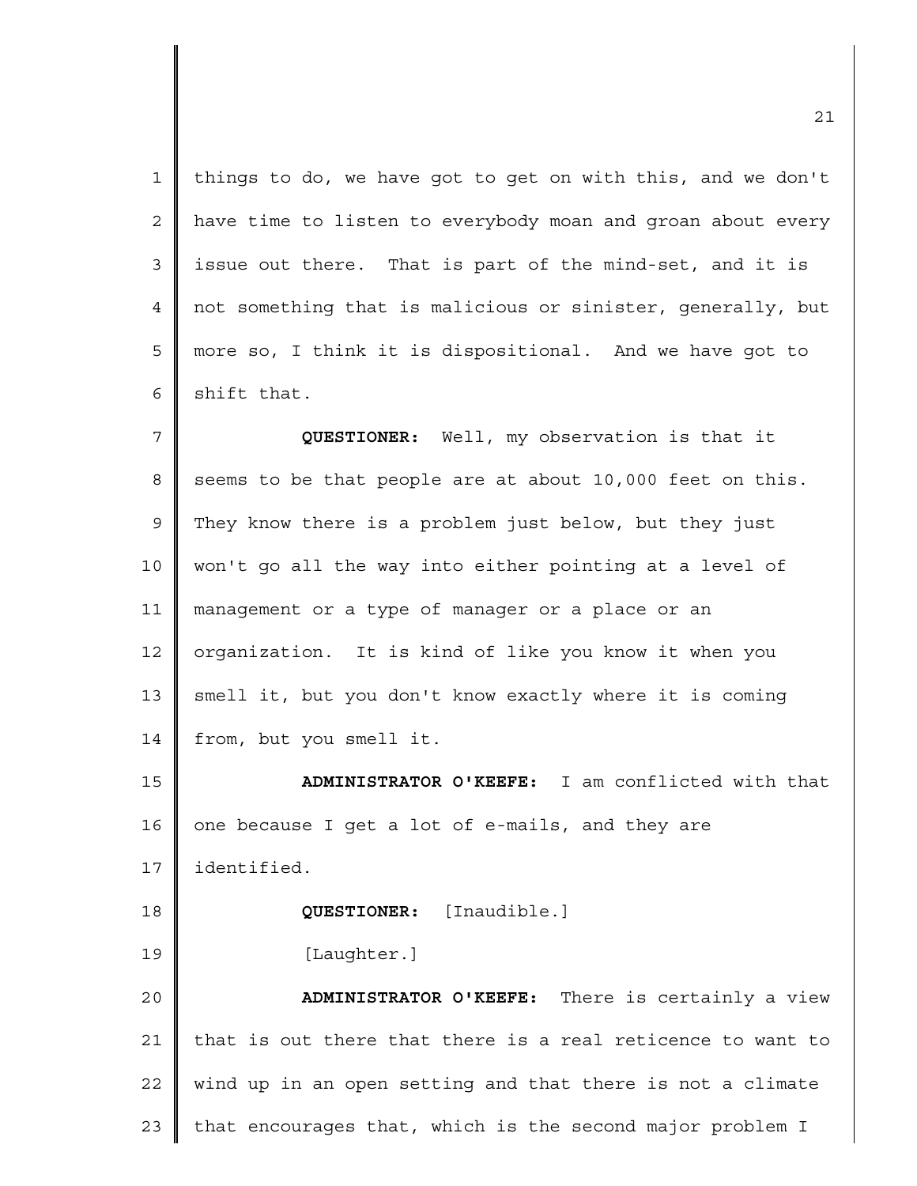1 2 3 4 5 6 things to do, we have got to get on with this, and we don't have time to listen to everybody moan and groan about every issue out there. That is part of the mind-set, and it is not something that is malicious or sinister, generally, but more so, I think it is dispositional. And we have got to shift that.

7 8 9 10 11 12 13 14 **QUESTIONER:** Well, my observation is that it seems to be that people are at about 10,000 feet on this. They know there is a problem just below, but they just won't go all the way into either pointing at a level of management or a type of manager or a place or an organization. It is kind of like you know it when you smell it, but you don't know exactly where it is coming from, but you smell it.

15 16 17 18 19 20 21 22 **ADMINISTRATOR O'KEEFE:** I am conflicted with that one because I get a lot of e-mails, and they are identified. **QUESTIONER:** [Inaudible.] [Laughter.] **ADMINISTRATOR O'KEEFE:** There is certainly a view that is out there that there is a real reticence to want to wind up in an open setting and that there is not a climate

23 that encourages that, which is the second major problem I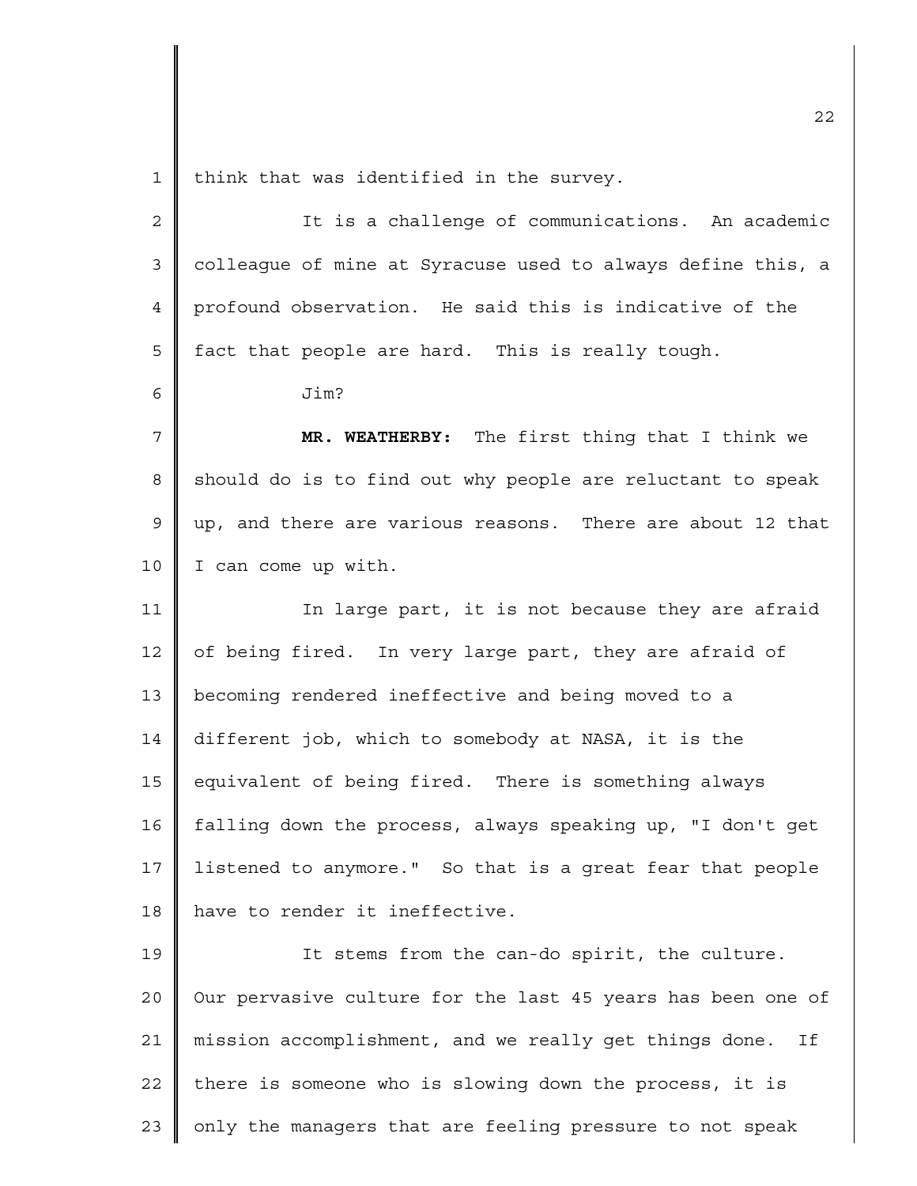1 think that was identified in the survey.

| $\overline{2}$ | It is a challenge of communications. An academic             |
|----------------|--------------------------------------------------------------|
| 3              | colleague of mine at Syracuse used to always define this, a  |
| 4              | profound observation. He said this is indicative of the      |
| 5              | fact that people are hard. This is really tough.             |
| 6              | Jim?                                                         |
| 7              | MR. WEATHERBY: The first thing that I think we               |
| 8              | should do is to find out why people are reluctant to speak   |
| 9              | up, and there are various reasons. There are about 12 that   |
| 10             | I can come up with.                                          |
| 11             | In large part, it is not because they are afraid             |
| 12             | of being fired. In very large part, they are afraid of       |
| 13             | becoming rendered ineffective and being moved to a           |
| 14             | different job, which to somebody at NASA, it is the          |
| 15             | equivalent of being fired. There is something always         |
| 16             | falling down the process, always speaking up, "I don't get   |
| 17             | listened to anymore." So that is a great fear that people    |
| 18             | have to render it ineffective.                               |
| 19             | It stems from the can-do spirit, the culture.                |
| 20             | Our pervasive culture for the last 45 years has been one of  |
| 21             | mission accomplishment, and we really get things done.<br>Ιf |
| 22             | there is someone who is slowing down the process, it is      |
| 23             | only the managers that are feeling pressure to not speak     |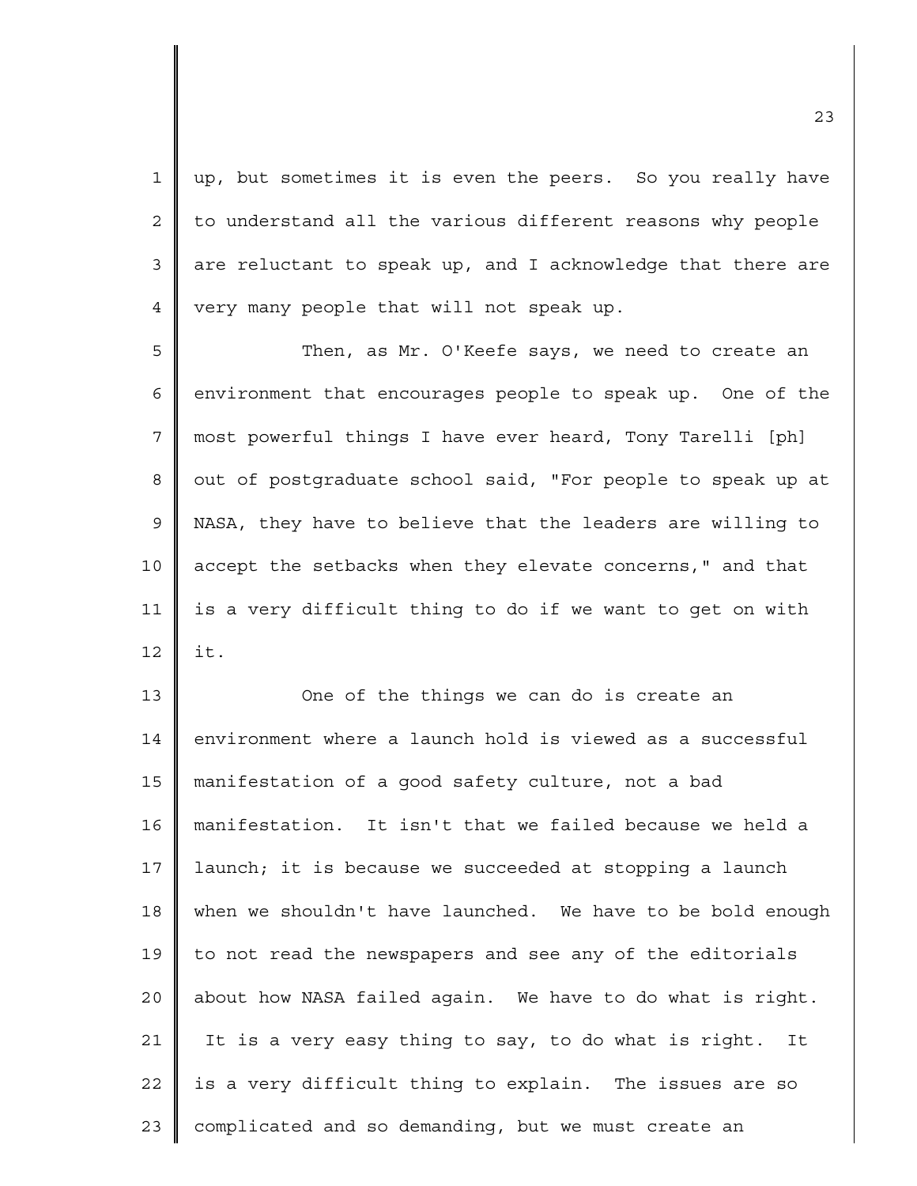1 2 3 4 up, but sometimes it is even the peers. So you really have to understand all the various different reasons why people are reluctant to speak up, and I acknowledge that there are very many people that will not speak up.

5 6 7 8 9 10 11 12 Then, as Mr. O'Keefe says, we need to create an environment that encourages people to speak up. One of the most powerful things I have ever heard, Tony Tarelli [ph] out of postgraduate school said, "For people to speak up at NASA, they have to believe that the leaders are willing to accept the setbacks when they elevate concerns," and that is a very difficult thing to do if we want to get on with it.

13 14 15 16 17 18 19  $2.0$ 21 22 23 One of the things we can do is create an environment where a launch hold is viewed as a successful manifestation of a good safety culture, not a bad manifestation. It isn't that we failed because we held a launch; it is because we succeeded at stopping a launch when we shouldn't have launched. We have to be bold enough to not read the newspapers and see any of the editorials about how NASA failed again. We have to do what is right. It is a very easy thing to say, to do what is right. It is a very difficult thing to explain. The issues are so complicated and so demanding, but we must create an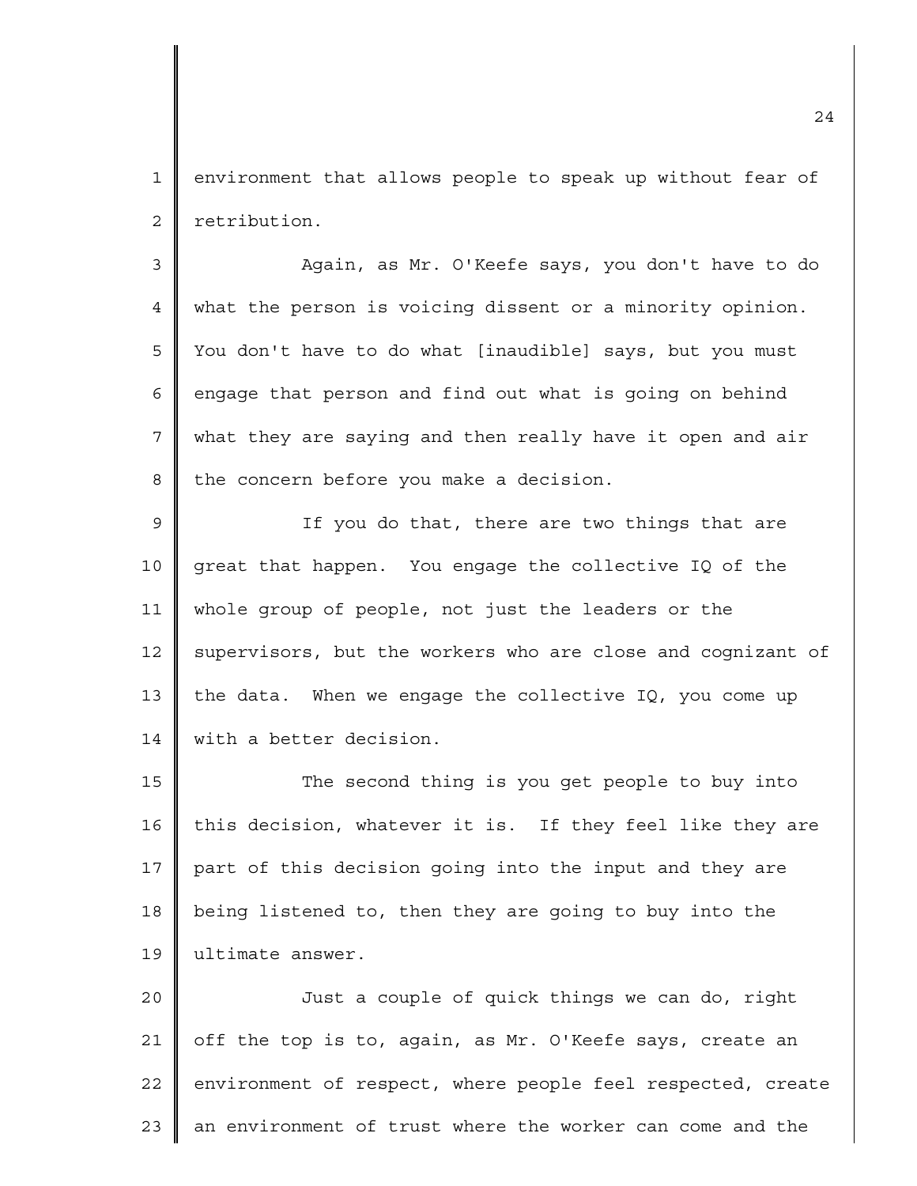1 2 environment that allows people to speak up without fear of retribution.

3 4 5 6 7 8 Again, as Mr. O'Keefe says, you don't have to do what the person is voicing dissent or a minority opinion. You don't have to do what [inaudible] says, but you must engage that person and find out what is going on behind what they are saying and then really have it open and air the concern before you make a decision.

9 10 11 12 13 14 If you do that, there are two things that are great that happen. You engage the collective IQ of the whole group of people, not just the leaders or the supervisors, but the workers who are close and cognizant of the data. When we engage the collective IQ, you come up with a better decision.

15 16 17 18 19 The second thing is you get people to buy into this decision, whatever it is. If they feel like they are part of this decision going into the input and they are being listened to, then they are going to buy into the ultimate answer.

20 21 22 23 Just a couple of quick things we can do, right off the top is to, again, as Mr. O'Keefe says, create an environment of respect, where people feel respected, create an environment of trust where the worker can come and the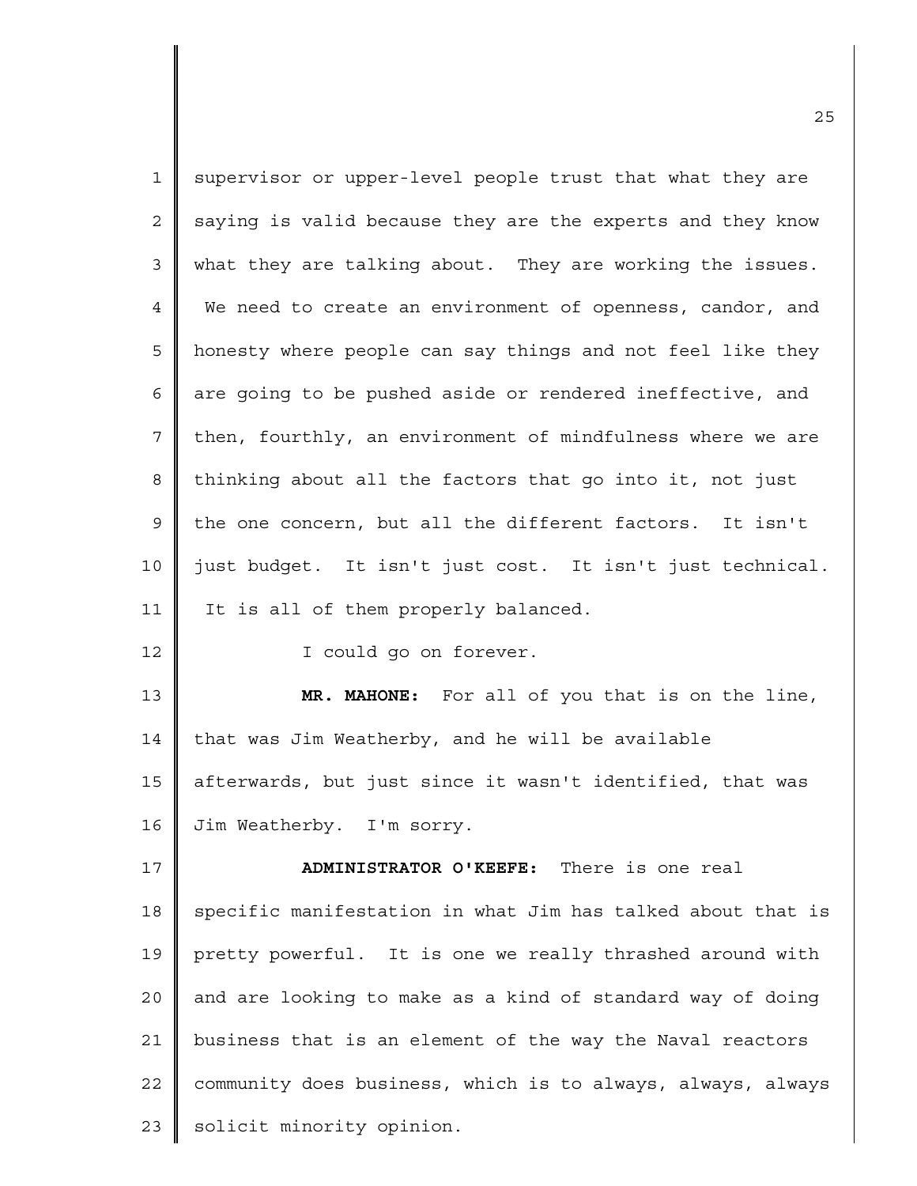| $\mathbf{1}$   | supervisor or upper-level people trust that what they are   |
|----------------|-------------------------------------------------------------|
| $\overline{2}$ | saying is valid because they are the experts and they know  |
| 3              | what they are talking about. They are working the issues.   |
| $\overline{4}$ | We need to create an environment of openness, candor, and   |
| 5              | honesty where people can say things and not feel like they  |
| 6              | are going to be pushed aside or rendered ineffective, and   |
| 7              | then, fourthly, an environment of mindfulness where we are  |
| 8              | thinking about all the factors that go into it, not just    |
| 9              | the one concern, but all the different factors. It isn't    |
| 10             | just budget. It isn't just cost. It isn't just technical.   |
| 11             | It is all of them properly balanced.                        |
| 12             | I could go on forever.                                      |
| 13             | MR. MAHONE: For all of you that is on the line,             |
| 14             | that was Jim Weatherby, and he will be available            |
| 15             | afterwards, but just since it wasn't identified, that was   |
| 16             | Jim Weatherby. I'm sorry.                                   |
| 17             | ADMINISTRATOR O'KEEFE: There is one real                    |
| 18             | specific manifestation in what Jim has talked about that is |
| 19             | pretty powerful. It is one we really thrashed around with   |
| 20             | and are looking to make as a kind of standard way of doing  |
| 21             | business that is an element of the way the Naval reactors   |
| 22             | community does business, which is to always, always, always |
| 23             |                                                             |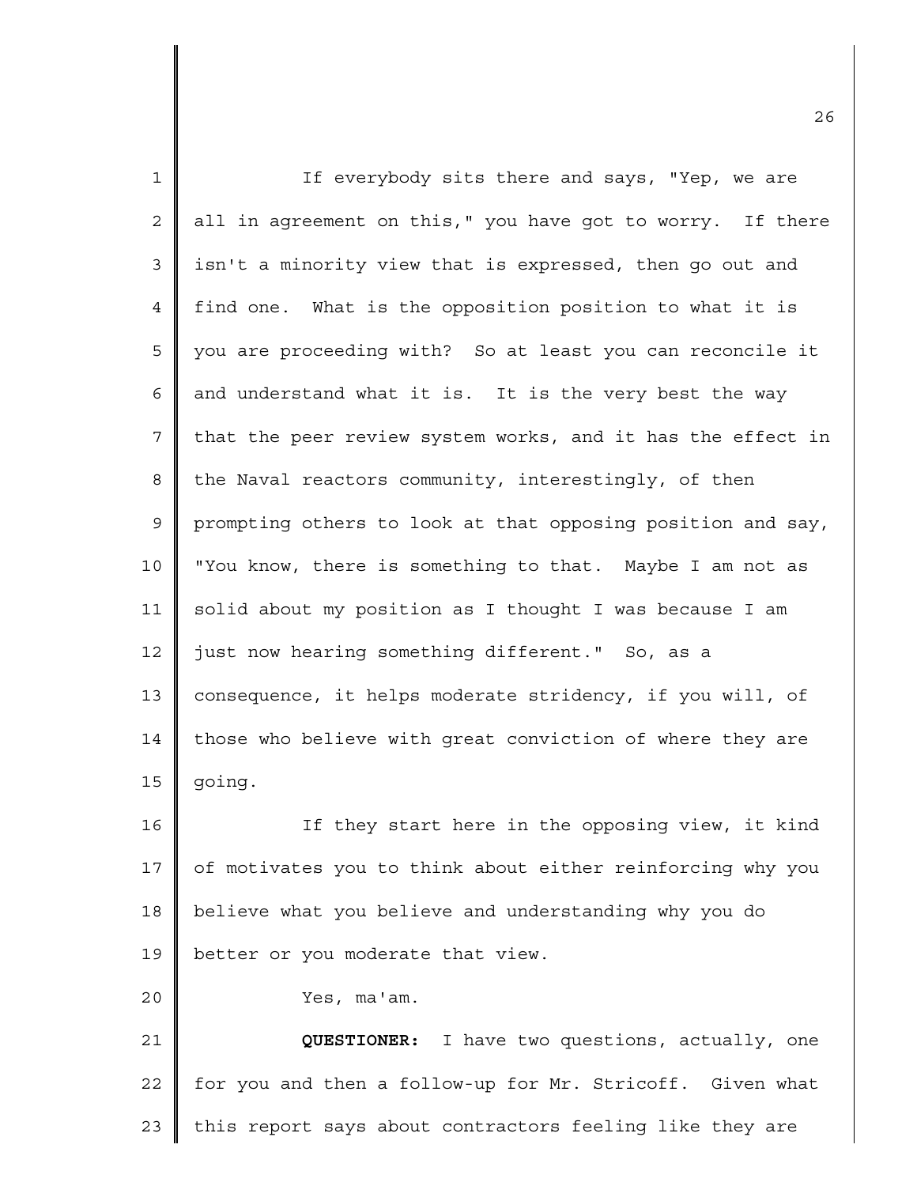| $\mathbf{1}$ | If everybody sits there and says, "Yep, we are              |
|--------------|-------------------------------------------------------------|
| 2            | all in agreement on this," you have got to worry. If there  |
| 3            | isn't a minority view that is expressed, then go out and    |
| 4            | find one. What is the opposition position to what it is     |
| 5            | you are proceeding with? So at least you can reconcile it   |
| 6            | and understand what it is. It is the very best the way      |
| 7            | that the peer review system works, and it has the effect in |
| 8            | the Naval reactors community, interestingly, of then        |
| 9            | prompting others to look at that opposing position and say, |
| 10           | "You know, there is something to that. Maybe I am not as    |
| 11           | solid about my position as I thought I was because I am     |
| 12           | just now hearing something different." So, as a             |
| 13           | consequence, it helps moderate stridency, if you will, of   |
| 14           | those who believe with great conviction of where they are   |
| 15           | going.                                                      |
| 16           | If they start here in the opposing view, it kind            |
| 17           | of motivates you to think about either reinforcing why you  |
| 18           | believe what you believe and understanding why you do       |
| 19           | better or you moderate that view.                           |
| 20           | Yes, ma'am.                                                 |
| 21           | QUESTIONER: I have two questions, actually, one             |
| 22           | for you and then a follow-up for Mr. Stricoff. Given what   |
| 23           | this report says about contractors feeling like they are    |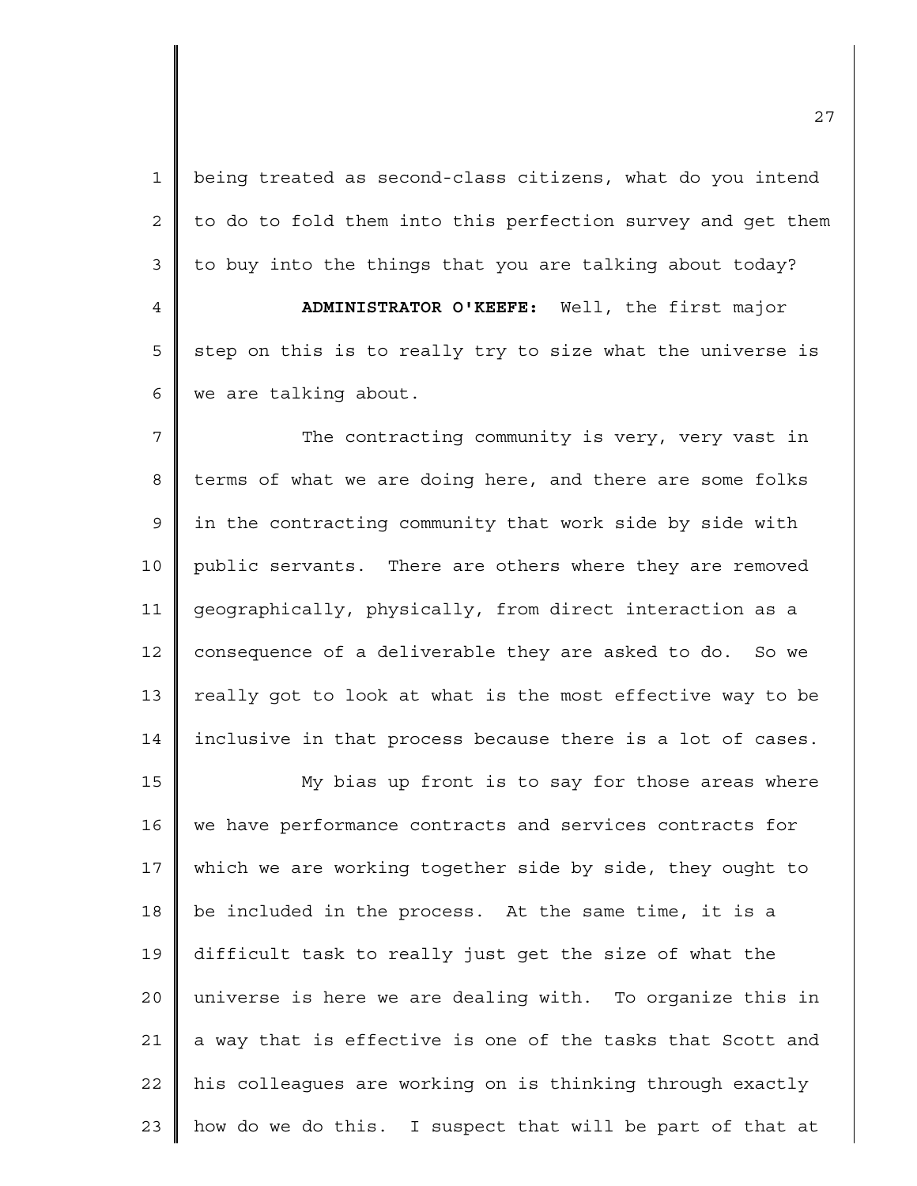1 2 3 4 5 6 7 8 9 10 11 12 13 14 15 16 17 18 19 20 21 22 23 being treated as second-class citizens, what do you intend to do to fold them into this perfection survey and get them to buy into the things that you are talking about today? **ADMINISTRATOR O'KEEFE:** Well, the first major step on this is to really try to size what the universe is we are talking about. The contracting community is very, very vast in terms of what we are doing here, and there are some folks in the contracting community that work side by side with public servants. There are others where they are removed geographically, physically, from direct interaction as a consequence of a deliverable they are asked to do. So we really got to look at what is the most effective way to be inclusive in that process because there is a lot of cases. My bias up front is to say for those areas where we have performance contracts and services contracts for which we are working together side by side, they ought to be included in the process. At the same time, it is a difficult task to really just get the size of what the universe is here we are dealing with. To organize this in a way that is effective is one of the tasks that Scott and his colleagues are working on is thinking through exactly how do we do this. I suspect that will be part of that at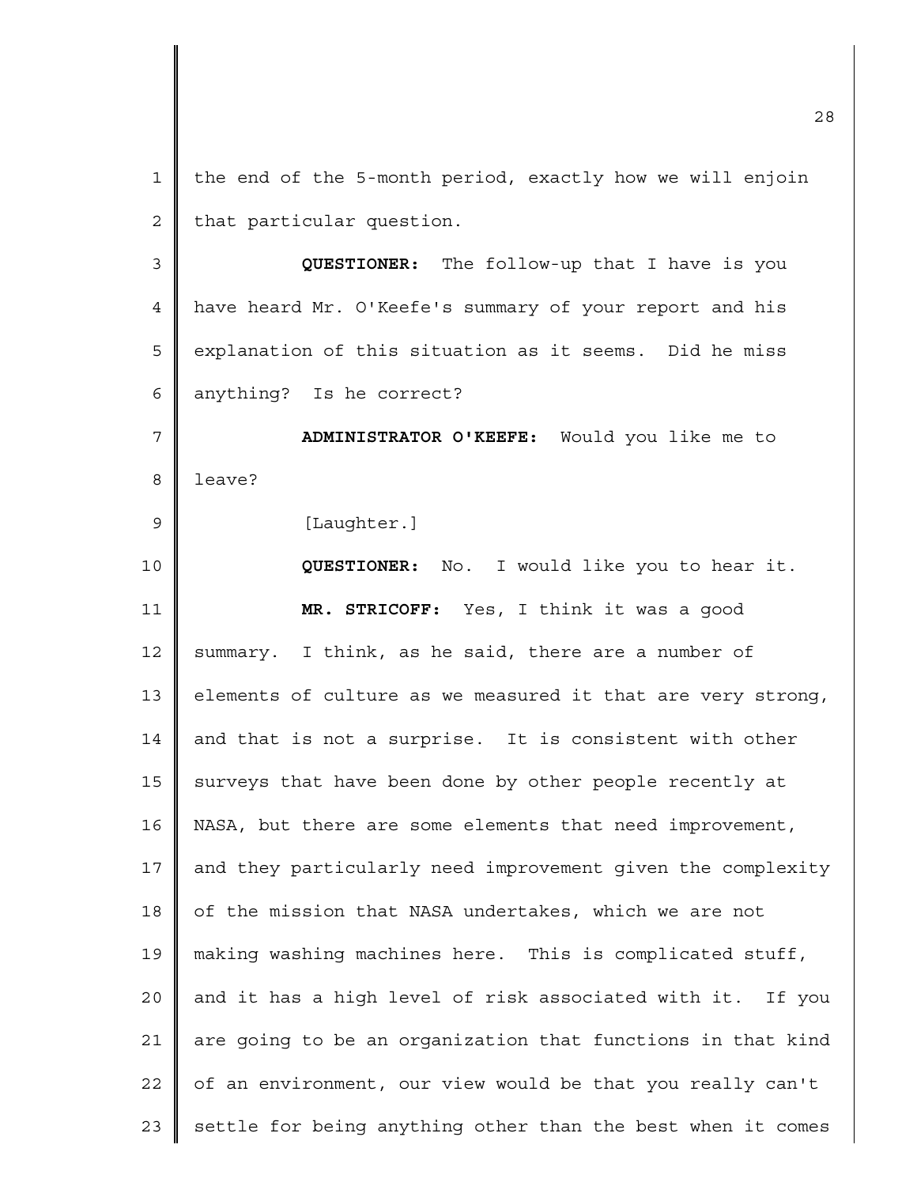1 2 3 4 5 6 7 8 the end of the 5-month period, exactly how we will enjoin that particular question. **QUESTIONER:** The follow-up that I have is you have heard Mr. O'Keefe's summary of your report and his explanation of this situation as it seems. Did he miss anything? Is he correct? **ADMINISTRATOR O'KEEFE:** Would you like me to leave?

[Laughter.]

9

10 11 12 13 14 15 16 17 18 19 20 21 22 23 **QUESTIONER:** No. I would like you to hear it. **MR. STRICOFF:** Yes, I think it was a good summary. I think, as he said, there are a number of elements of culture as we measured it that are very strong, and that is not a surprise. It is consistent with other surveys that have been done by other people recently at NASA, but there are some elements that need improvement, and they particularly need improvement given the complexity of the mission that NASA undertakes, which we are not making washing machines here. This is complicated stuff, and it has a high level of risk associated with it. If you are going to be an organization that functions in that kind of an environment, our view would be that you really can't settle for being anything other than the best when it comes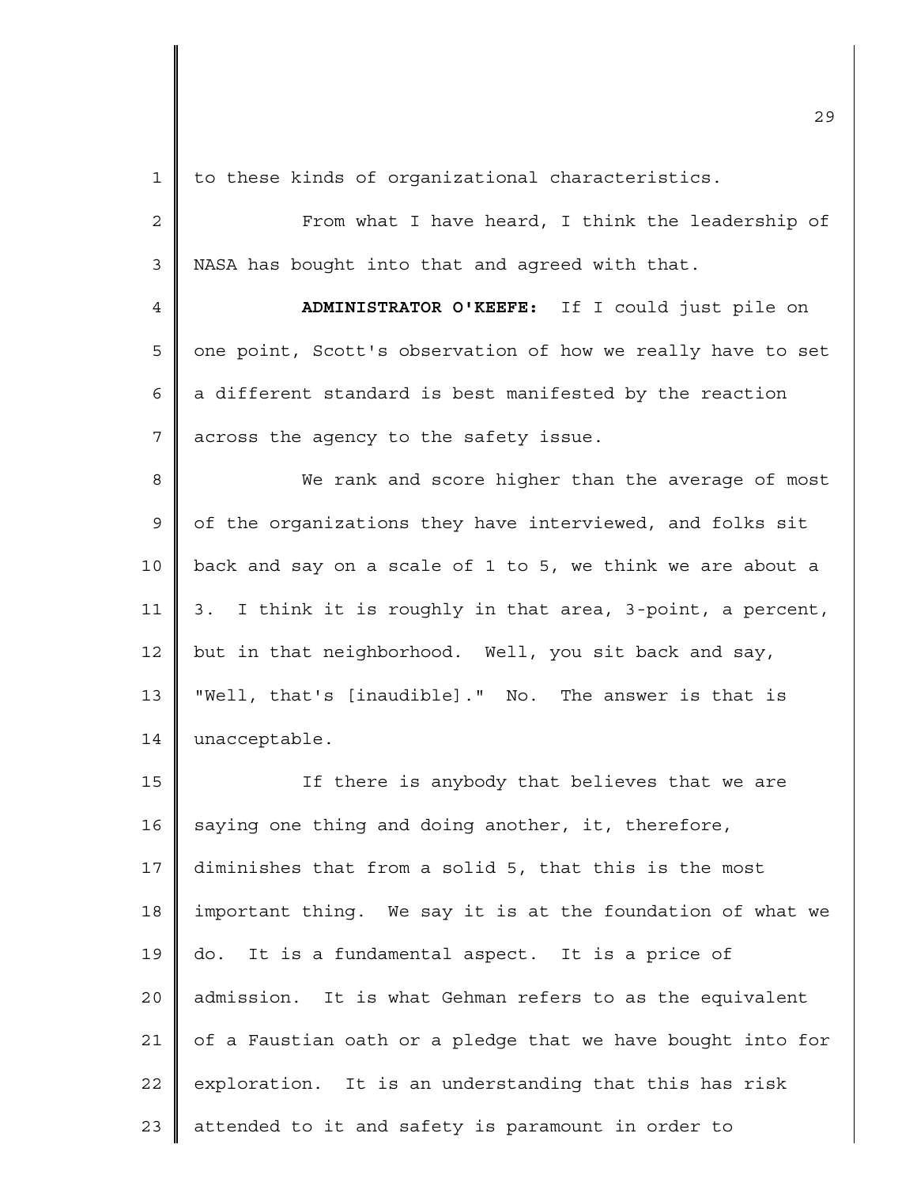1 to these kinds of organizational characteristics.

2 3 From what I have heard, I think the leadership of NASA has bought into that and agreed with that.

4 5 6 7 **ADMINISTRATOR O'KEEFE:** If I could just pile on one point, Scott's observation of how we really have to set a different standard is best manifested by the reaction across the agency to the safety issue.

8 9 10 11 12 13 14 We rank and score higher than the average of most of the organizations they have interviewed, and folks sit back and say on a scale of 1 to 5, we think we are about a 3. I think it is roughly in that area, 3-point, a percent, but in that neighborhood. Well, you sit back and say, "Well, that's [inaudible]." No. The answer is that is unacceptable.

15 16 17 18 19 20 21 22 23 If there is anybody that believes that we are saying one thing and doing another, it, therefore, diminishes that from a solid 5, that this is the most important thing. We say it is at the foundation of what we do. It is a fundamental aspect. It is a price of admission. It is what Gehman refers to as the equivalent of a Faustian oath or a pledge that we have bought into for exploration. It is an understanding that this has risk attended to it and safety is paramount in order to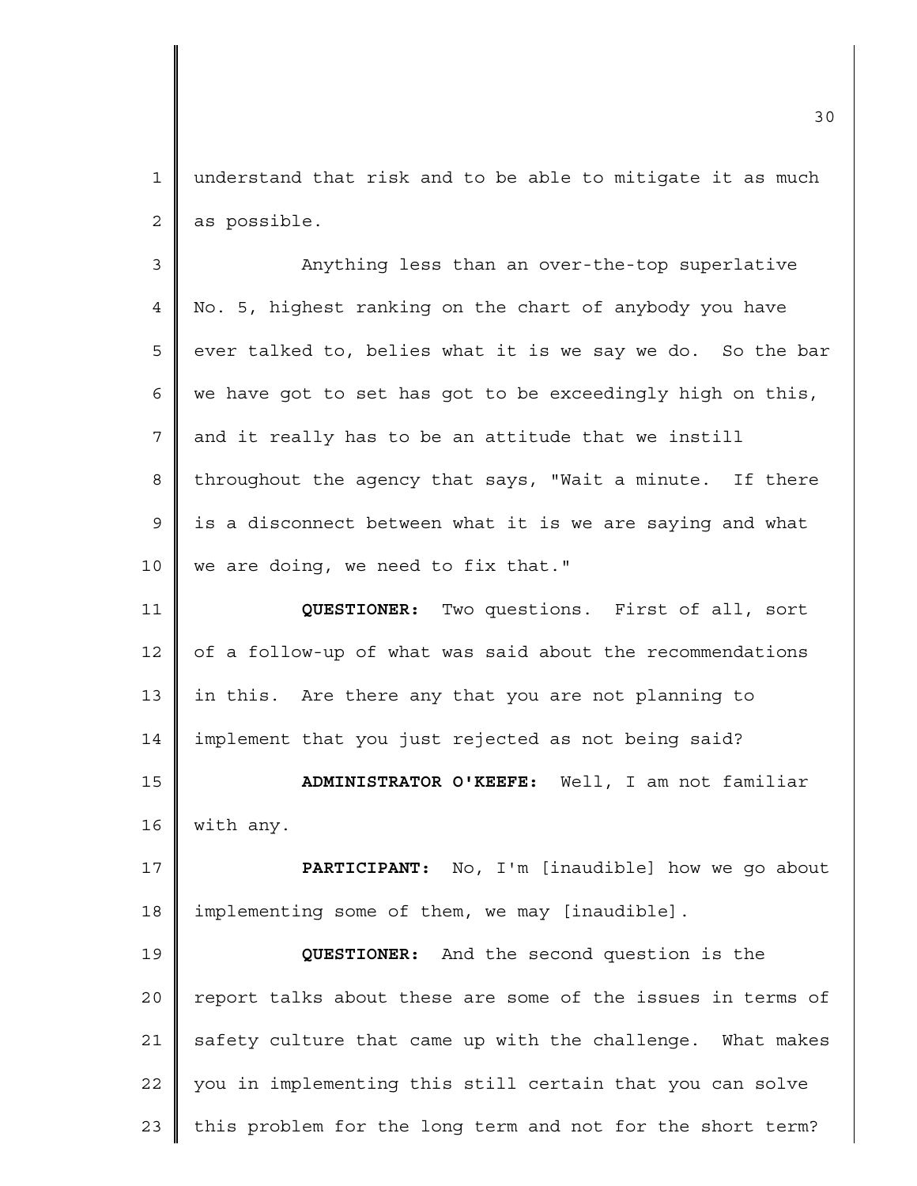1 2 understand that risk and to be able to mitigate it as much as possible.

3 4 5 6 7 8 9 10 Anything less than an over-the-top superlative No. 5, highest ranking on the chart of anybody you have ever talked to, belies what it is we say we do. So the bar we have got to set has got to be exceedingly high on this, and it really has to be an attitude that we instill throughout the agency that says, "Wait a minute. If there is a disconnect between what it is we are saying and what we are doing, we need to fix that."

11 12 13 14 **QUESTIONER:** Two questions. First of all, sort of a follow-up of what was said about the recommendations in this. Are there any that you are not planning to implement that you just rejected as not being said?

15 16 **ADMINISTRATOR O'KEEFE:** Well, I am not familiar with any.

17 18 **PARTICIPANT:** No, I'm [inaudible] how we go about implementing some of them, we may [inaudible].

19 20 21 22 23 **QUESTIONER:** And the second question is the report talks about these are some of the issues in terms of safety culture that came up with the challenge. What makes you in implementing this still certain that you can solve this problem for the long term and not for the short term?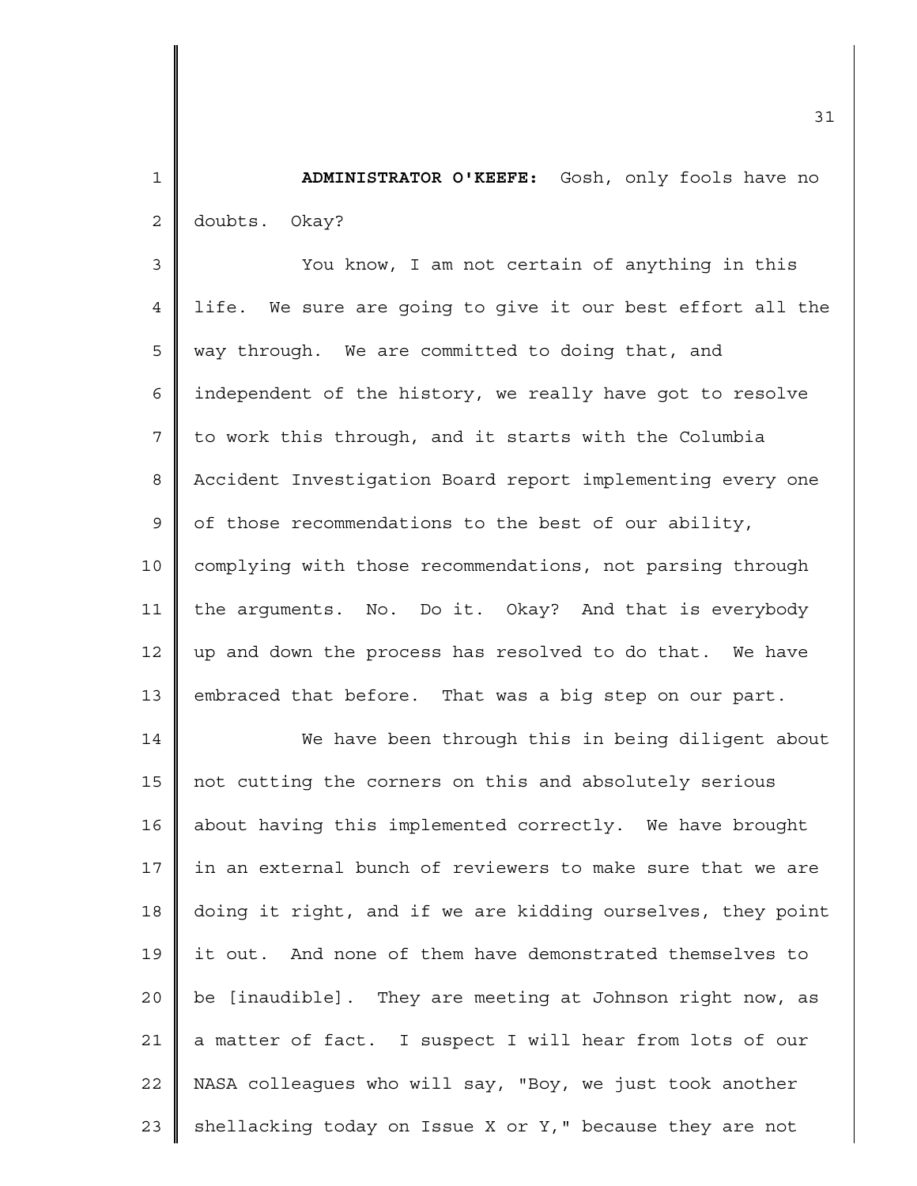1 2 **ADMINISTRATOR O'KEEFE:** Gosh, only fools have no doubts. Okay?

3 4 5 6 7 8 9 10 11 12 13 You know, I am not certain of anything in this life. We sure are going to give it our best effort all the way through. We are committed to doing that, and independent of the history, we really have got to resolve to work this through, and it starts with the Columbia Accident Investigation Board report implementing every one of those recommendations to the best of our ability, complying with those recommendations, not parsing through the arguments. No. Do it. Okay? And that is everybody up and down the process has resolved to do that. We have embraced that before. That was a big step on our part.

14 15 16 17 18 19 20 21 22 23 We have been through this in being diligent about not cutting the corners on this and absolutely serious about having this implemented correctly. We have brought in an external bunch of reviewers to make sure that we are doing it right, and if we are kidding ourselves, they point it out. And none of them have demonstrated themselves to be [inaudible]. They are meeting at Johnson right now, as a matter of fact. I suspect I will hear from lots of our NASA colleagues who will say, "Boy, we just took another shellacking today on Issue X or Y," because they are not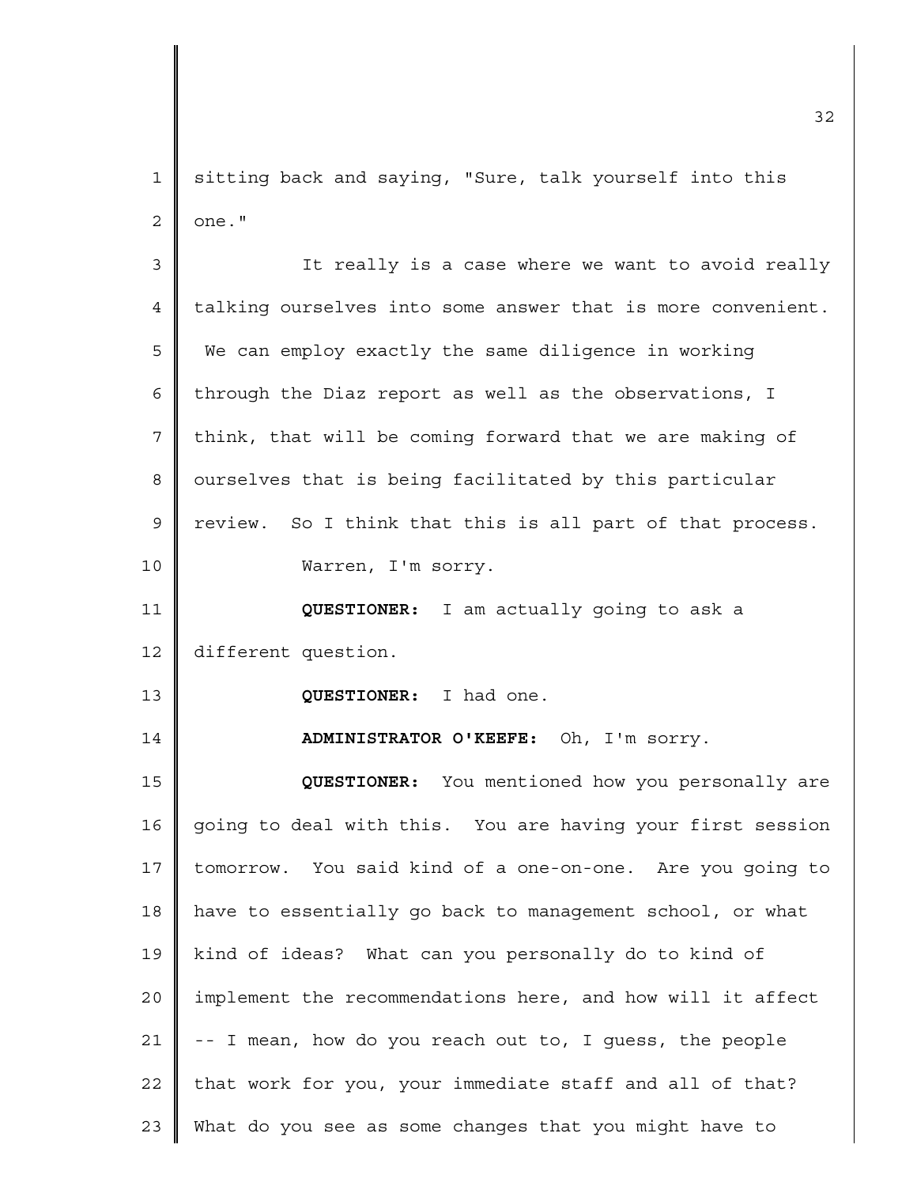1 2 sitting back and saying, "Sure, talk yourself into this one."

3 4 5 6 7 8 9 10 11 12 13 14 15 16 17 18 19 20 21 22 23 It really is a case where we want to avoid really talking ourselves into some answer that is more convenient. We can employ exactly the same diligence in working through the Diaz report as well as the observations, I think, that will be coming forward that we are making of ourselves that is being facilitated by this particular review. So I think that this is all part of that process. Warren, I'm sorry. **QUESTIONER:** I am actually going to ask a different question. **QUESTIONER:** I had one. **ADMINISTRATOR O'KEEFE:** Oh, I'm sorry. **QUESTIONER:** You mentioned how you personally are going to deal with this. You are having your first session tomorrow. You said kind of a one-on-one. Are you going to have to essentially go back to management school, or what kind of ideas? What can you personally do to kind of implement the recommendations here, and how will it affect -- I mean, how do you reach out to, I guess, the people that work for you, your immediate staff and all of that? What do you see as some changes that you might have to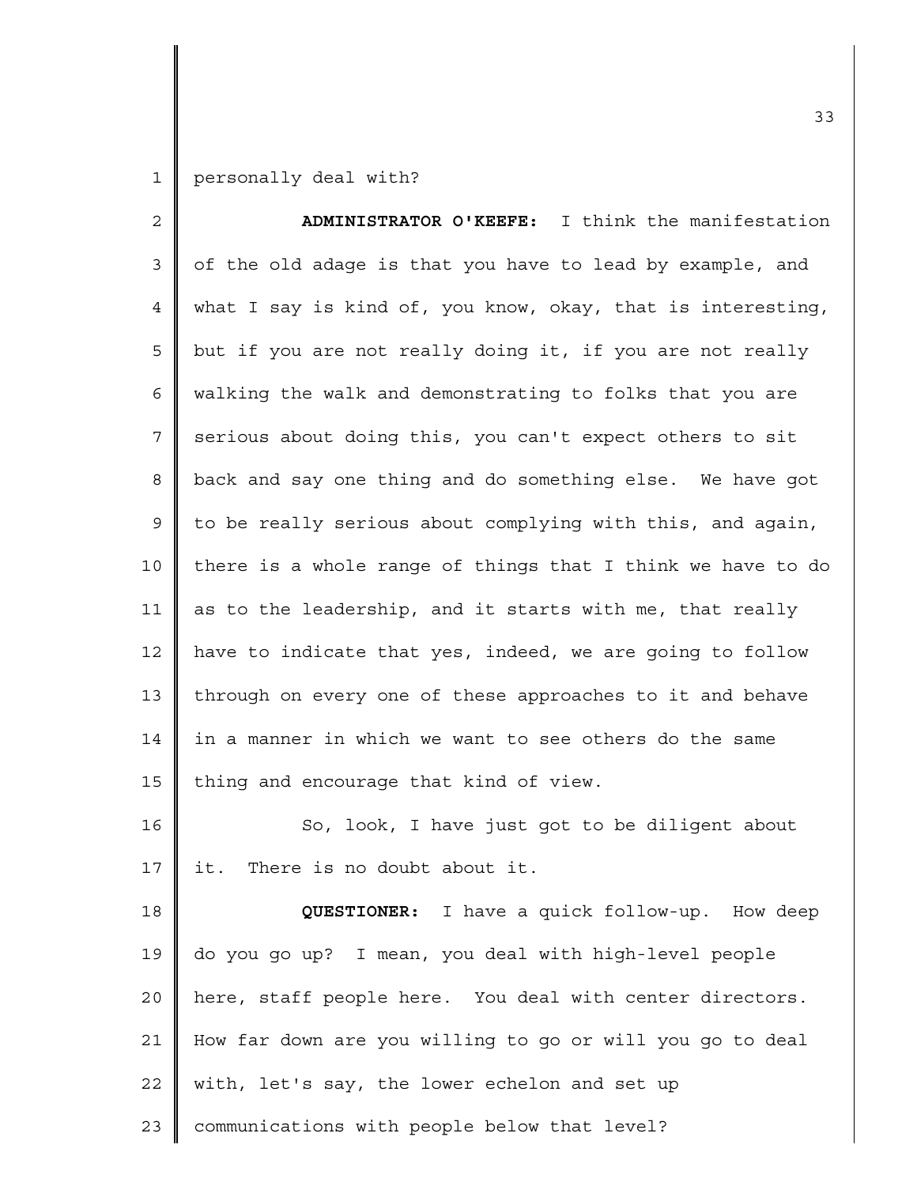1 personally deal with?

| $\overline{c}$ | ADMINISTRATOR O'KEEFE: I think the manifestation            |
|----------------|-------------------------------------------------------------|
| 3              | of the old adage is that you have to lead by example, and   |
| 4              | what I say is kind of, you know, okay, that is interesting, |
| 5              | but if you are not really doing it, if you are not really   |
| 6              | walking the walk and demonstrating to folks that you are    |
| 7              | serious about doing this, you can't expect others to sit    |
| 8              | back and say one thing and do something else. We have got   |
| 9              | to be really serious about complying with this, and again,  |
| 10             | there is a whole range of things that I think we have to do |
| 11             | as to the leadership, and it starts with me, that really    |
| 12             | have to indicate that yes, indeed, we are going to follow   |
| 13             | through on every one of these approaches to it and behave   |
| 14             | in a manner in which we want to see others do the same      |
| 15             | thing and encourage that kind of view.                      |
| 16             | So, look, I have just got to be diligent about              |
| 17             | it. There is no doubt about it.                             |
| 18             | QUESTIONER: I have a quick follow-up. How deep              |
| 19             | do you go up? I mean, you deal with high-level people       |
| 20             | here, staff people here. You deal with center directors.    |
| 21             | How far down are you willing to go or will you go to deal   |
| 22             | with, let's say, the lower echelon and set up               |
| 23             | communications with people below that level?                |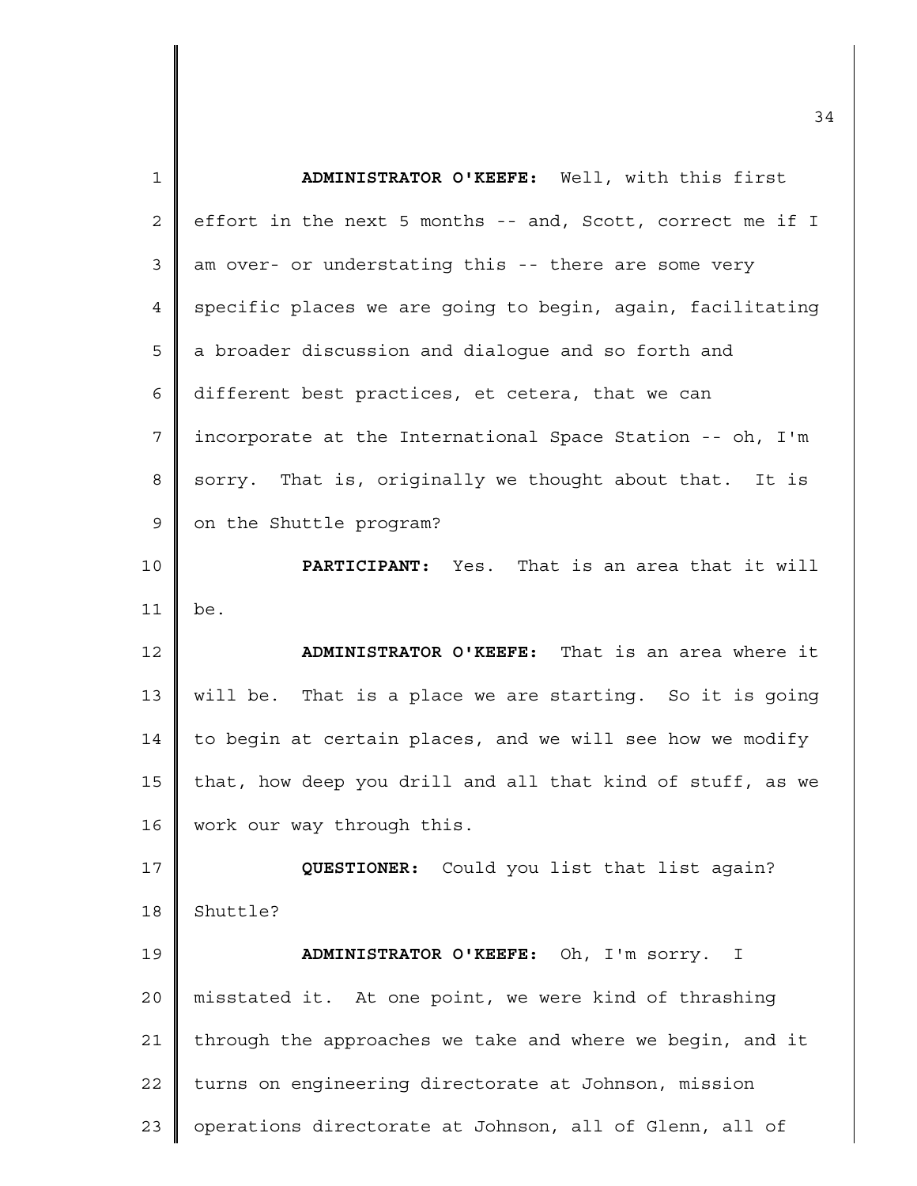| $\mathbf{1}$   | ADMINISTRATOR O'KEEFE: Well, with this first               |
|----------------|------------------------------------------------------------|
| 2              | effort in the next 5 months -- and, Scott, correct me if I |
| 3              | am over- or understating this -- there are some very       |
| 4              | specific places we are going to begin, again, facilitating |
| 5              | a broader discussion and dialogue and so forth and         |
| 6              | different best practices, et cetera, that we can           |
| $\overline{7}$ | incorporate at the International Space Station -- oh, I'm  |
| 8              | sorry. That is, originally we thought about that. It is    |
| $\mathsf 9$    | on the Shuttle program?                                    |
| 10             | PARTICIPANT: Yes. That is an area that it will             |
| 11             | be.                                                        |
| 12             | ADMINISTRATOR O'KEEFE: That is an area where it            |
| 13             | will be. That is a place we are starting. So it is going   |
| 14             | to begin at certain places, and we will see how we modify  |
| 15             | that, how deep you drill and all that kind of stuff, as we |
| 16             | work our way through this.                                 |
| 17             | QUESTIONER: Could you list that list again?                |
| 18             | Shuttle?                                                   |
| 19             | ADMINISTRATOR O'KEEFE: Oh, I'm sorry. I                    |
| 20             | misstated it. At one point, we were kind of thrashing      |
| 21             | through the approaches we take and where we begin, and it  |
| 22             | turns on engineering directorate at Johnson, mission       |
| 23             | operations directorate at Johnson, all of Glenn, all of    |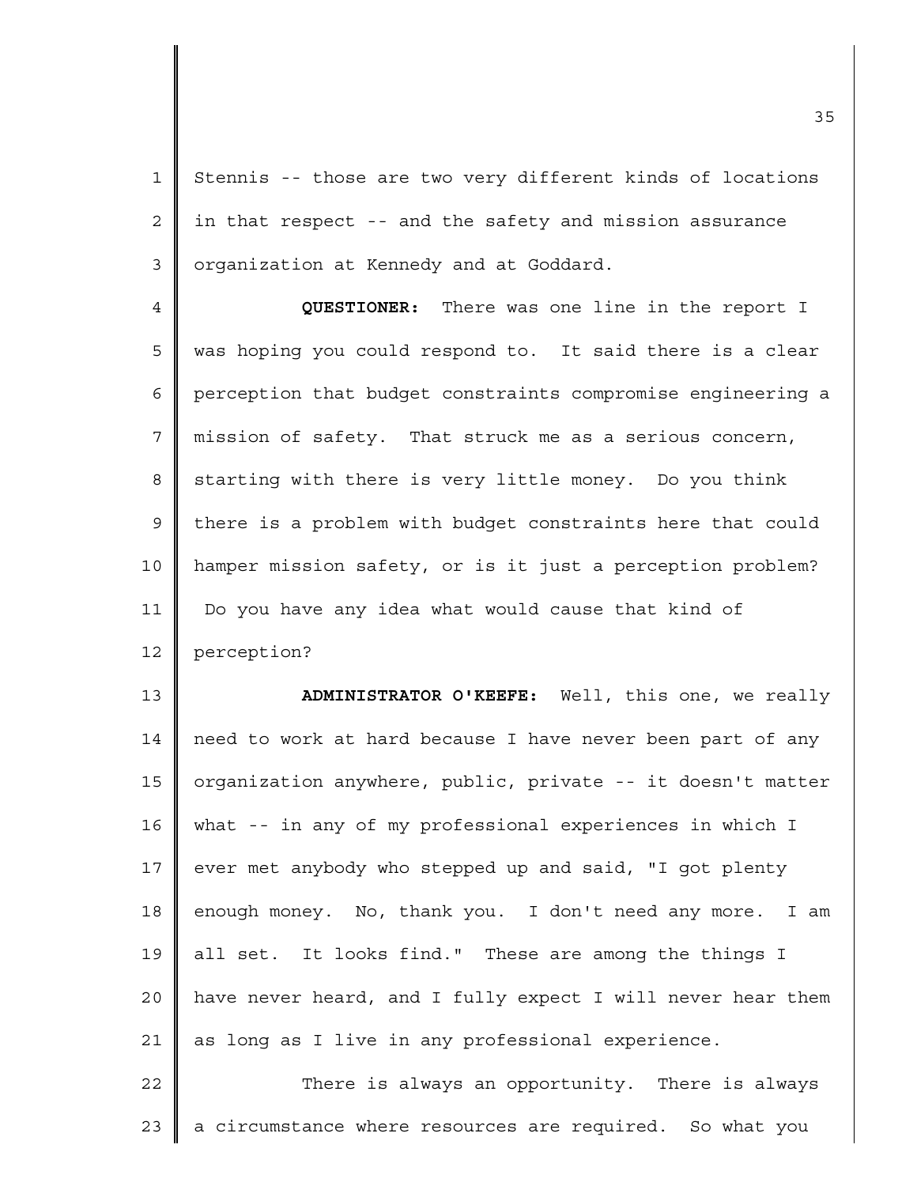1 2 3 Stennis -- those are two very different kinds of locations in that respect -- and the safety and mission assurance organization at Kennedy and at Goddard.

4 5 6 7 8 9 10 11 12 **QUESTIONER:** There was one line in the report I was hoping you could respond to. It said there is a clear perception that budget constraints compromise engineering a mission of safety. That struck me as a serious concern, starting with there is very little money. Do you think there is a problem with budget constraints here that could hamper mission safety, or is it just a perception problem? Do you have any idea what would cause that kind of perception?

13 14 15 16 17 18 19 20 21 **ADMINISTRATOR O'KEEFE:** Well, this one, we really need to work at hard because I have never been part of any organization anywhere, public, private -- it doesn't matter what -- in any of my professional experiences in which I ever met anybody who stepped up and said, "I got plenty enough money. No, thank you. I don't need any more. I am all set. It looks find." These are among the things I have never heard, and I fully expect I will never hear them as long as I live in any professional experience.

22 23 There is always an opportunity. There is always a circumstance where resources are required. So what you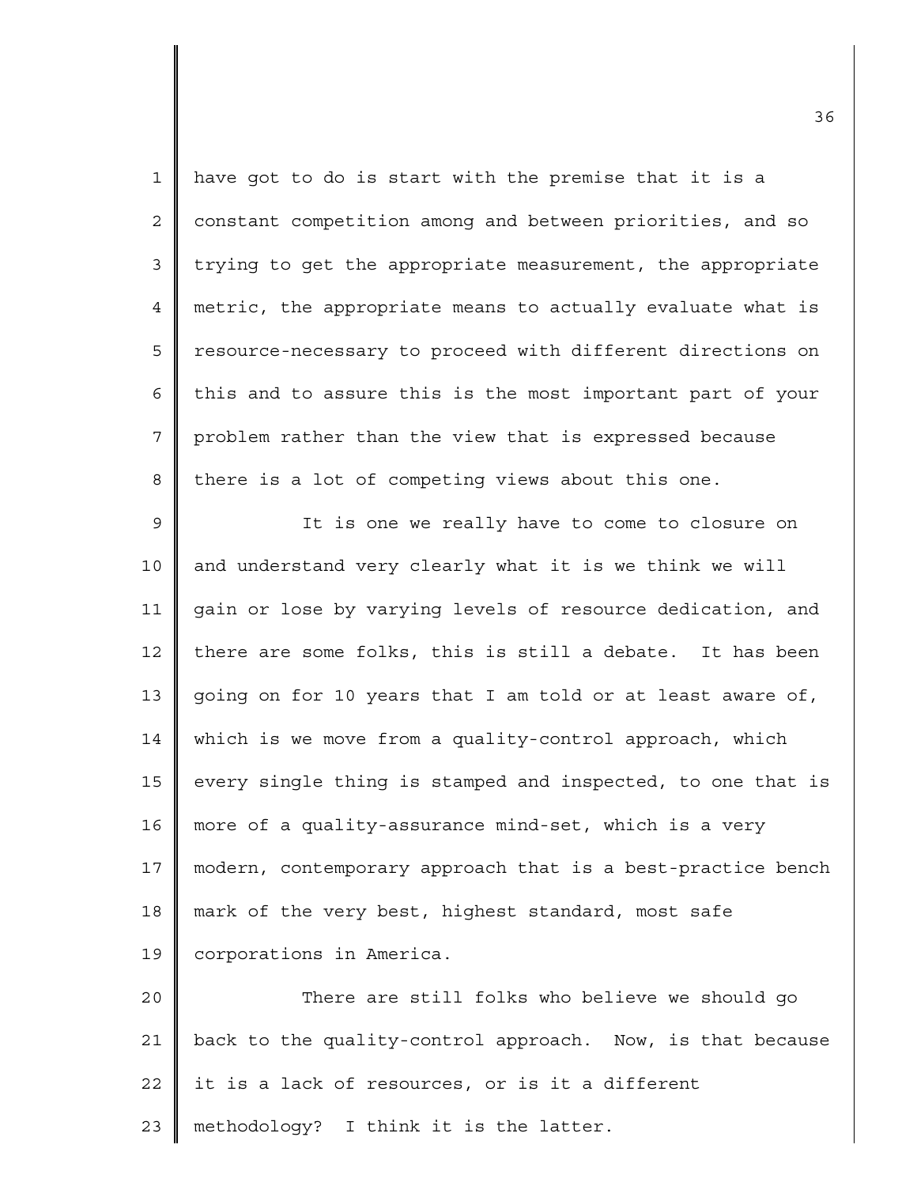| $\mathbf{1}$   | have got to do is start with the premise that it is a       |
|----------------|-------------------------------------------------------------|
| $\overline{2}$ | constant competition among and between priorities, and so   |
| 3              | trying to get the appropriate measurement, the appropriate  |
| 4              | metric, the appropriate means to actually evaluate what is  |
| 5              | resource-necessary to proceed with different directions on  |
| 6              | this and to assure this is the most important part of your  |
| 7              | problem rather than the view that is expressed because      |
| 8              | there is a lot of competing views about this one.           |
| 9              | It is one we really have to come to closure on              |
| 10             | and understand very clearly what it is we think we will     |
| 11             | gain or lose by varying levels of resource dedication, and  |
| 12             | there are some folks, this is still a debate. It has been   |
| 13             | going on for 10 years that I am told or at least aware of,  |
| 14             | which is we move from a quality-control approach, which     |
| 15             | every single thing is stamped and inspected, to one that is |
| 16             | more of a quality-assurance mind-set, which is a very       |
| 17             | modern, contemporary approach that is a best-practice bench |
| 18             | mark of the very best, highest standard, most safe          |
| 19             | corporations in America.                                    |
| 20             | There are still folks who believe we should go              |
| 21             | back to the quality-control approach. Now, is that because  |
| 22             | it is a lack of resources, or is it a different             |
| 23             | methodology? I think it is the latter.                      |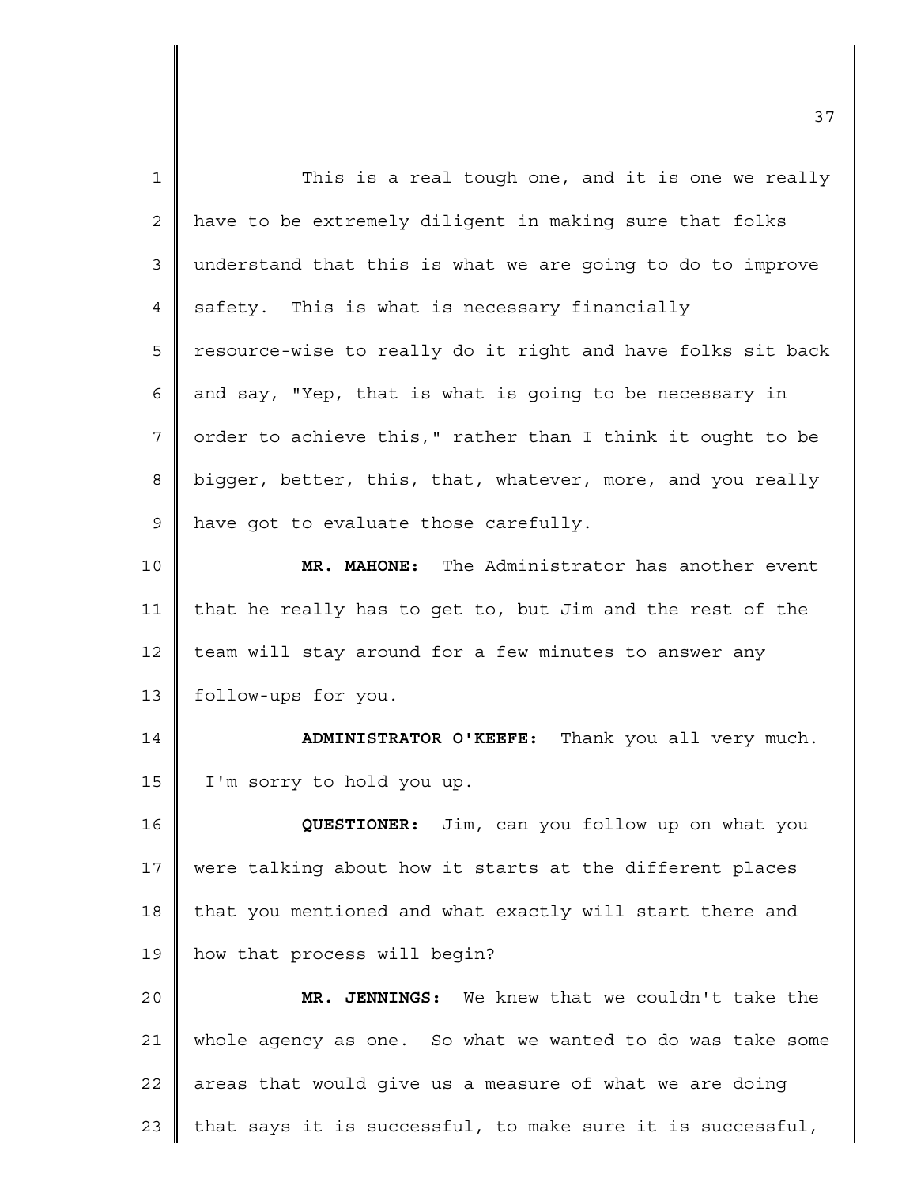| $\mathbf{1}$ | This is a real tough one, and it is one we really           |
|--------------|-------------------------------------------------------------|
| 2            | have to be extremely diligent in making sure that folks     |
| 3            | understand that this is what we are going to do to improve  |
| 4            | safety. This is what is necessary financially               |
| 5            | resource-wise to really do it right and have folks sit back |
| 6            | and say, "Yep, that is what is going to be necessary in     |
| 7            | order to achieve this," rather than I think it ought to be  |
| 8            | bigger, better, this, that, whatever, more, and you really  |
| 9            | have got to evaluate those carefully.                       |
| 10           | MR. MAHONE: The Administrator has another event             |
| 11           | that he really has to get to, but Jim and the rest of the   |
| 12           | team will stay around for a few minutes to answer any       |
| 13           | follow-ups for you.                                         |
| 14           | ADMINISTRATOR O'KEEFE: Thank you all very much.             |
| 15           | I'm sorry to hold you up.                                   |
| 16           | QUESTIONER: Jim, can you follow up on what you              |
| 17           | were talking about how it starts at the different places    |
| 18           | that you mentioned and what exactly will start there and    |
| 19           | how that process will begin?                                |
| 20           | MR. JENNINGS: We knew that we couldn't take the             |
| 21           | whole agency as one. So what we wanted to do was take some  |
| 22           | areas that would give us a measure of what we are doing     |
| 23           | that says it is successful, to make sure it is successful,  |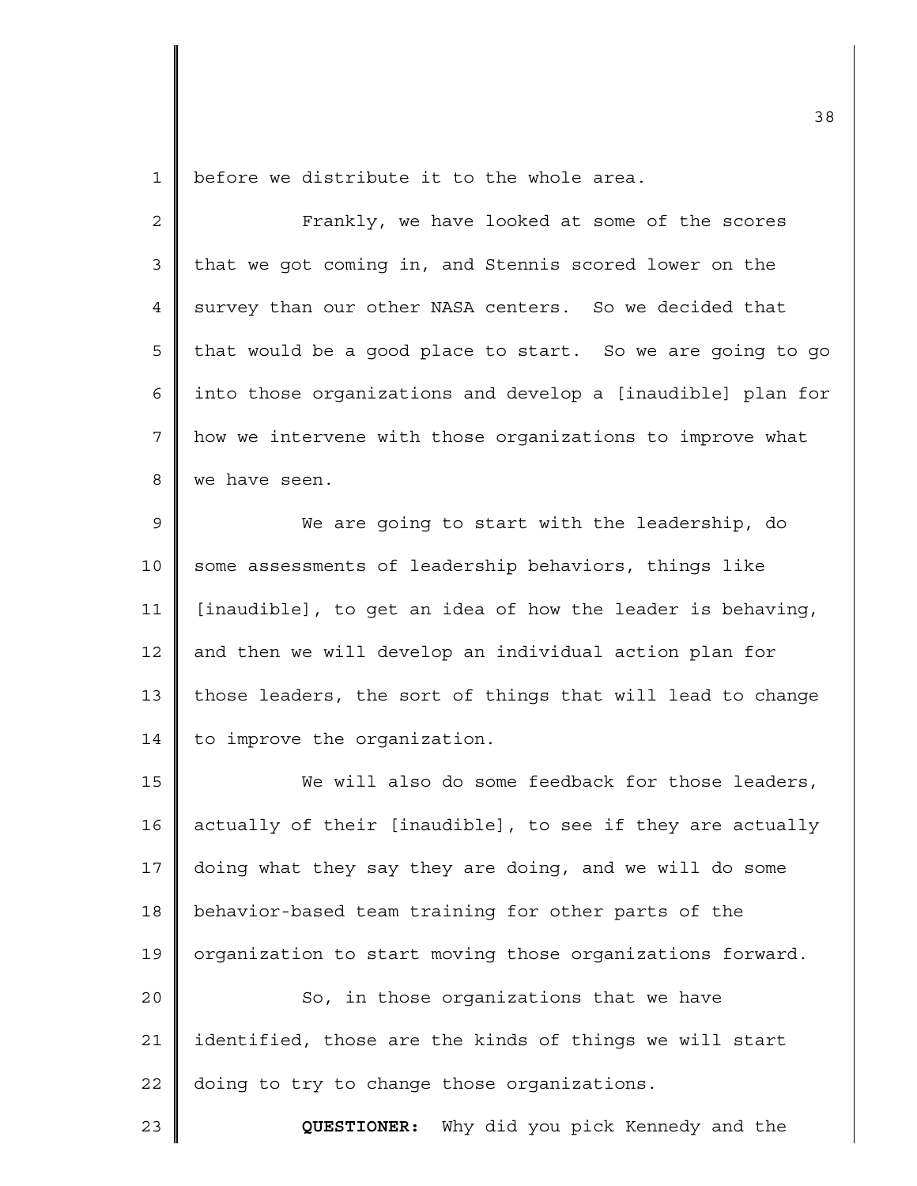1 before we distribute it to the whole area.

| $\overline{2}$ | Frankly, we have looked at some of the scores               |
|----------------|-------------------------------------------------------------|
| $\mathfrak{Z}$ | that we got coming in, and Stennis scored lower on the      |
| 4              | survey than our other NASA centers. So we decided that      |
| 5              | that would be a good place to start. So we are going to go  |
| 6              | into those organizations and develop a [inaudible] plan for |
| 7              | how we intervene with those organizations to improve what   |
| 8              | we have seen.                                               |
| $\mathsf 9$    | We are going to start with the leadership, do               |
| 10             | some assessments of leadership behaviors, things like       |
| 11             | [inaudible], to get an idea of how the leader is behaving,  |
| 12             | and then we will develop an individual action plan for      |
| 13             | those leaders, the sort of things that will lead to change  |
| 14             | to improve the organization.                                |
| 15             | We will also do some feedback for those leaders,            |
| 16             | actually of their [inaudible], to see if they are actually  |
| 17             | doing what they say they are doing, and we will do some     |
| 18             | behavior-based team training for other parts of the         |
| 19             | organization to start moving those organizations forward.   |
| 20             | So, in those organizations that we have                     |
| 21             | identified, those are the kinds of things we will start     |
| 22             | doing to try to change those organizations.                 |
| 23             | Why did you pick Kennedy and the<br>QUESTIONER:             |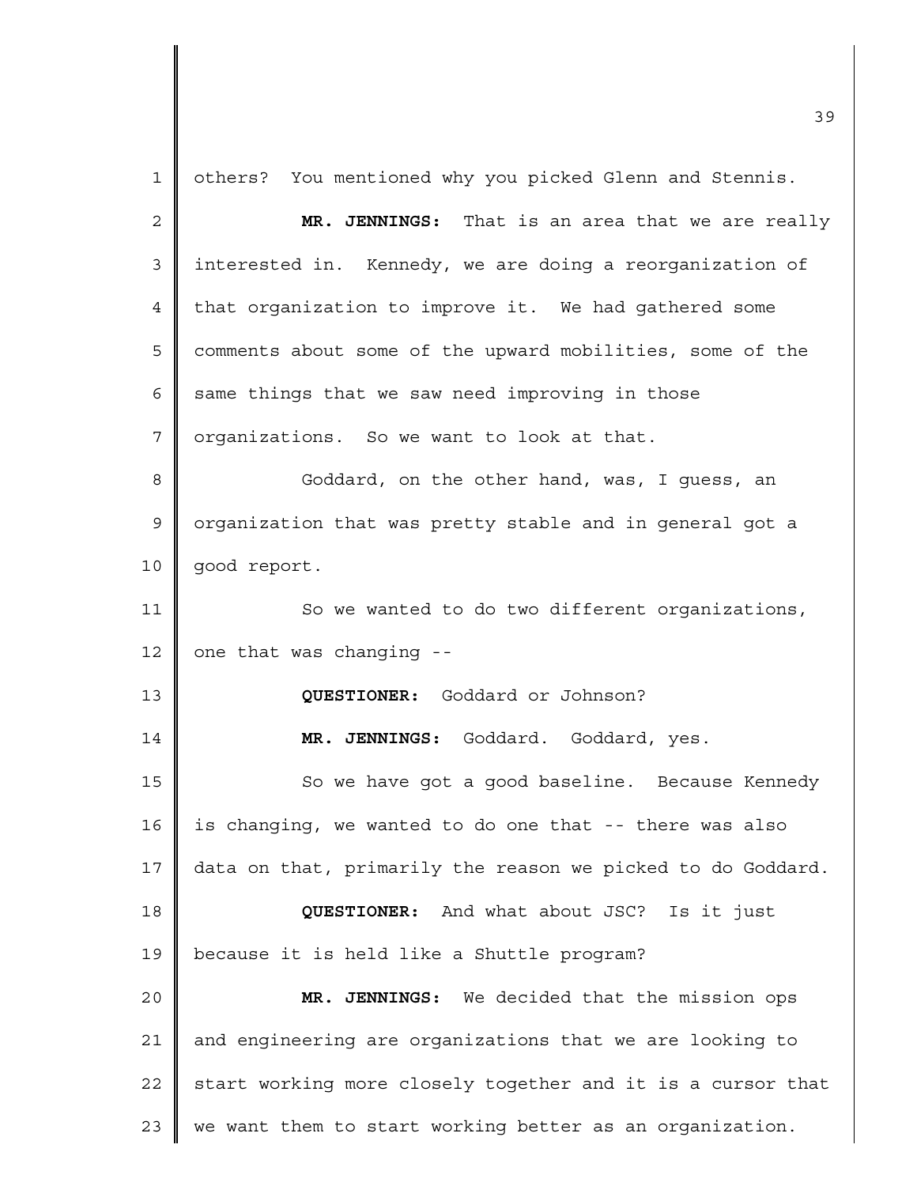1 2 3 4 5 6 7 8 9 10 11 12 13 14 15 16 17 18 19  $2.0$ 21 22 23 others? You mentioned why you picked Glenn and Stennis. **MR. JENNINGS:** That is an area that we are really interested in. Kennedy, we are doing a reorganization of that organization to improve it. We had gathered some comments about some of the upward mobilities, some of the same things that we saw need improving in those organizations. So we want to look at that. Goddard, on the other hand, was, I guess, an organization that was pretty stable and in general got a good report. So we wanted to do two different organizations, one that was changing -- **QUESTIONER:** Goddard or Johnson? **MR. JENNINGS:** Goddard. Goddard, yes. So we have got a good baseline. Because Kennedy is changing, we wanted to do one that -- there was also data on that, primarily the reason we picked to do Goddard. **QUESTIONER:** And what about JSC? Is it just because it is held like a Shuttle program? **MR. JENNINGS:** We decided that the mission ops and engineering are organizations that we are looking to start working more closely together and it is a cursor that we want them to start working better as an organization.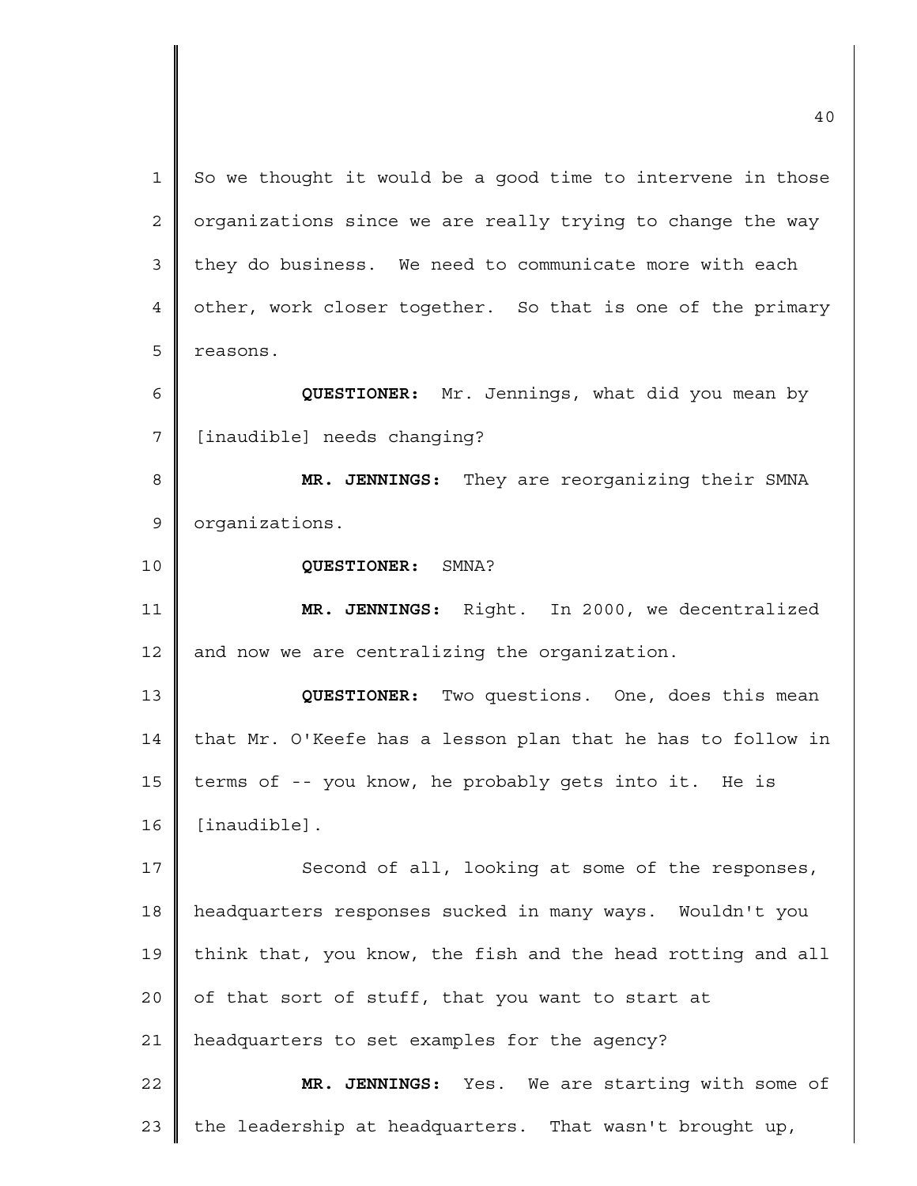| $\mathbf{1}$ | So we thought it would be a good time to intervene in those |
|--------------|-------------------------------------------------------------|
| 2            | organizations since we are really trying to change the way  |
| 3            | they do business. We need to communicate more with each     |
| 4            | other, work closer together. So that is one of the primary  |
| 5            | reasons.                                                    |
| 6            | QUESTIONER: Mr. Jennings, what did you mean by              |
| 7            | [inaudible] needs changing?                                 |
| 8            | MR. JENNINGS: They are reorganizing their SMNA              |
| 9            | organizations.                                              |
| 10           | QUESTIONER: SMNA?                                           |
| 11           | MR. JENNINGS: Right. In 2000, we decentralized              |
| 12           | and now we are centralizing the organization.               |
| 13           | QUESTIONER: Two questions. One, does this mean              |
| 14           | that Mr. O'Keefe has a lesson plan that he has to follow in |
| 15           | terms of -- you know, he probably gets into it. He is       |
| 16           | [inaudible].                                                |
| 17           | Second of all, looking at some of the responses,            |
| 18           | headquarters responses sucked in many ways. Wouldn't you    |
| 19           | think that, you know, the fish and the head rotting and all |
| 20           | of that sort of stuff, that you want to start at            |
| 21           | headquarters to set examples for the agency?                |
| 22           | MR. JENNINGS: Yes. We are starting with some of             |
| 23           | the leadership at headquarters. That wasn't brought up,     |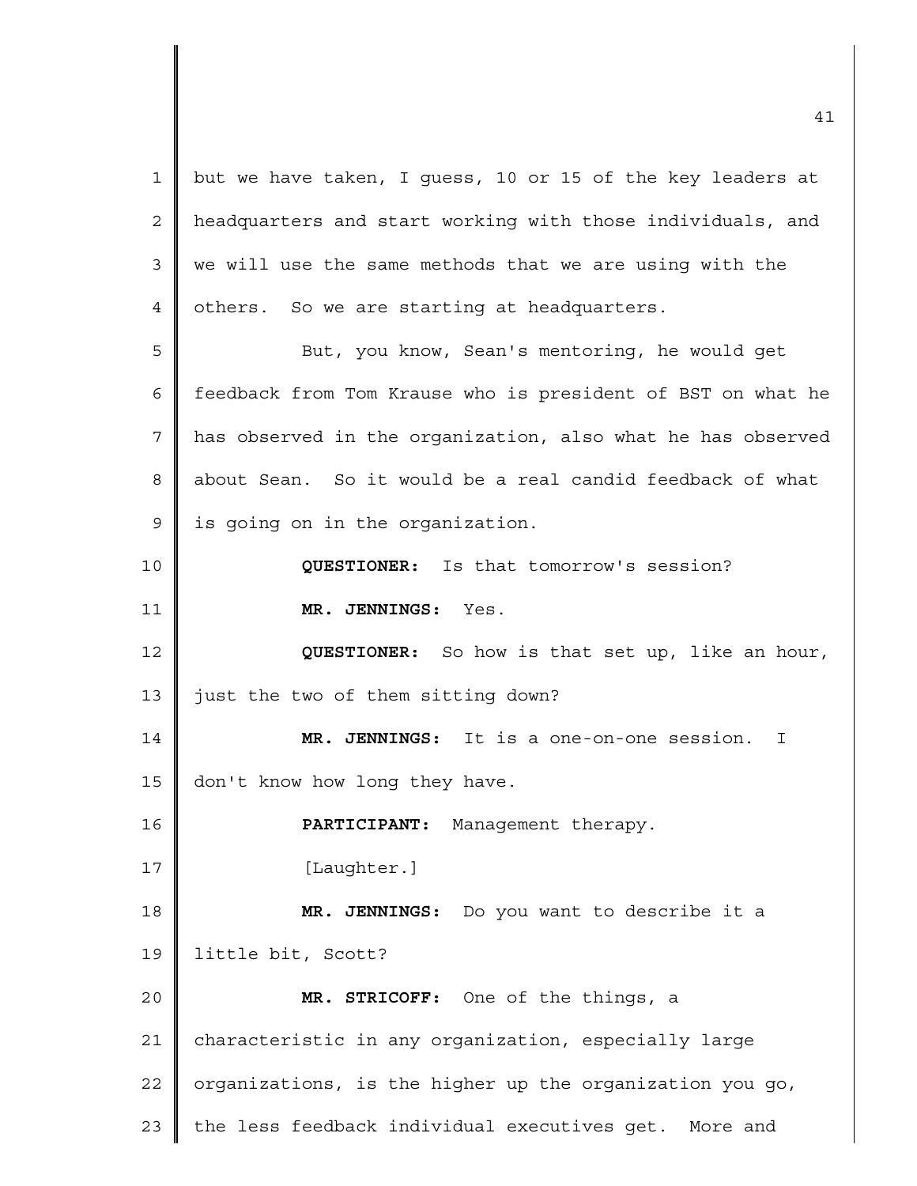1 2 3 4 5 6 7 8 9 10 11 12 13 14 15 16 17 18 19 20 21 22 23 but we have taken, I guess, 10 or 15 of the key leaders at headquarters and start working with those individuals, and we will use the same methods that we are using with the others. So we are starting at headquarters. But, you know, Sean's mentoring, he would get feedback from Tom Krause who is president of BST on what he has observed in the organization, also what he has observed about Sean. So it would be a real candid feedback of what is going on in the organization. **QUESTIONER:** Is that tomorrow's session? **MR. JENNINGS:** Yes. **QUESTIONER:** So how is that set up, like an hour, just the two of them sitting down? **MR. JENNINGS:** It is a one-on-one session. I don't know how long they have. **PARTICIPANT:** Management therapy. [Laughter.] **MR. JENNINGS:** Do you want to describe it a little bit, Scott? **MR. STRICOFF:** One of the things, a characteristic in any organization, especially large organizations, is the higher up the organization you go, the less feedback individual executives get. More and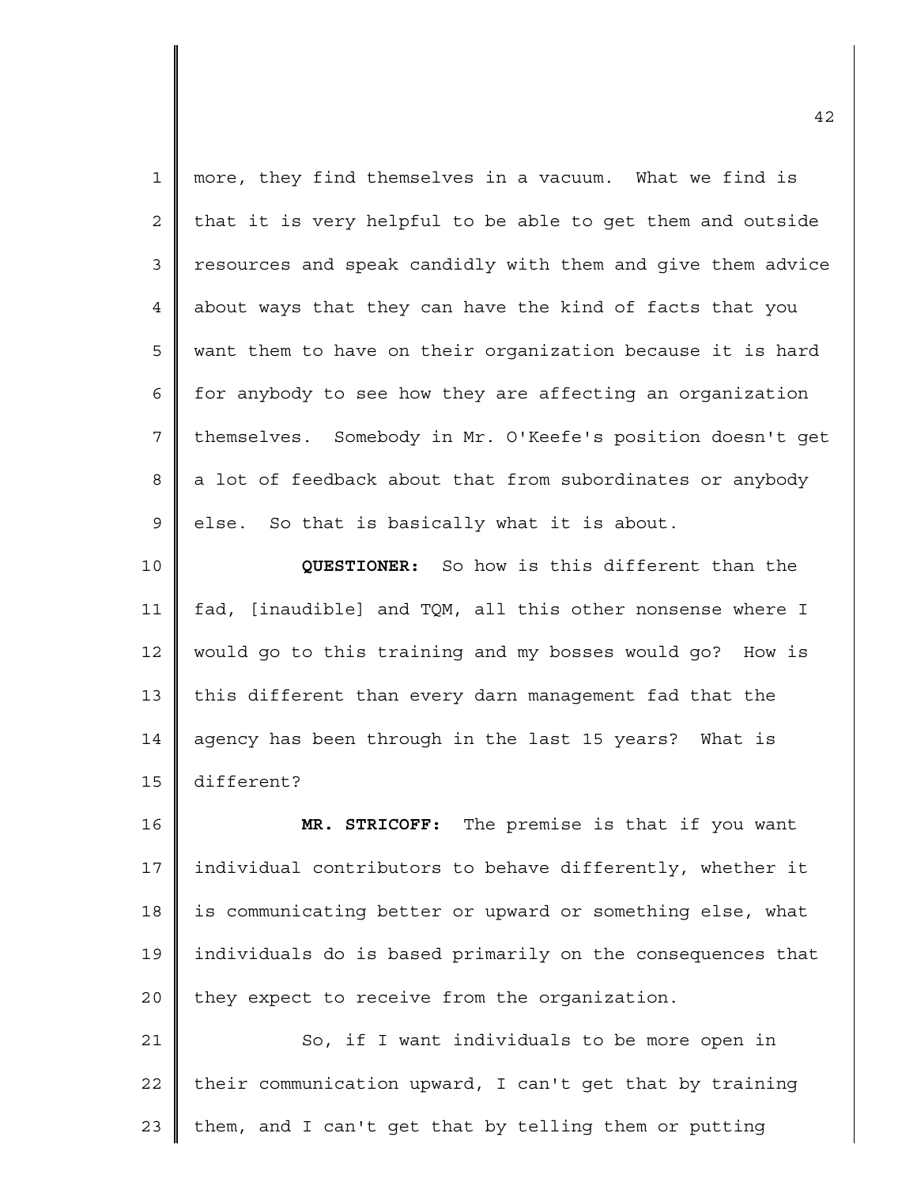| $\mathbf 1$    | more, they find themselves in a vacuum. What we find is     |
|----------------|-------------------------------------------------------------|
| $\overline{2}$ | that it is very helpful to be able to get them and outside  |
| 3              | resources and speak candidly with them and give them advice |
| 4              | about ways that they can have the kind of facts that you    |
| 5              | want them to have on their organization because it is hard  |
| 6              | for anybody to see how they are affecting an organization   |
| $\overline{7}$ | themselves. Somebody in Mr. O'Keefe's position doesn't get  |
| 8              | a lot of feedback about that from subordinates or anybody   |
| $\mathsf 9$    | else. So that is basically what it is about.                |
| 10             | QUESTIONER: So how is this different than the               |
| 11             | fad, [inaudible] and TQM, all this other nonsense where I   |
| 12             | would go to this training and my bosses would go? How is    |
| 13             | this different than every darn management fad that the      |
| 14             | agency has been through in the last 15 years? What is       |
| 15             | different?                                                  |
| 16             | MR. STRICOFF: The premise is that if you want               |
| 17             | individual contributors to behave differently, whether it   |
| 18             | is communicating better or upward or something else, what   |
| 19             | individuals do is based primarily on the consequences that  |
| 20             | they expect to receive from the organization.               |
| 21             | So, if I want individuals to be more open in                |
| 22             | their communication upward, I can't get that by training    |
| 23             | them, and I can't get that by telling them or putting       |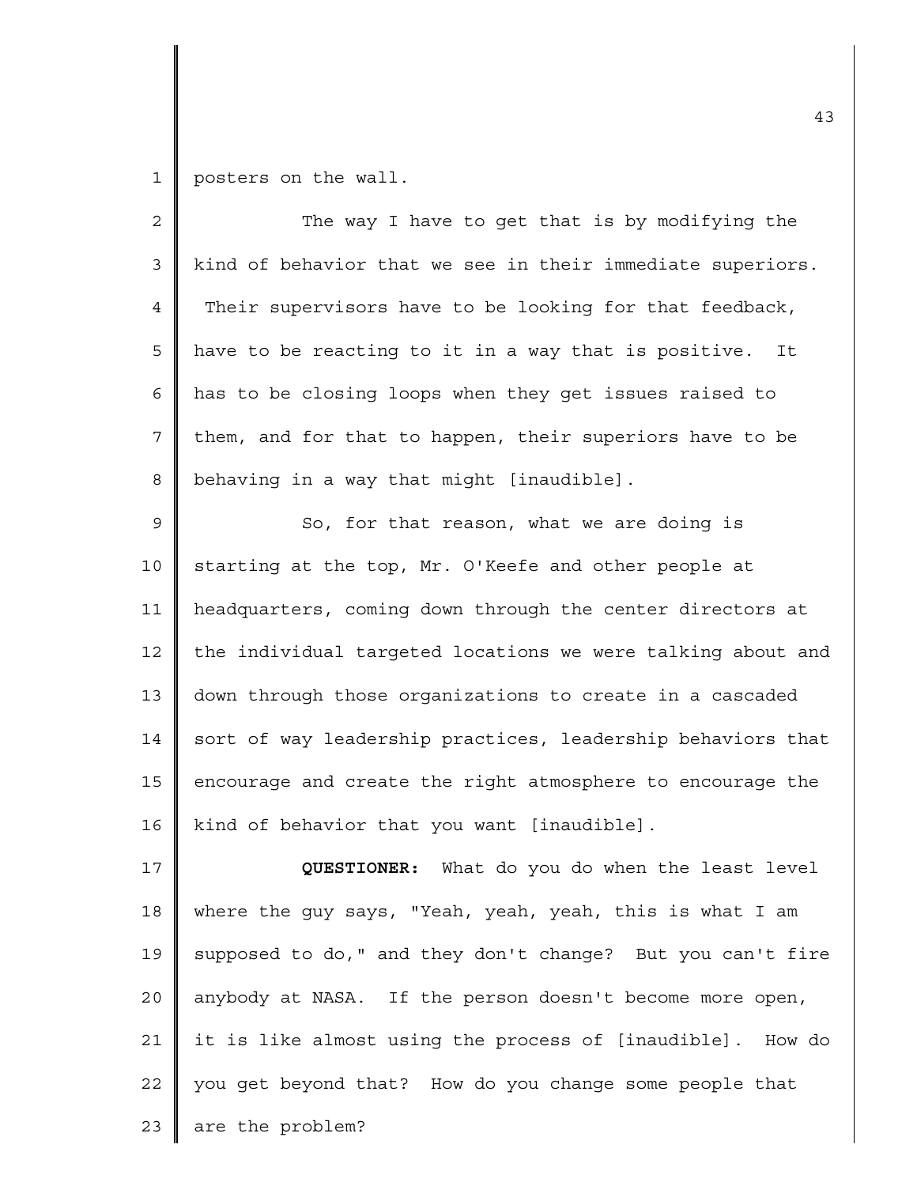1 posters on the wall.

| $\overline{2}$ | The way I have to get that is by modifying the              |
|----------------|-------------------------------------------------------------|
| 3              | kind of behavior that we see in their immediate superiors.  |
| $\overline{4}$ | Their supervisors have to be looking for that feedback,     |
| 5              | have to be reacting to it in a way that is positive.<br>It  |
| 6              | has to be closing loops when they get issues raised to      |
| 7              | them, and for that to happen, their superiors have to be    |
| 8              | behaving in a way that might [inaudible].                   |
| 9              | So, for that reason, what we are doing is                   |
| 10             | starting at the top, Mr. O'Keefe and other people at        |
| 11             | headquarters, coming down through the center directors at   |
| 12             | the individual targeted locations we were talking about and |
| 13             | down through those organizations to create in a cascaded    |
| 14             | sort of way leadership practices, leadership behaviors that |
| 15             | encourage and create the right atmosphere to encourage the  |
| 16             | kind of behavior that you want [inaudible].                 |
| 17             | What do you do when the least level<br><b>QUESTIONER:</b>   |
| 18             | where the guy says, "Yeah, yeah, yeah, this is what I am    |
| 19             | supposed to do," and they don't change? But you can't fire  |
| 20             | anybody at NASA. If the person doesn't become more open,    |
| 21             | it is like almost using the process of [inaudible]. How do  |
| 22             | you get beyond that? How do you change some people that     |
| 23             | are the problem?                                            |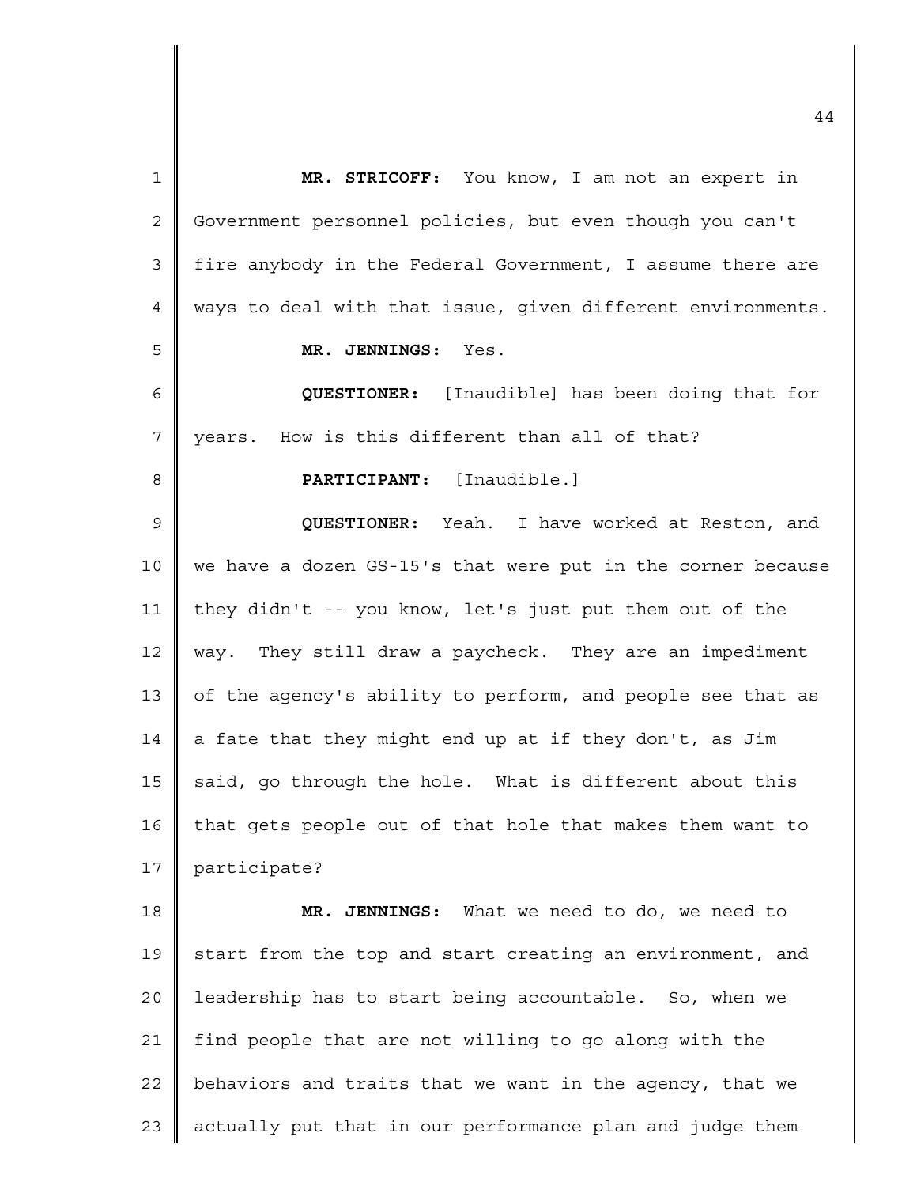| $\mathbf 1$ | MR. STRICOFF: You know, I am not an expert in               |
|-------------|-------------------------------------------------------------|
| 2           | Government personnel policies, but even though you can't    |
| 3           | fire anybody in the Federal Government, I assume there are  |
| 4           | ways to deal with that issue, given different environments. |
| 5           | MR. JENNINGS: Yes.                                          |
| 6           | <b>QUESTIONER:</b> [Inaudible] has been doing that for      |
| 7           | years. How is this different than all of that?              |
| 8           | <b>PARTICIPANT:</b> [Inaudible.]                            |
| 9           | QUESTIONER: Yeah. I have worked at Reston, and              |
| 10          | we have a dozen GS-15's that were put in the corner because |
| 11          | they didn't -- you know, let's just put them out of the     |
| 12          | way. They still draw a paycheck. They are an impediment     |
| 13          | of the agency's ability to perform, and people see that as  |
| 14          | a fate that they might end up at if they don't, as Jim      |
| 15          | said, go through the hole. What is different about this     |
| 16          | that gets people out of that hole that makes them want to   |
| 17          | participate?                                                |
| 18          | What we need to do, we need to<br>MR. JENNINGS:             |
| 19          | start from the top and start creating an environment, and   |
| 20          | leadership has to start being accountable. So, when we      |
| 21          | find people that are not willing to go along with the       |
| 22          | behaviors and traits that we want in the agency, that we    |
| 23          | actually put that in our performance plan and judge them    |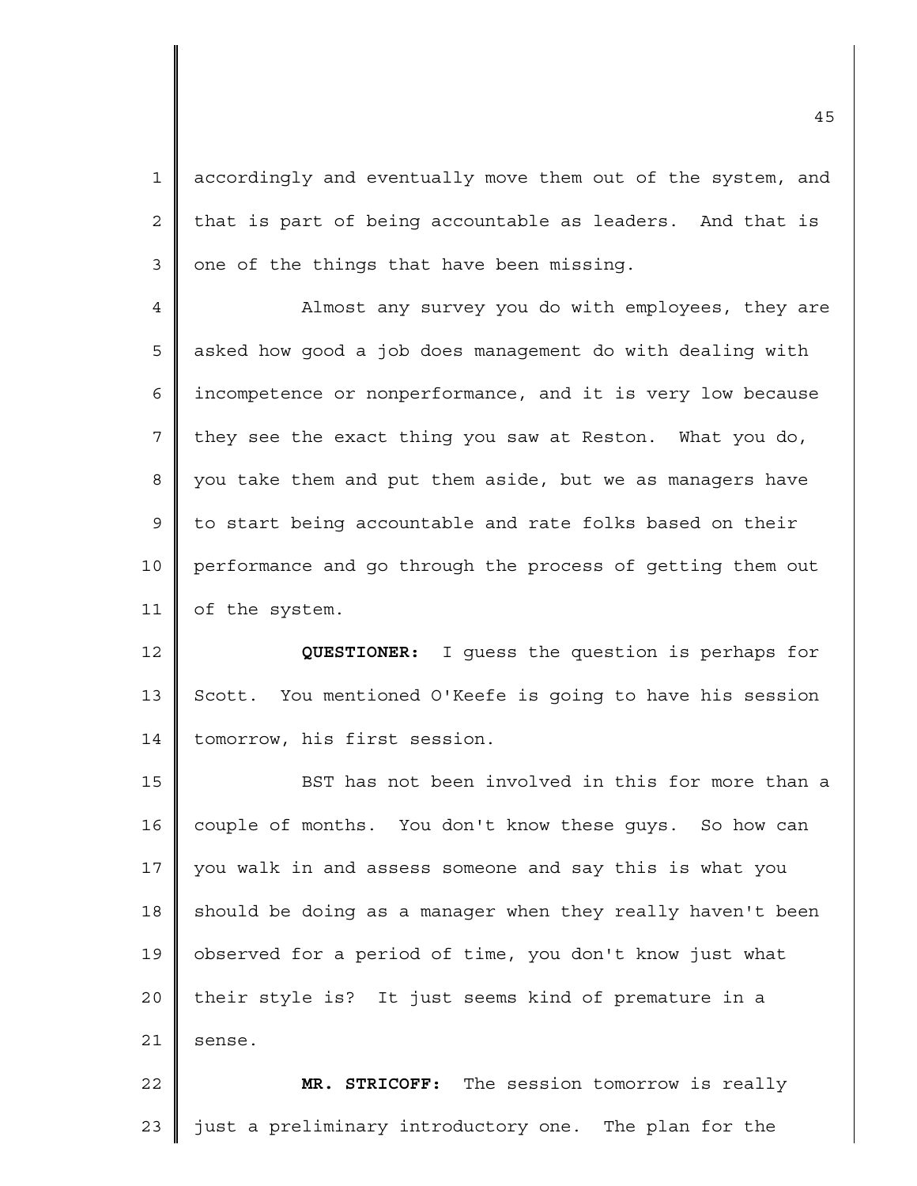1 2 3 accordingly and eventually move them out of the system, and that is part of being accountable as leaders. And that is one of the things that have been missing.

4 5 6 7 8 9 10 11 Almost any survey you do with employees, they are asked how good a job does management do with dealing with incompetence or nonperformance, and it is very low because they see the exact thing you saw at Reston. What you do, you take them and put them aside, but we as managers have to start being accountable and rate folks based on their performance and go through the process of getting them out of the system.

12 13 14 **QUESTIONER:** I guess the question is perhaps for Scott. You mentioned O'Keefe is going to have his session tomorrow, his first session.

15 16 17 18 19 20 21 BST has not been involved in this for more than a couple of months. You don't know these guys. So how can you walk in and assess someone and say this is what you should be doing as a manager when they really haven't been observed for a period of time, you don't know just what their style is? It just seems kind of premature in a sense.

22 23 **MR. STRICOFF:** The session tomorrow is really just a preliminary introductory one. The plan for the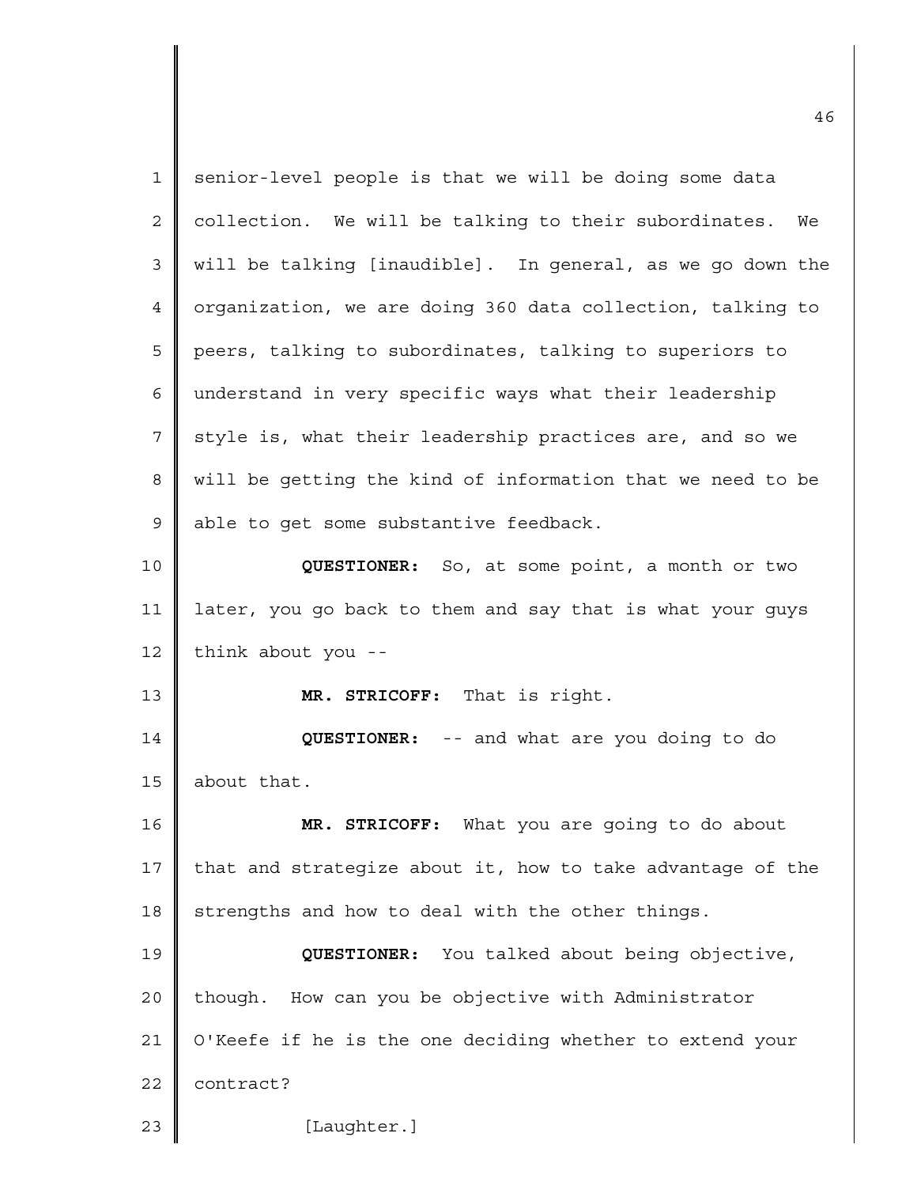|                | ⊐∪                                                          |
|----------------|-------------------------------------------------------------|
| 1              | senior-level people is that we will be doing some data      |
| 2              | collection. We will be talking to their subordinates.<br>We |
| 3              | will be talking [inaudible]. In general, as we go down the  |
| $\overline{4}$ | organization, we are doing 360 data collection, talking to  |
| 5              | peers, talking to subordinates, talking to superiors to     |
| 6              | understand in very specific ways what their leadership      |
| 7              | style is, what their leadership practices are, and so we    |
| 8              | will be getting the kind of information that we need to be  |
| $\mathsf 9$    | able to get some substantive feedback.                      |
| 10             | QUESTIONER: So, at some point, a month or two               |
| 11             | later, you go back to them and say that is what your guys   |
| 12             | think about you --                                          |
| 13             | MR. STRICOFF: That is right.                                |
| 14             | QUESTIONER: -- and what are you doing to do                 |
| 15             | about that.                                                 |
| 16             | MR. STRICOFF: What you are going to do about                |
| 17             | that and strategize about it, how to take advantage of the  |
| 18             | strengths and how to deal with the other things.            |
| 19             | QUESTIONER: You talked about being objective,               |
| 20             | though. How can you be objective with Administrator         |
| 21             | O'Keefe if he is the one deciding whether to extend your    |
| 22             | contract?                                                   |
| 23             | [Laughter.]                                                 |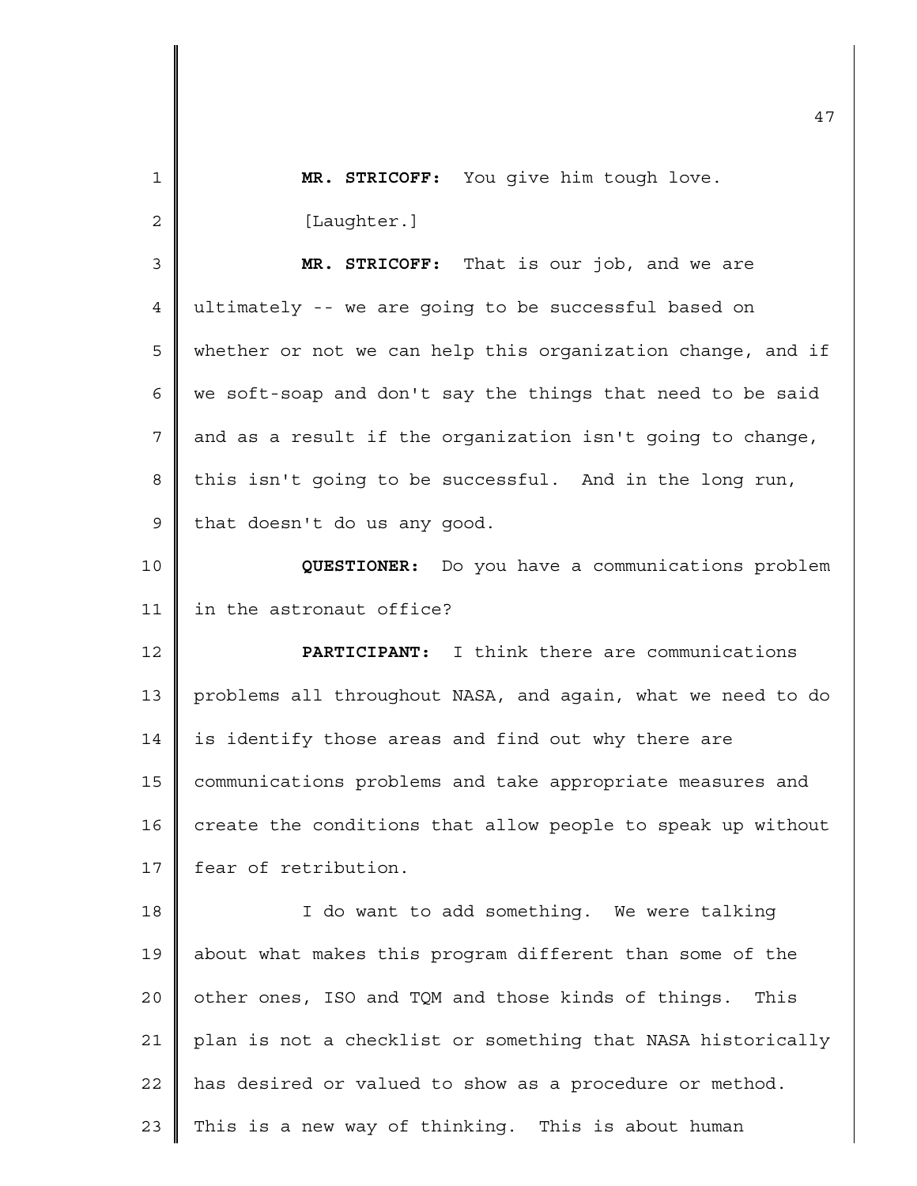| $\mathbf{1}$               | MR. STRICOFF: You give him tough love.                      |  |  |  |  |  |  |  |
|----------------------------|-------------------------------------------------------------|--|--|--|--|--|--|--|
| $\mathbf{2}$               | [Laughter.]                                                 |  |  |  |  |  |  |  |
| 3                          | MR. STRICOFF: That is our job, and we are                   |  |  |  |  |  |  |  |
| 4                          | ultimately -- we are going to be successful based on        |  |  |  |  |  |  |  |
| 5                          | whether or not we can help this organization change, and if |  |  |  |  |  |  |  |
| 6                          | we soft-soap and don't say the things that need to be said  |  |  |  |  |  |  |  |
| 7                          | and as a result if the organization isn't going to change,  |  |  |  |  |  |  |  |
| 8                          | this isn't going to be successful. And in the long run,     |  |  |  |  |  |  |  |
| $\mathsf 9$                | that doesn't do us any good.                                |  |  |  |  |  |  |  |
| 10                         | QUESTIONER: Do you have a communications problem            |  |  |  |  |  |  |  |
| 11                         | in the astronaut office?                                    |  |  |  |  |  |  |  |
|                            |                                                             |  |  |  |  |  |  |  |
|                            | PARTICIPANT: I think there are communications               |  |  |  |  |  |  |  |
|                            | problems all throughout NASA, and again, what we need to do |  |  |  |  |  |  |  |
|                            | is identify those areas and find out why there are          |  |  |  |  |  |  |  |
| 12<br>13<br>14<br>15       | communications problems and take appropriate measures and   |  |  |  |  |  |  |  |
|                            | create the conditions that allow people to speak up without |  |  |  |  |  |  |  |
|                            | fear of retribution.                                        |  |  |  |  |  |  |  |
|                            | I do want to add something. We were talking                 |  |  |  |  |  |  |  |
|                            | about what makes this program different than some of the    |  |  |  |  |  |  |  |
| 16<br>17<br>18<br>19<br>20 | other ones, ISO and TQM and those kinds of things.<br>This  |  |  |  |  |  |  |  |
| 21                         | plan is not a checklist or something that NASA historically |  |  |  |  |  |  |  |
| 22                         | has desired or valued to show as a procedure or method.     |  |  |  |  |  |  |  |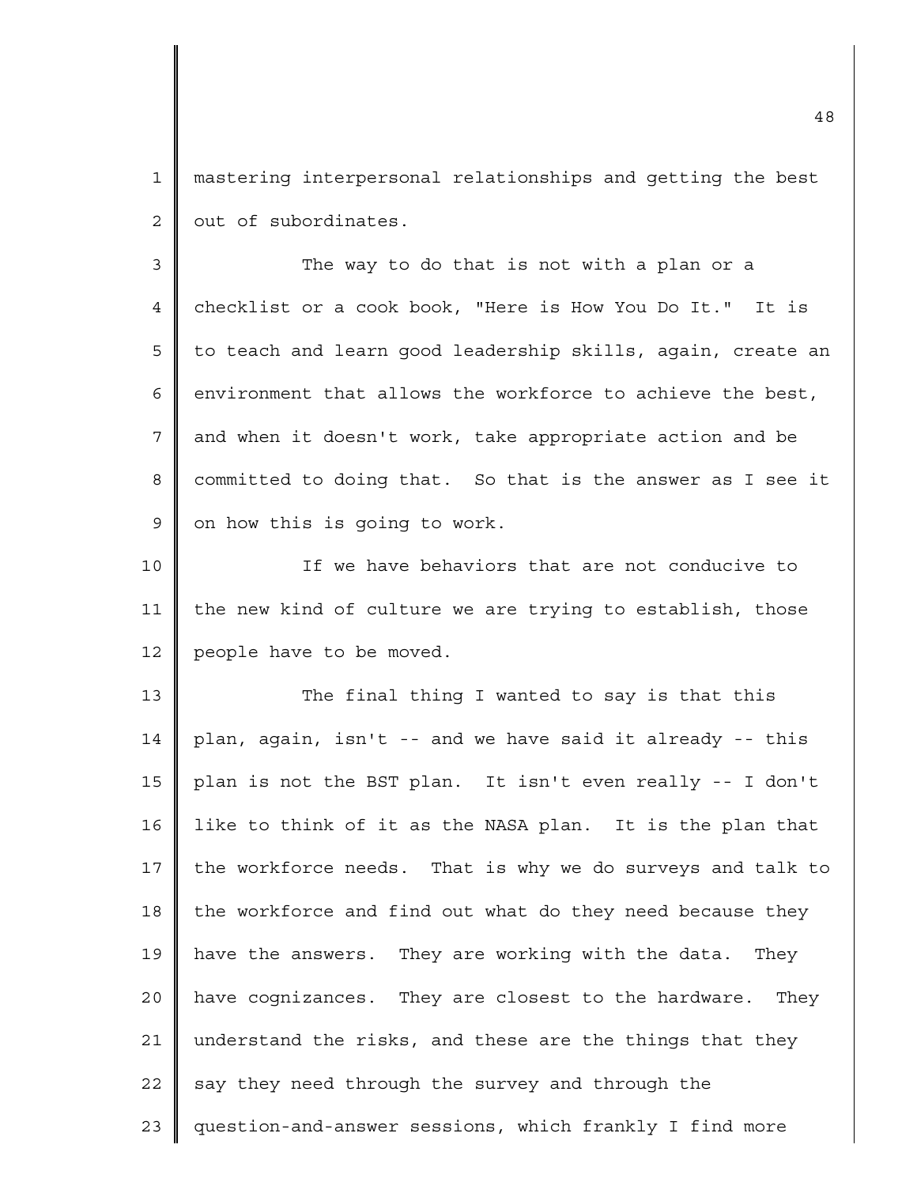1 2 mastering interpersonal relationships and getting the best out of subordinates.

3 4 5 6 7 8 9 The way to do that is not with a plan or a checklist or a cook book, "Here is How You Do It." It is to teach and learn good leadership skills, again, create an environment that allows the workforce to achieve the best, and when it doesn't work, take appropriate action and be committed to doing that. So that is the answer as I see it on how this is going to work.

10 11 12 If we have behaviors that are not conducive to the new kind of culture we are trying to establish, those people have to be moved.

13 14 15 16 17 18 19 20 21 22 23 The final thing I wanted to say is that this plan, again, isn't -- and we have said it already -- this plan is not the BST plan. It isn't even really -- I don't like to think of it as the NASA plan. It is the plan that the workforce needs. That is why we do surveys and talk to the workforce and find out what do they need because they have the answers. They are working with the data. They have cognizances. They are closest to the hardware. They understand the risks, and these are the things that they say they need through the survey and through the question-and-answer sessions, which frankly I find more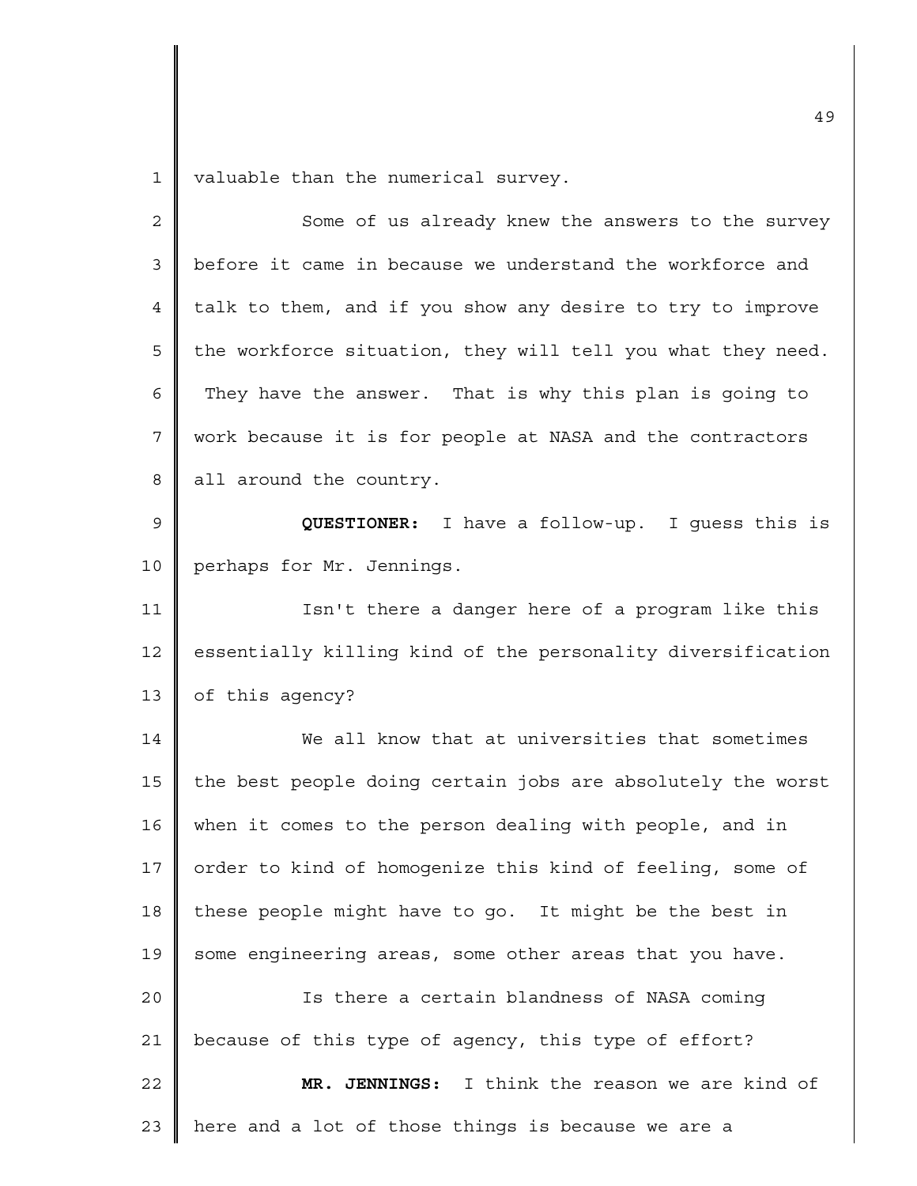1 valuable than the numerical survey.

| $\mathbf 2$     | Some of us already knew the answers to the survey           |  |  |  |  |  |  |  |
|-----------------|-------------------------------------------------------------|--|--|--|--|--|--|--|
| $\mathfrak{Z}$  | before it came in because we understand the workforce and   |  |  |  |  |  |  |  |
| 4               | talk to them, and if you show any desire to try to improve  |  |  |  |  |  |  |  |
| 5               | the workforce situation, they will tell you what they need. |  |  |  |  |  |  |  |
| 6               | They have the answer. That is why this plan is going to     |  |  |  |  |  |  |  |
| 7               | work because it is for people at NASA and the contractors   |  |  |  |  |  |  |  |
| 8               | all around the country.                                     |  |  |  |  |  |  |  |
| 9               | <b>QUESTIONER:</b> I have a follow-up. I guess this is      |  |  |  |  |  |  |  |
| $10$            | perhaps for Mr. Jennings.                                   |  |  |  |  |  |  |  |
| 11              | Isn't there a danger here of a program like this            |  |  |  |  |  |  |  |
| 12              | essentially killing kind of the personality diversification |  |  |  |  |  |  |  |
| 13              | of this agency?                                             |  |  |  |  |  |  |  |
| 14              | We all know that at universities that sometimes             |  |  |  |  |  |  |  |
| 15              | the best people doing certain jobs are absolutely the worst |  |  |  |  |  |  |  |
| 16              | when it comes to the person dealing with people, and in     |  |  |  |  |  |  |  |
| 17 <sub>2</sub> | order to kind of homogenize this kind of feeling, some of   |  |  |  |  |  |  |  |
| 18              | these people might have to go. It might be the best in      |  |  |  |  |  |  |  |
| 19              | some engineering areas, some other areas that you have.     |  |  |  |  |  |  |  |
| 20              | Is there a certain blandness of NASA coming                 |  |  |  |  |  |  |  |
| 21              | because of this type of agency, this type of effort?        |  |  |  |  |  |  |  |
| 22              | MR. JENNINGS: I think the reason we are kind of             |  |  |  |  |  |  |  |
| 23              | here and a lot of those things is because we are a          |  |  |  |  |  |  |  |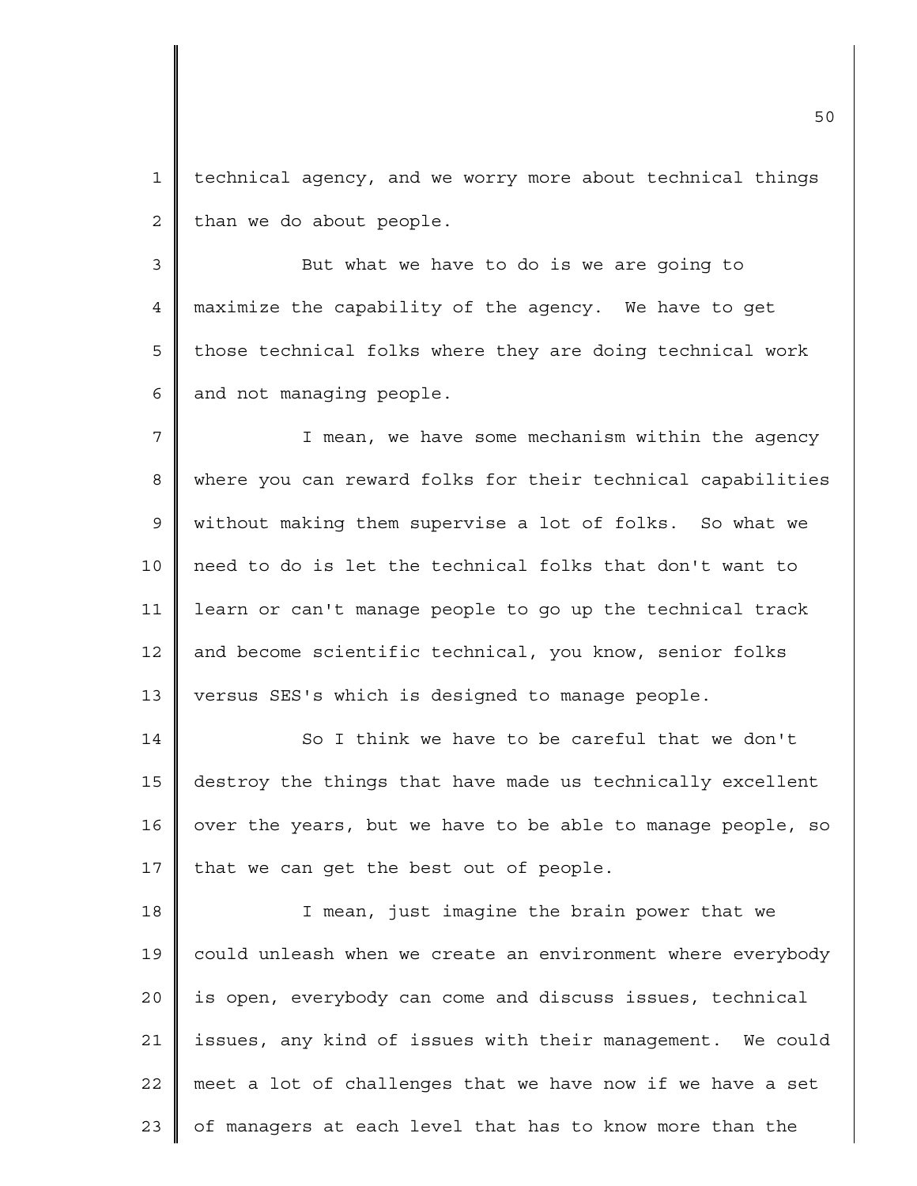1 2 technical agency, and we worry more about technical things than we do about people.

3 4 5 6 But what we have to do is we are going to maximize the capability of the agency. We have to get those technical folks where they are doing technical work and not managing people.

7 8 9 10 11 12 13 I mean, we have some mechanism within the agency where you can reward folks for their technical capabilities without making them supervise a lot of folks. So what we need to do is let the technical folks that don't want to learn or can't manage people to go up the technical track and become scientific technical, you know, senior folks versus SES's which is designed to manage people.

14 15 16 17 So I think we have to be careful that we don't destroy the things that have made us technically excellent over the years, but we have to be able to manage people, so that we can get the best out of people.

18 19 20 21 22 23 I mean, just imagine the brain power that we could unleash when we create an environment where everybody is open, everybody can come and discuss issues, technical issues, any kind of issues with their management. We could meet a lot of challenges that we have now if we have a set of managers at each level that has to know more than the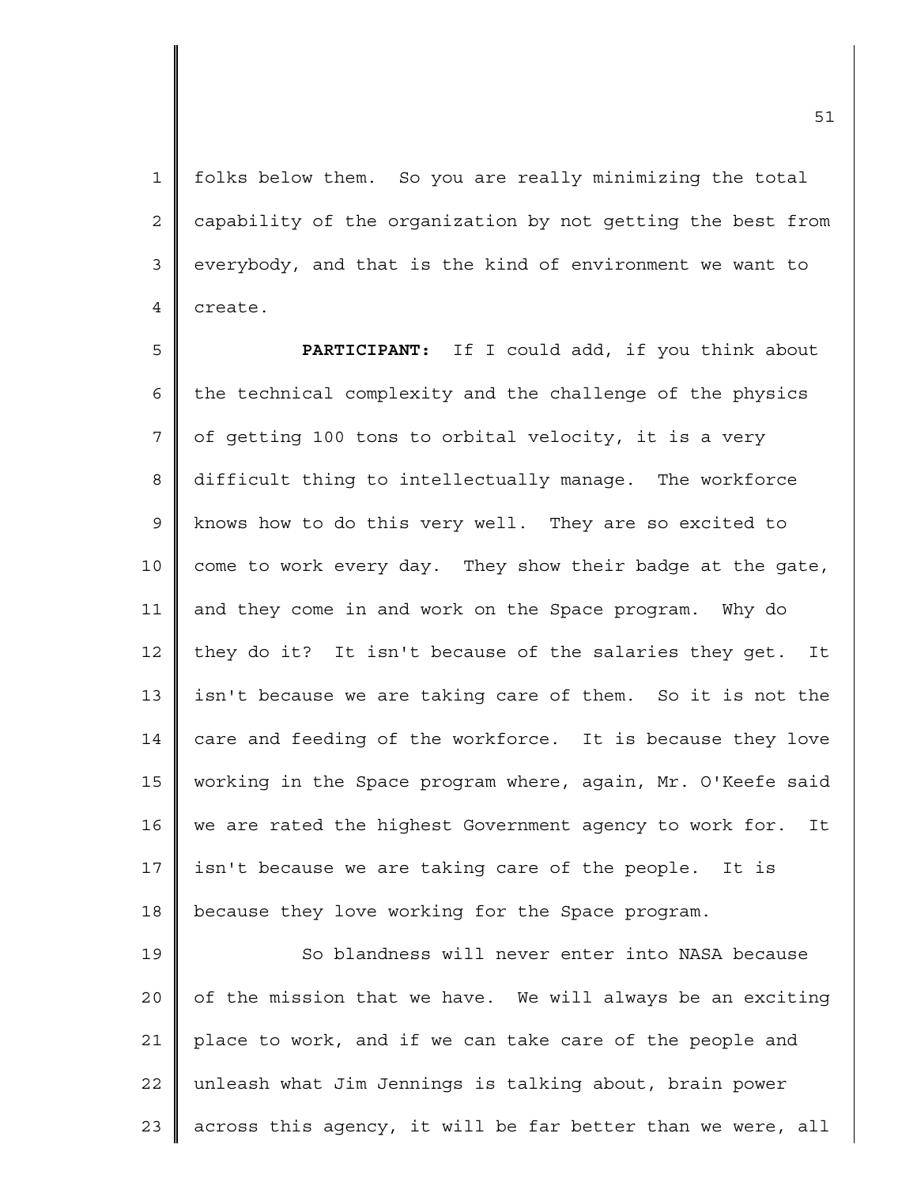1 2 3 4 folks below them. So you are really minimizing the total capability of the organization by not getting the best from everybody, and that is the kind of environment we want to create.

5 6 7 8 9 10 11 12 13 14 15 16 17 18 **PARTICIPANT:** If I could add, if you think about the technical complexity and the challenge of the physics of getting 100 tons to orbital velocity, it is a very difficult thing to intellectually manage. The workforce knows how to do this very well. They are so excited to come to work every day. They show their badge at the gate, and they come in and work on the Space program. Why do they do it? It isn't because of the salaries they get. It isn't because we are taking care of them. So it is not the care and feeding of the workforce. It is because they love working in the Space program where, again, Mr. O'Keefe said we are rated the highest Government agency to work for. It isn't because we are taking care of the people. It is because they love working for the Space program.

19 20 21 22 23 So blandness will never enter into NASA because of the mission that we have. We will always be an exciting place to work, and if we can take care of the people and unleash what Jim Jennings is talking about, brain power across this agency, it will be far better than we were, all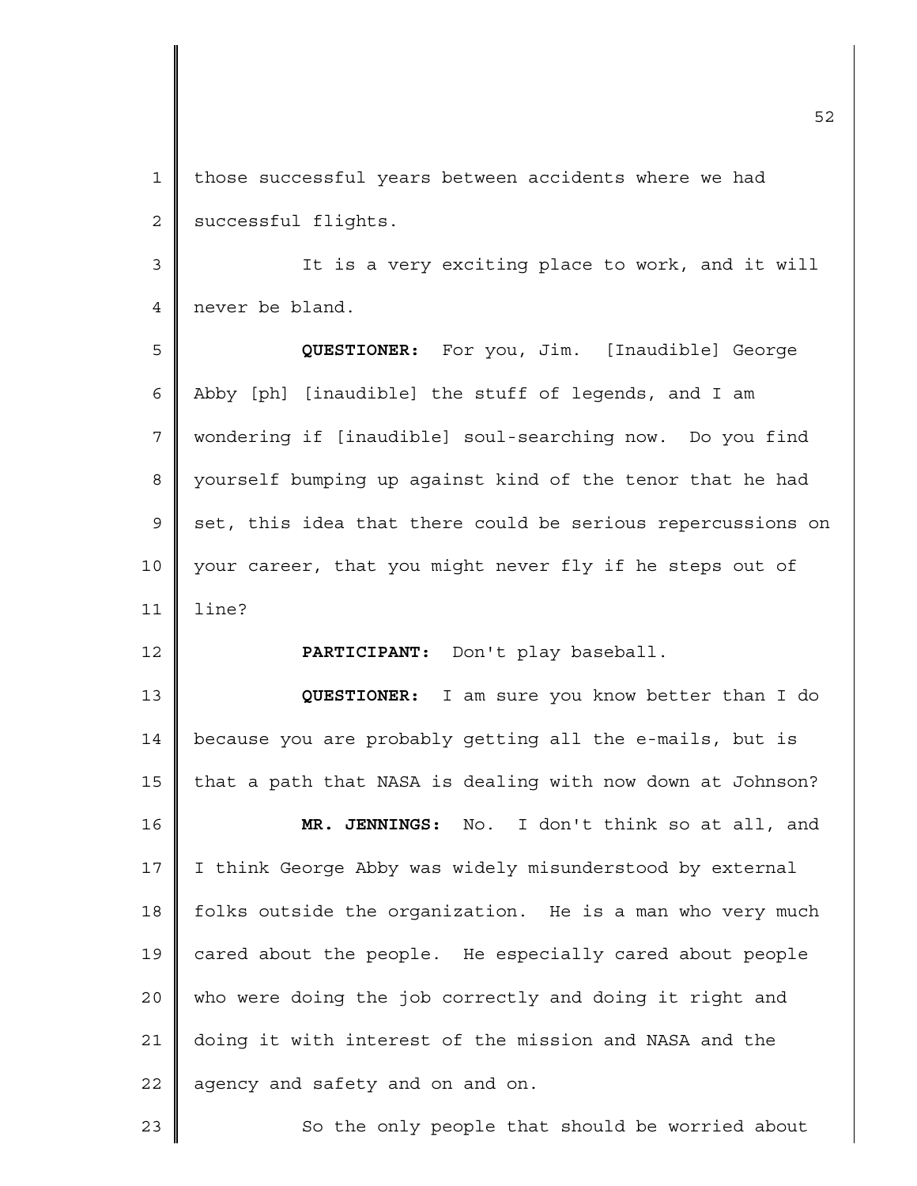1 2 those successful years between accidents where we had successful flights.

3 4 It is a very exciting place to work, and it will never be bland.

5 6 7 8 9 10 11 **QUESTIONER:** For you, Jim. [Inaudible] George Abby [ph] [inaudible] the stuff of legends, and I am wondering if [inaudible] soul-searching now. Do you find yourself bumping up against kind of the tenor that he had set, this idea that there could be serious repercussions on your career, that you might never fly if he steps out of line?

**PARTICIPANT:** Don't play baseball.

12

23

13 14 15 16 17 18 19 20 21 22 **QUESTIONER:** I am sure you know better than I do because you are probably getting all the e-mails, but is that a path that NASA is dealing with now down at Johnson? **MR. JENNINGS:** No. I don't think so at all, and I think George Abby was widely misunderstood by external folks outside the organization. He is a man who very much cared about the people. He especially cared about people who were doing the job correctly and doing it right and doing it with interest of the mission and NASA and the agency and safety and on and on.

So the only people that should be worried about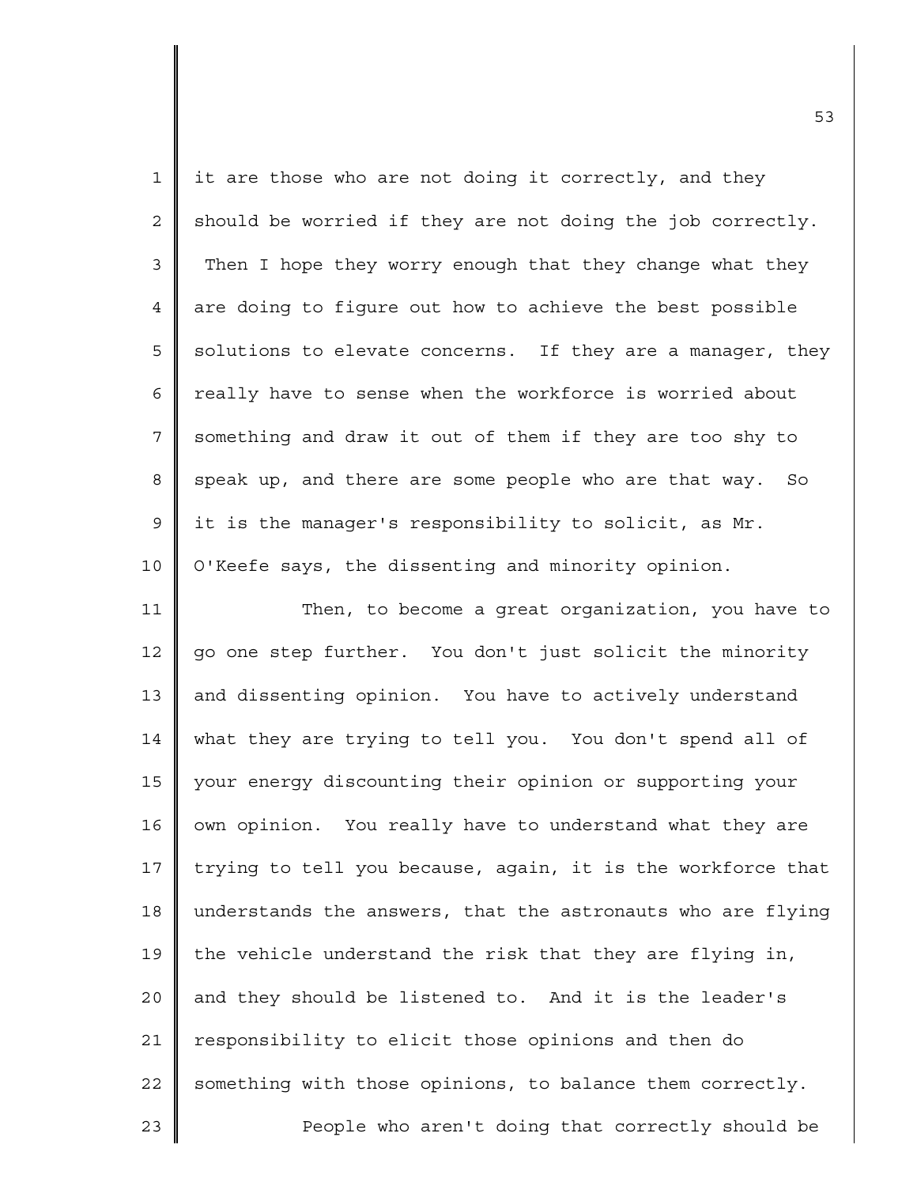| $\mathbf 1$    | it are those who are not doing it correctly, and they       |  |  |  |  |  |  |  |
|----------------|-------------------------------------------------------------|--|--|--|--|--|--|--|
| 2              | should be worried if they are not doing the job correctly.  |  |  |  |  |  |  |  |
| $\mathfrak{Z}$ | Then I hope they worry enough that they change what they    |  |  |  |  |  |  |  |
| 4              | are doing to figure out how to achieve the best possible    |  |  |  |  |  |  |  |
| 5              | solutions to elevate concerns. If they are a manager, they  |  |  |  |  |  |  |  |
| 6              | really have to sense when the workforce is worried about    |  |  |  |  |  |  |  |
| 7              | something and draw it out of them if they are too shy to    |  |  |  |  |  |  |  |
| 8              | speak up, and there are some people who are that way. So    |  |  |  |  |  |  |  |
| 9              | it is the manager's responsibility to solicit, as Mr.       |  |  |  |  |  |  |  |
| $10$           | O'Keefe says, the dissenting and minority opinion.          |  |  |  |  |  |  |  |
| 11             | Then, to become a great organization, you have to           |  |  |  |  |  |  |  |
| 12             | go one step further. You don't just solicit the minority    |  |  |  |  |  |  |  |
| 13             | and dissenting opinion. You have to actively understand     |  |  |  |  |  |  |  |
| 14             | what they are trying to tell you. You don't spend all of    |  |  |  |  |  |  |  |
| 15             | your energy discounting their opinion or supporting your    |  |  |  |  |  |  |  |
| 16             | own opinion. You really have to understand what they are    |  |  |  |  |  |  |  |
| $17$           | trying to tell you because, again, it is the workforce that |  |  |  |  |  |  |  |
| 18             | understands the answers, that the astronauts who are flying |  |  |  |  |  |  |  |
| 19             | the vehicle understand the risk that they are flying in,    |  |  |  |  |  |  |  |
| 20             | and they should be listened to. And it is the leader's      |  |  |  |  |  |  |  |
| 21             | responsibility to elicit those opinions and then do         |  |  |  |  |  |  |  |
| 22             | something with those opinions, to balance them correctly.   |  |  |  |  |  |  |  |
| 23             | People who aren't doing that correctly should be            |  |  |  |  |  |  |  |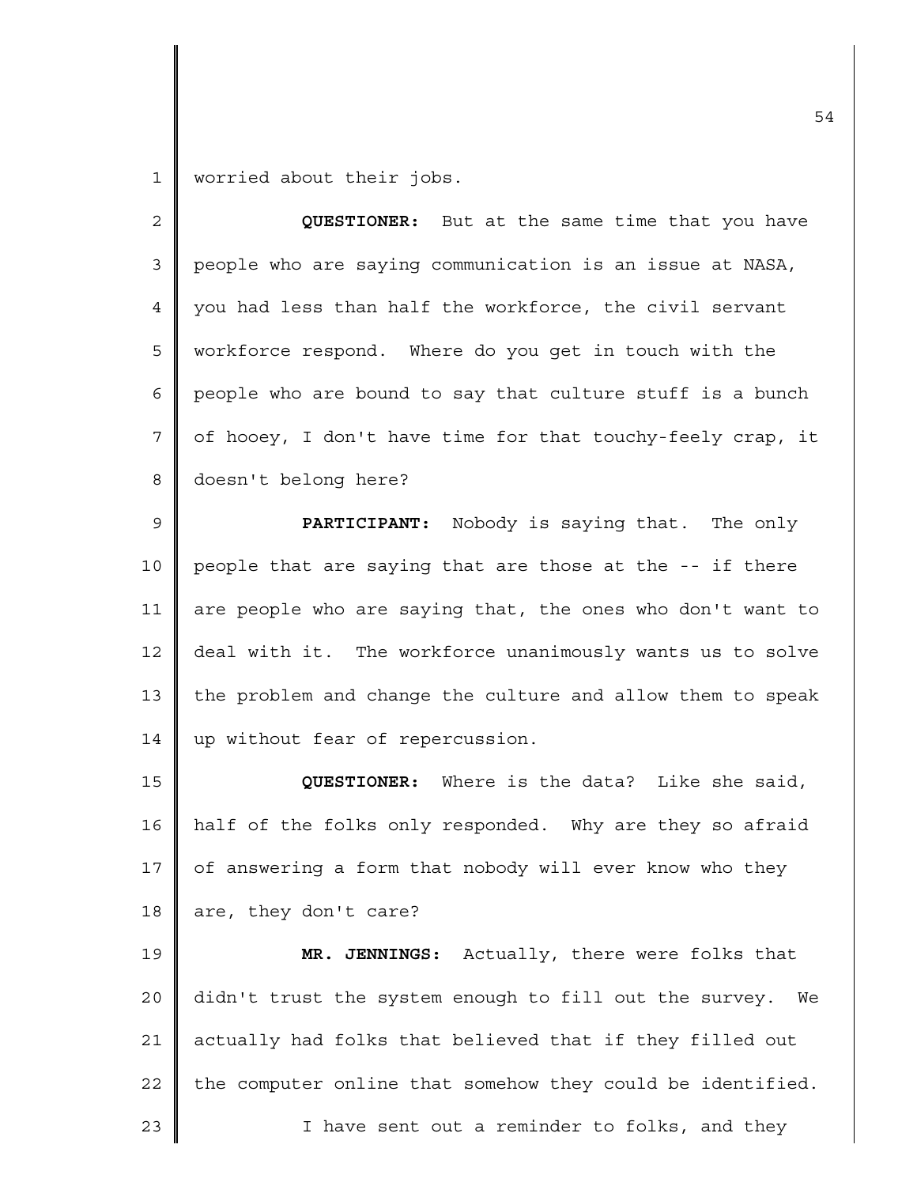1 worried about their jobs.

| $\overline{c}$ | QUESTIONER: But at the same time that you have               |  |  |  |  |  |  |  |
|----------------|--------------------------------------------------------------|--|--|--|--|--|--|--|
| 3              | people who are saying communication is an issue at NASA,     |  |  |  |  |  |  |  |
| 4              | you had less than half the workforce, the civil servant      |  |  |  |  |  |  |  |
| 5              | workforce respond. Where do you get in touch with the        |  |  |  |  |  |  |  |
| 6              | people who are bound to say that culture stuff is a bunch    |  |  |  |  |  |  |  |
| 7              | of hooey, I don't have time for that touchy-feely crap, it   |  |  |  |  |  |  |  |
| 8              | doesn't belong here?                                         |  |  |  |  |  |  |  |
| $\mathsf 9$    | PARTICIPANT: Nobody is saying that. The only                 |  |  |  |  |  |  |  |
| 10             | people that are saying that are those at the -- if there     |  |  |  |  |  |  |  |
| 11             | are people who are saying that, the ones who don't want to   |  |  |  |  |  |  |  |
| 12             | deal with it. The workforce unanimously wants us to solve    |  |  |  |  |  |  |  |
| 13             | the problem and change the culture and allow them to speak   |  |  |  |  |  |  |  |
| 14             | up without fear of repercussion.                             |  |  |  |  |  |  |  |
| 15             | QUESTIONER: Where is the data? Like she said,                |  |  |  |  |  |  |  |
| 16             | half of the folks only responded. Why are they so afraid     |  |  |  |  |  |  |  |
| 17             | of answering a form that nobody will ever know who they      |  |  |  |  |  |  |  |
| 18             | are, they don't care?                                        |  |  |  |  |  |  |  |
| 19             | MR. JENNINGS: Actually, there were folks that                |  |  |  |  |  |  |  |
| 20             | didn't trust the system enough to fill out the survey.<br>We |  |  |  |  |  |  |  |
| 21             | actually had folks that believed that if they filled out     |  |  |  |  |  |  |  |
| 22             | the computer online that somehow they could be identified.   |  |  |  |  |  |  |  |
| 23             | I have sent out a reminder to folks, and they                |  |  |  |  |  |  |  |
|                |                                                              |  |  |  |  |  |  |  |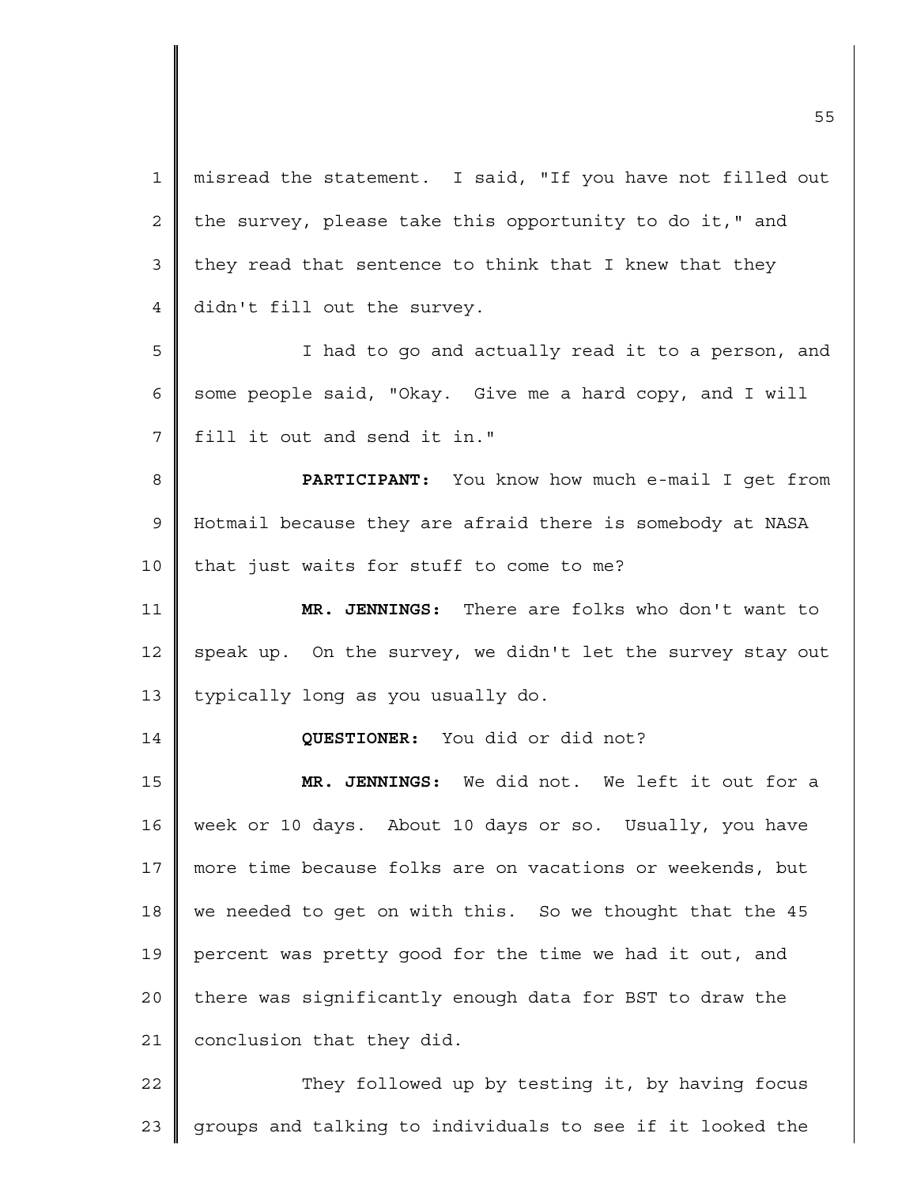1 2 3 4 5 6 7 8 9 10 11 12 13 14 15 16 17 18 19 20 21 22 misread the statement. I said, "If you have not filled out the survey, please take this opportunity to do it," and they read that sentence to think that I knew that they didn't fill out the survey. I had to go and actually read it to a person, and some people said, "Okay. Give me a hard copy, and I will fill it out and send it in." **PARTICIPANT:** You know how much e-mail I get from Hotmail because they are afraid there is somebody at NASA that just waits for stuff to come to me? **MR. JENNINGS:** There are folks who don't want to speak up. On the survey, we didn't let the survey stay out typically long as you usually do. **QUESTIONER:** You did or did not? **MR. JENNINGS:** We did not. We left it out for a week or 10 days. About 10 days or so. Usually, you have more time because folks are on vacations or weekends, but we needed to get on with this. So we thought that the 45 percent was pretty good for the time we had it out, and there was significantly enough data for BST to draw the conclusion that they did. They followed up by testing it, by having focus

groups and talking to individuals to see if it looked the

23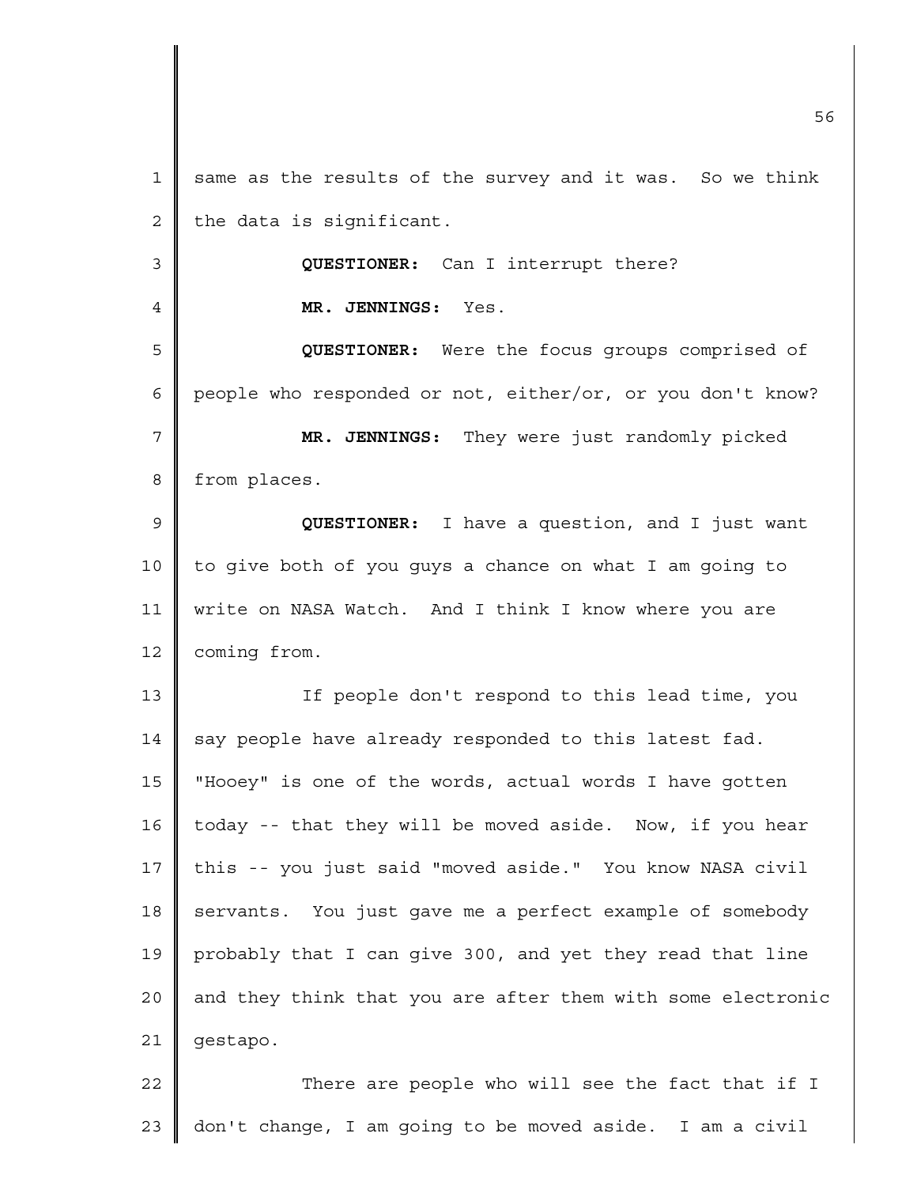| $\mathbf{1}$   | same as the results of the survey and it was. So we think   |  |  |  |  |  |  |
|----------------|-------------------------------------------------------------|--|--|--|--|--|--|
| $\overline{c}$ | the data is significant.                                    |  |  |  |  |  |  |
| $\mathfrak{Z}$ | QUESTIONER: Can I interrupt there?                          |  |  |  |  |  |  |
| 4              | MR. JENNINGS: Yes.                                          |  |  |  |  |  |  |
| 5              | QUESTIONER: Were the focus groups comprised of              |  |  |  |  |  |  |
| 6              | people who responded or not, either/or, or you don't know?  |  |  |  |  |  |  |
| 7              | MR. JENNINGS: They were just randomly picked                |  |  |  |  |  |  |
| 8              | from places.                                                |  |  |  |  |  |  |
| 9              | QUESTIONER: I have a question, and I just want              |  |  |  |  |  |  |
| 10             | to give both of you guys a chance on what I am going to     |  |  |  |  |  |  |
| 11             | write on NASA Watch. And I think I know where you are       |  |  |  |  |  |  |
| 12             | coming from.                                                |  |  |  |  |  |  |
| 13             | If people don't respond to this lead time, you              |  |  |  |  |  |  |
| 14             | say people have already responded to this latest fad.       |  |  |  |  |  |  |
| 15             | "Hooey" is one of the words, actual words I have gotten     |  |  |  |  |  |  |
| 16             | today -- that they will be moved aside. Now, if you hear    |  |  |  |  |  |  |
| $17\,$         | this -- you just said "moved aside." You know NASA civil    |  |  |  |  |  |  |
| $18\,$         | servants. You just gave me a perfect example of somebody    |  |  |  |  |  |  |
| 19             | probably that I can give 300, and yet they read that line   |  |  |  |  |  |  |
| $20$           | and they think that you are after them with some electronic |  |  |  |  |  |  |
| 21             | gestapo.                                                    |  |  |  |  |  |  |
| 22             | There are people who will see the fact that if I            |  |  |  |  |  |  |
| 23             | don't change, I am going to be moved aside. I am a civil    |  |  |  |  |  |  |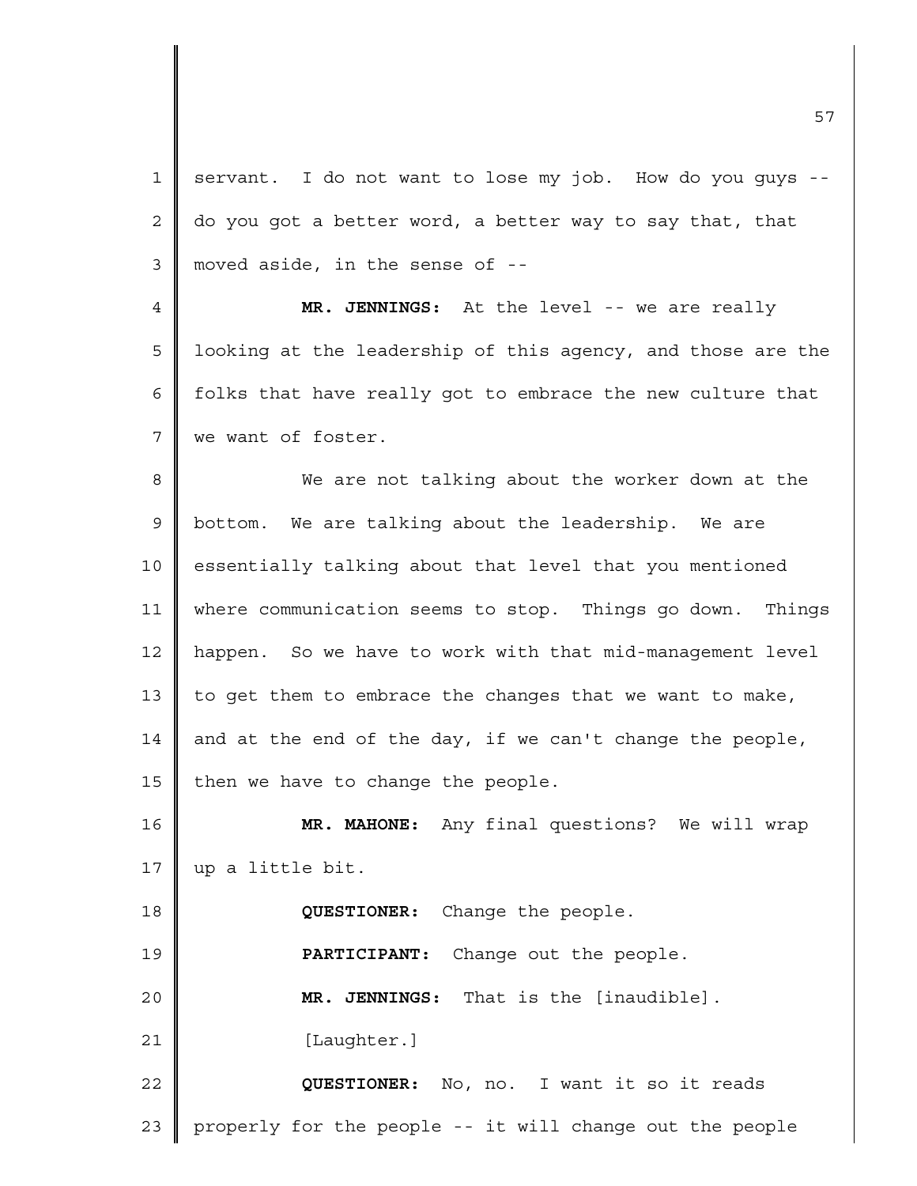1 2 3 4 5 6 7 8 9 10 11 12 13 14 15 16 17 18 19 20 21 22 23 servant. I do not want to lose my job. How do you guys - do you got a better word, a better way to say that, that moved aside, in the sense of -- **MR. JENNINGS:** At the level -- we are really looking at the leadership of this agency, and those are the folks that have really got to embrace the new culture that we want of foster. We are not talking about the worker down at the bottom. We are talking about the leadership. We are essentially talking about that level that you mentioned where communication seems to stop. Things go down. Things happen. So we have to work with that mid-management level to get them to embrace the changes that we want to make, and at the end of the day, if we can't change the people, then we have to change the people. **MR. MAHONE:** Any final questions? We will wrap up a little bit. **QUESTIONER:** Change the people. **PARTICIPANT:** Change out the people. **MR. JENNINGS:** That is the [inaudible]. [Laughter.] **QUESTIONER:** No, no. I want it so it reads properly for the people -- it will change out the people